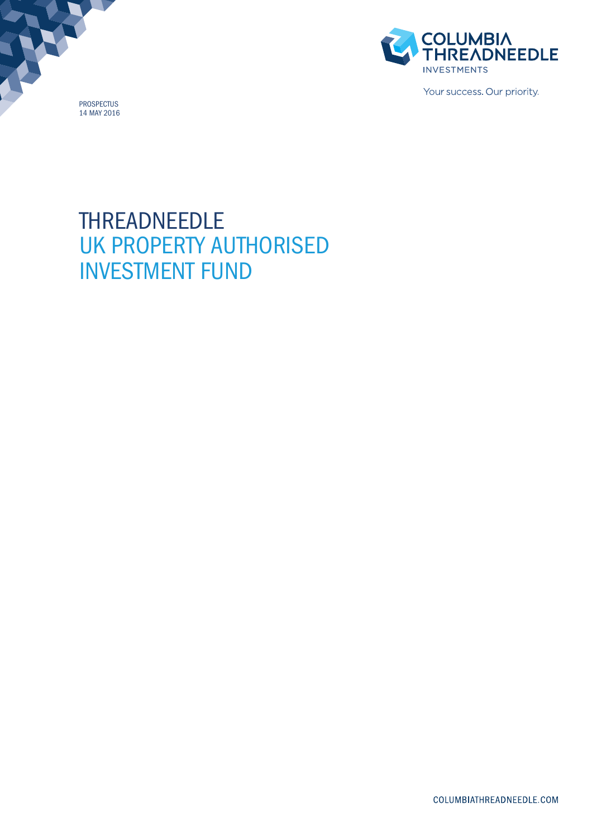PROSPECTUS 14 MAY 2016



Your success. Our priority.

# THREADNEEDLE UK PROPERTY AUTHORISED INVESTMENT FUND

COLUMBIATHREADNEEDLE.COM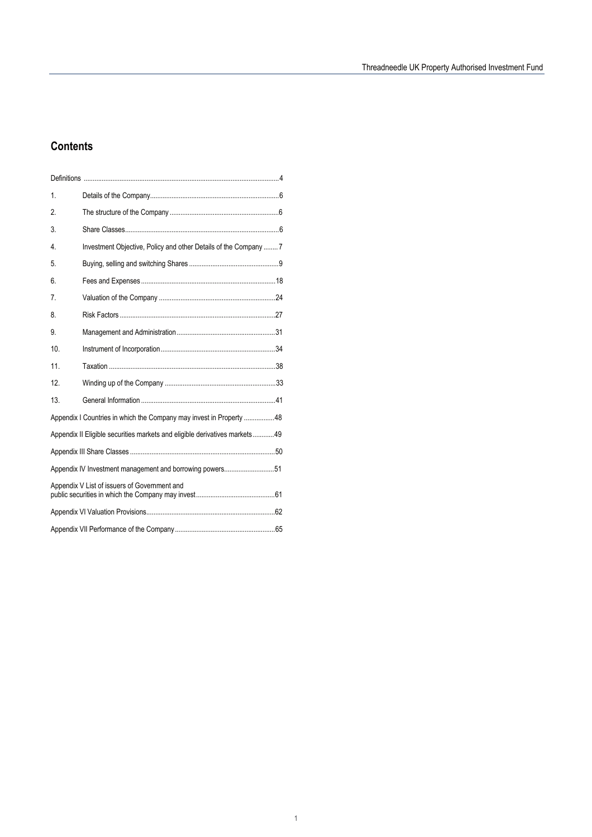## **Contents**

| 1.              |                                                                            |  |  |  |  |  |  |
|-----------------|----------------------------------------------------------------------------|--|--|--|--|--|--|
| 2.              |                                                                            |  |  |  |  |  |  |
| 3.              |                                                                            |  |  |  |  |  |  |
| 4.              | Investment Objective, Policy and other Details of the Company  7           |  |  |  |  |  |  |
| 5.              |                                                                            |  |  |  |  |  |  |
| 6.              |                                                                            |  |  |  |  |  |  |
| 7.              |                                                                            |  |  |  |  |  |  |
| 8.              |                                                                            |  |  |  |  |  |  |
| 9.              |                                                                            |  |  |  |  |  |  |
| 10 <sup>1</sup> |                                                                            |  |  |  |  |  |  |
| 11.             |                                                                            |  |  |  |  |  |  |
| 12.             |                                                                            |  |  |  |  |  |  |
| 13.             |                                                                            |  |  |  |  |  |  |
|                 | Appendix I Countries in which the Company may invest in Property 48        |  |  |  |  |  |  |
|                 | Appendix II Eligible securities markets and eligible derivatives markets49 |  |  |  |  |  |  |
|                 |                                                                            |  |  |  |  |  |  |
|                 | Appendix IV Investment management and borrowing powers51                   |  |  |  |  |  |  |
|                 | Appendix V List of issuers of Government and                               |  |  |  |  |  |  |
|                 |                                                                            |  |  |  |  |  |  |
|                 |                                                                            |  |  |  |  |  |  |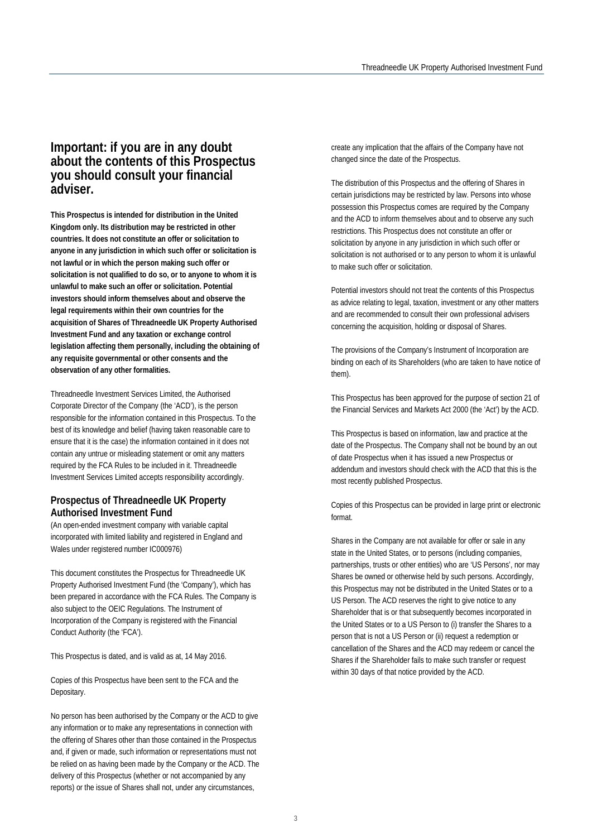## **Important: if you are in any doubt about the contents of this Prospectus you should consult your financial adviser.**

**This Prospectus is intended for distribution in the United Kingdom only. Its distribution may be restricted in other countries. It does not constitute an offer or solicitation to anyone in any jurisdiction in which such offer or solicitation is not lawful or in which the person making such offer or solicitation is not qualified to do so, or to anyone to whom it is unlawful to make such an offer or solicitation. Potential investors should inform themselves about and observe the legal requirements within their own countries for the acquisition of Shares of Threadneedle UK Property Authorised Investment Fund and any taxation or exchange control legislation affecting them personally, including the obtaining of any requisite governmental or other consents and the observation of any other formalities.** 

Threadneedle Investment Services Limited, the Authorised Corporate Director of the Company (the 'ACD'), is the person responsible for the information contained in this Prospectus. To the best of its knowledge and belief (having taken reasonable care to ensure that it is the case) the information contained in it does not contain any untrue or misleading statement or omit any matters required by the FCA Rules to be included in it. Threadneedle Investment Services Limited accepts responsibility accordingly.

#### **Prospectus of Threadneedle UK Property Authorised Investment Fund**

(An open-ended investment company with variable capital incorporated with limited liability and registered in England and Wales under registered number IC000976)

This document constitutes the Prospectus for Threadneedle UK Property Authorised Investment Fund (the 'Company'), which has been prepared in accordance with the FCA Rules. The Company is also subject to the OEIC Regulations. The Instrument of Incorporation of the Company is registered with the Financial Conduct Authority (the 'FCA').

This Prospectus is dated, and is valid as at, 14 May 2016.

Copies of this Prospectus have been sent to the FCA and the Depositary.

No person has been authorised by the Company or the ACD to give any information or to make any representations in connection with the offering of Shares other than those contained in the Prospectus and, if given or made, such information or representations must not be relied on as having been made by the Company or the ACD. The delivery of this Prospectus (whether or not accompanied by any reports) or the issue of Shares shall not, under any circumstances,

create any implication that the affairs of the Company have not changed since the date of the Prospectus.

The distribution of this Prospectus and the offering of Shares in certain jurisdictions may be restricted by law. Persons into whose possession this Prospectus comes are required by the Company and the ACD to inform themselves about and to observe any such restrictions. This Prospectus does not constitute an offer or solicitation by anyone in any jurisdiction in which such offer or solicitation is not authorised or to any person to whom it is unlawful to make such offer or solicitation.

Potential investors should not treat the contents of this Prospectus as advice relating to legal, taxation, investment or any other matters and are recommended to consult their own professional advisers concerning the acquisition, holding or disposal of Shares.

The provisions of the Company's Instrument of Incorporation are binding on each of its Shareholders (who are taken to have notice of them).

This Prospectus has been approved for the purpose of section 21 of the Financial Services and Markets Act 2000 (the 'Act') by the ACD.

This Prospectus is based on information, law and practice at the date of the Prospectus. The Company shall not be bound by an out of date Prospectus when it has issued a new Prospectus or addendum and investors should check with the ACD that this is the most recently published Prospectus.

Copies of this Prospectus can be provided in large print or electronic format.

Shares in the Company are not available for offer or sale in any state in the United States, or to persons (including companies, partnerships, trusts or other entities) who are 'US Persons', nor may Shares be owned or otherwise held by such persons. Accordingly, this Prospectus may not be distributed in the United States or to a US Person. The ACD reserves the right to give notice to any Shareholder that is or that subsequently becomes incorporated in the United States or to a US Person to (i) transfer the Shares to a person that is not a US Person or (ii) request a redemption or cancellation of the Shares and the ACD may redeem or cancel the Shares if the Shareholder fails to make such transfer or request within 30 days of that notice provided by the ACD.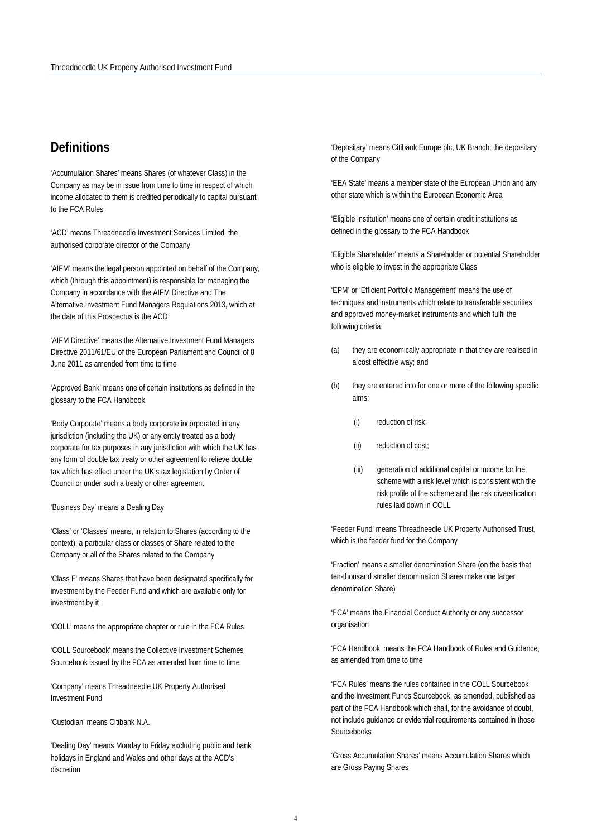## <span id="page-3-0"></span>**Definitions**

'Accumulation Shares' means Shares (of whatever Class) in the Company as may be in issue from time to time in respect of which income allocated to them is credited periodically to capital pursuant to the FCA Rules

'ACD' means Threadneedle Investment Services Limited, the authorised corporate director of the Company

'AIFM' means the legal person appointed on behalf of the Company, which (through this appointment) is responsible for managing the Company in accordance with the AIFM Directive and The Alternative Investment Fund Managers Regulations 2013, which at the date of this Prospectus is the ACD

'AIFM Directive' means the Alternative Investment Fund Managers Directive 2011/61/EU of the European Parliament and Council of 8 June 2011 as amended from time to time

'Approved Bank' means one of certain institutions as defined in the glossary to the FCA Handbook

'Body Corporate' means a body corporate incorporated in any jurisdiction (including the UK) or any entity treated as a body corporate for tax purposes in any jurisdiction with which the UK has any form of double tax treaty or other agreement to relieve double tax which has effect under the UK's tax legislation by Order of Council or under such a treaty or other agreement

'Business Day' means a Dealing Day

'Class' or 'Classes' means, in relation to Shares (according to the context), a particular class or classes of Share related to the Company or all of the Shares related to the Company

'Class F' means Shares that have been designated specifically for investment by the Feeder Fund and which are available only for investment by it

'COLL' means the appropriate chapter or rule in the FCA Rules

'COLL Sourcebook' means the Collective Investment Schemes Sourcebook issued by the FCA as amended from time to time

'Company' means Threadneedle UK Property Authorised Investment Fund

'Custodian' means Citibank N.A.

'Dealing Day' means Monday to Friday excluding public and bank holidays in England and Wales and other days at the ACD's discretion

'Depositary' means Citibank Europe plc, UK Branch, the depositary of the Company

'EEA State' means a member state of the European Union and any other state which is within the European Economic Area

'Eligible Institution' means one of certain credit institutions as defined in the glossary to the FCA Handbook

'Eligible Shareholder' means a Shareholder or potential Shareholder who is eligible to invest in the appropriate Class

'EPM' or 'Efficient Portfolio Management' means the use of techniques and instruments which relate to transferable securities and approved money-market instruments and which fulfil the following criteria:

- (a) they are economically appropriate in that they are realised in a cost effective way; and
- (b) they are entered into for one or more of the following specific aims:
	- (i) reduction of risk;
	- (ii) reduction of cost;
	- (iii) generation of additional capital or income for the scheme with a risk level which is consistent with the risk profile of the scheme and the risk diversification rules laid down in COLL

'Feeder Fund' means Threadneedle UK Property Authorised Trust, which is the feeder fund for the Company

'Fraction' means a smaller denomination Share (on the basis that ten-thousand smaller denomination Shares make one larger denomination Share)

'FCA' means the Financial Conduct Authority or any successor organisation

'FCA Handbook' means the FCA Handbook of Rules and Guidance, as amended from time to time

'FCA Rules' means the rules contained in the COLL Sourcebook and the Investment Funds Sourcebook, as amended, published as part of the FCA Handbook which shall, for the avoidance of doubt, not include guidance or evidential requirements contained in those Sourcebooks

'Gross Accumulation Shares' means Accumulation Shares which are Gross Paying Shares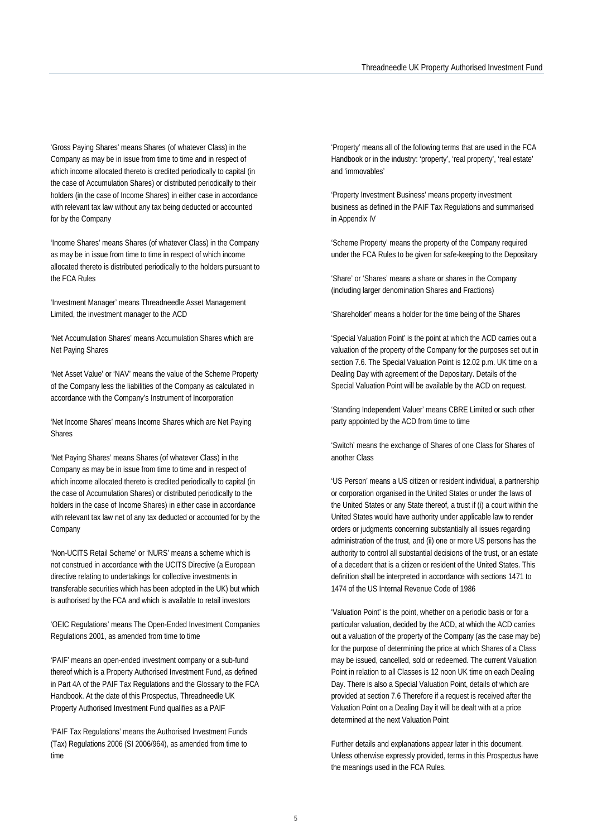'Gross Paying Shares' means Shares (of whatever Class) in the Company as may be in issue from time to time and in respect of which income allocated thereto is credited periodically to capital (in the case of Accumulation Shares) or distributed periodically to their holders (in the case of Income Shares) in either case in accordance with relevant tax law without any tax being deducted or accounted for by the Company

'Income Shares' means Shares (of whatever Class) in the Company as may be in issue from time to time in respect of which income allocated thereto is distributed periodically to the holders pursuant to the FCA Rules

'Investment Manager' means Threadneedle Asset Management Limited, the investment manager to the ACD

'Net Accumulation Shares' means Accumulation Shares which are Net Paying Shares

'Net Asset Value' or 'NAV' means the value of the Scheme Property of the Company less the liabilities of the Company as calculated in accordance with the Company's Instrument of Incorporation

'Net Income Shares' means Income Shares which are Net Paying Shares

'Net Paying Shares' means Shares (of whatever Class) in the Company as may be in issue from time to time and in respect of which income allocated thereto is credited periodically to capital (in the case of Accumulation Shares) or distributed periodically to the holders in the case of Income Shares) in either case in accordance with relevant tax law net of any tax deducted or accounted for by the Company

'Non-UCITS Retail Scheme' or 'NURS' means a scheme which is not construed in accordance with the UCITS Directive (a European directive relating to undertakings for collective investments in transferable securities which has been adopted in the UK) but which is authorised by the FCA and which is available to retail investors

'OEIC Regulations' means The Open-Ended Investment Companies Regulations 2001, as amended from time to time

'PAIF' means an open-ended investment company or a sub-fund thereof which is a Property Authorised Investment Fund, as defined in Part 4A of the PAIF Tax Regulations and the Glossary to the FCA Handbook. At the date of this Prospectus, Threadneedle UK Property Authorised Investment Fund qualifies as a PAIF

'PAIF Tax Regulations' means the Authorised Investment Funds (Tax) Regulations 2006 (SI 2006/964), as amended from time to time

'Property' means all of the following terms that are used in the FCA Handbook or in the industry: 'property', 'real property', 'real estate' and 'immovables'

'Property Investment Business' means property investment business as defined in the PAIF Tax Regulations and summarised in Appendix IV

'Scheme Property' means the property of the Company required under the FCA Rules to be given for safe-keeping to the Depositary

'Share' or 'Shares' means a share or shares in the Company (including larger denomination Shares and Fractions)

'Shareholder' means a holder for the time being of the Shares

'Special Valuation Point' is the point at which the ACD carries out a valuation of the property of the Company for the purposes set out in section 7.6. The Special Valuation Point is 12.02 p.m. UK time on a Dealing Day with agreement of the Depositary. Details of the Special Valuation Point will be available by the ACD on request.

'Standing Independent Valuer' means CBRE Limited or such other party appointed by the ACD from time to time

'Switch' means the exchange of Shares of one Class for Shares of another Class

'US Person' means a US citizen or resident individual, a partnership or corporation organised in the United States or under the laws of the United States or any State thereof, a trust if (i) a court within the United States would have authority under applicable law to render orders or judgments concerning substantially all issues regarding administration of the trust, and (ii) one or more US persons has the authority to control all substantial decisions of the trust, or an estate of a decedent that is a citizen or resident of the United States. This definition shall be interpreted in accordance with sections 1471 to 1474 of the US Internal Revenue Code of 1986

'Valuation Point' is the point, whether on a periodic basis or for a particular valuation, decided by the ACD, at which the ACD carries out a valuation of the property of the Company (as the case may be) for the purpose of determining the price at which Shares of a Class may be issued, cancelled, sold or redeemed. The current Valuation Point in relation to all Classes is 12 noon UK time on each Dealing Day. There is also a Special Valuation Point, details of which are provided at section 7.6 Therefore if a request is received after the Valuation Point on a Dealing Day it will be dealt with at a price determined at the next Valuation Point

Further details and explanations appear later in this document. Unless otherwise expressly provided, terms in this Prospectus have the meanings used in the FCA Rules.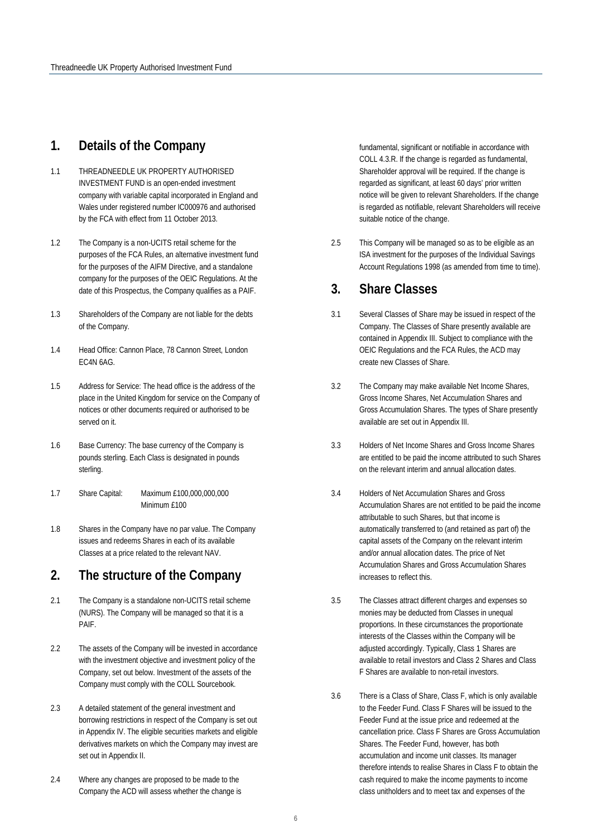## <span id="page-5-0"></span>**1. Details of the Company**

- 1.1 THREADNEEDLE UK PROPERTY AUTHORISED INVESTMENT FUND is an open-ended investment company with variable capital incorporated in England and Wales under registered number IC000976 and authorised by the FCA with effect from 11 October 2013.
- 1.2 The Company is a non-UCITS retail scheme for the purposes of the FCA Rules, an alternative investment fund for the purposes of the AIFM Directive, and a standalone company for the purposes of the OEIC Regulations. At the date of this Prospectus, the Company qualifies as a PAIF.
- 1.3 Shareholders of the Company are not liable for the debts of the Company.
- 1.4 Head Office: Cannon Place, 78 Cannon Street, London EC4N 6AG.
- 1.5 Address for Service: The head office is the address of the place in the United Kingdom for service on the Company of notices or other documents required or authorised to be served on it.
- 1.6 Base Currency: The base currency of the Company is pounds sterling. Each Class is designated in pounds sterling.
- 1.7 Share Capital: Maximum £100,000,000,000 Minimum £100
- 1.8 Shares in the Company have no par value. The Company issues and redeems Shares in each of its available Classes at a price related to the relevant NAV.

## <span id="page-5-1"></span>**2. The structure of the Company**

- 2.1 The Company is a standalone non-UCITS retail scheme (NURS). The Company will be managed so that it is a PAIF.
- 2.2 The assets of the Company will be invested in accordance with the investment objective and investment policy of the Company, set out below. Investment of the assets of the Company must comply with the COLL Sourcebook.
- 2.3 A detailed statement of the general investment and borrowing restrictions in respect of the Company is set out in Appendix IV. The eligible securities markets and eligible derivatives markets on which the Company may invest are set out in Appendix II.
- 2.4 Where any changes are proposed to be made to the Company the ACD will assess whether the change is

fundamental, significant or notifiable in accordance with COLL 4.3.R. If the change is regarded as fundamental, Shareholder approval will be required. If the change is regarded as significant, at least 60 days' prior written notice will be given to relevant Shareholders. If the change is regarded as notifiable, relevant Shareholders will receive suitable notice of the change.

2.5 This Company will be managed so as to be eligible as an ISA investment for the purposes of the Individual Savings Account Regulations 1998 (as amended from time to time).

## **3. Share Classes**

- 3.1 Several Classes of Share may be issued in respect of the Company. The Classes of Share presently available are contained in Appendix III. Subject to compliance with the OEIC Regulations and the FCA Rules, the ACD may create new Classes of Share.
- 3.2 The Company may make available Net Income Shares, Gross Income Shares, Net Accumulation Shares and Gross Accumulation Shares. The types of Share presently available are set out in Appendix III.
- 3.3 Holders of Net Income Shares and Gross Income Shares are entitled to be paid the income attributed to such Shares on the relevant interim and annual allocation dates.
- 3.4 Holders of Net Accumulation Shares and Gross Accumulation Shares are not entitled to be paid the income attributable to such Shares, but that income is automatically transferred to (and retained as part of) the capital assets of the Company on the relevant interim and/or annual allocation dates. The price of Net Accumulation Shares and Gross Accumulation Shares increases to reflect this.
- 3.5 The Classes attract different charges and expenses so monies may be deducted from Classes in unequal proportions. In these circumstances the proportionate interests of the Classes within the Company will be adjusted accordingly. Typically, Class 1 Shares are available to retail investors and Class 2 Shares and Class F Shares are available to non-retail investors.
- 3.6 There is a Class of Share, Class F, which is only available to the Feeder Fund. Class F Shares will be issued to the Feeder Fund at the issue price and redeemed at the cancellation price. Class F Shares are Gross Accumulation Shares. The Feeder Fund, however, has both accumulation and income unit classes. Its manager therefore intends to realise Shares in Class F to obtain the cash required to make the income payments to income class unitholders and to meet tax and expenses of the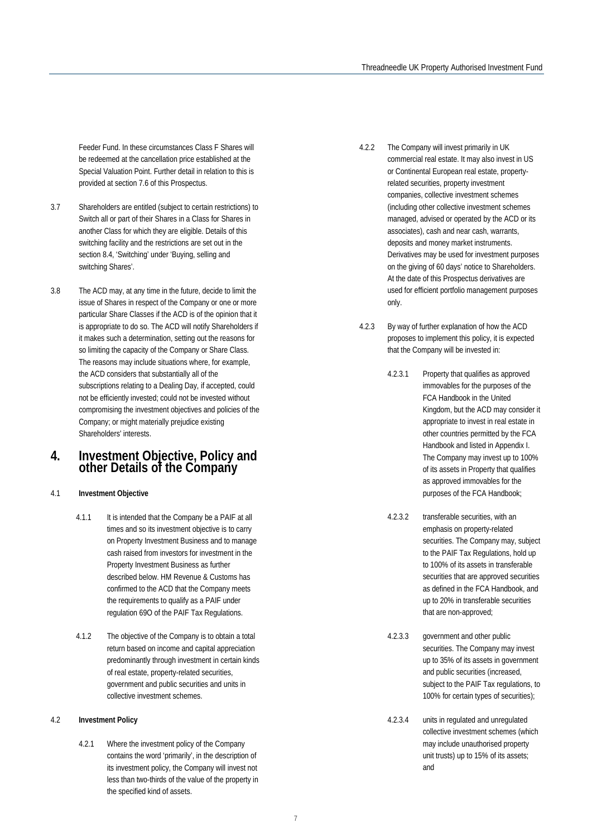Feeder Fund. In these circumstances Class F Shares will be redeemed at the cancellation price established at the Special Valuation Point. Further detail in relation to this is provided at section 7.6 of this Prospectus.

- 3.7 Shareholders are entitled (subject to certain restrictions) to Switch all or part of their Shares in a Class for Shares in another Class for which they are eligible. Details of this switching facility and the restrictions are set out in the section 8.4, 'Switching' under 'Buying, selling and switching Shares'.
- 3.8 The ACD may, at any time in the future, decide to limit the issue of Shares in respect of the Company or one or more particular Share Classes if the ACD is of the opinion that it is appropriate to do so. The ACD will notify Shareholders if it makes such a determination, setting out the reasons for so limiting the capacity of the Company or Share Class. The reasons may include situations where, for example, the ACD considers that substantially all of the subscriptions relating to a Dealing Day, if accepted, could not be efficiently invested; could not be invested without compromising the investment objectives and policies of the Company; or might materially prejudice existing Shareholders' interests.

### <span id="page-6-0"></span>**4. Investment Objective, Policy and other Details of the Company**

#### 4.1 **Investment Objective**

- 4.1.1 It is intended that the Company be a PAIF at all times and so its investment objective is to carry on Property Investment Business and to manage cash raised from investors for investment in the Property Investment Business as further described below. HM Revenue & Customs has confirmed to the ACD that the Company meets the requirements to qualify as a PAIF under regulation 69O of the PAIF Tax Regulations.
- 4.1.2 The objective of the Company is to obtain a total return based on income and capital appreciation predominantly through investment in certain kinds of real estate, property-related securities, government and public securities and units in collective investment schemes.

#### 4.2 **Investment Policy**

4.2.1 Where the investment policy of the Company contains the word 'primarily', in the description of its investment policy, the Company will invest not less than two-thirds of the value of the property in the specified kind of assets.

- 4.2.2 The Company will invest primarily in UK commercial real estate. It may also invest in US or Continental European real estate, propertyrelated securities, property investment companies, collective investment schemes (including other collective investment schemes managed, advised or operated by the ACD or its associates), cash and near cash, warrants, deposits and money market instruments. Derivatives may be used for investment purposes on the giving of 60 days' notice to Shareholders. At the date of this Prospectus derivatives are used for efficient portfolio management purposes only.
- 4.2.3 By way of further explanation of how the ACD proposes to implement this policy, it is expected that the Company will be invested in:
	- 4.2.3.1 Property that qualifies as approved immovables for the purposes of the FCA Handbook in the United Kingdom, but the ACD may consider it appropriate to invest in real estate in other countries permitted by the FCA Handbook and listed in Appendix I. The Company may invest up to 100% of its assets in Property that qualifies as approved immovables for the purposes of the FCA Handbook;
	- 4.2.3.2 transferable securities, with an emphasis on property-related securities. The Company may, subject to the PAIF Tax Regulations, hold up to 100% of its assets in transferable securities that are approved securities as defined in the FCA Handbook, and up to 20% in transferable securities that are non-approved;
	- 4.2.3.3 government and other public securities. The Company may invest up to 35% of its assets in government and public securities (increased, subject to the PAIF Tax regulations, to 100% for certain types of securities);
	- 4.2.3.4 units in regulated and unregulated collective investment schemes (which may include unauthorised property unit trusts) up to 15% of its assets; and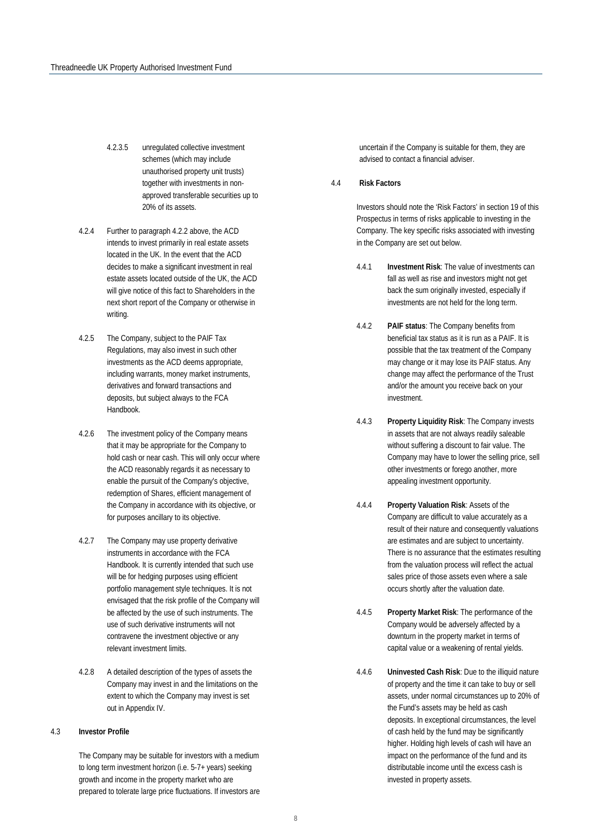- 4.2.3.5 unregulated collective investment schemes (which may include unauthorised property unit trusts) together with investments in nonapproved transferable securities up to 20% of its assets.
- 4.2.4 Further to paragraph 4.2.2 above, the ACD intends to invest primarily in real estate assets located in the UK. In the event that the ACD decides to make a significant investment in real estate assets located outside of the UK, the ACD will give notice of this fact to Shareholders in the next short report of the Company or otherwise in writing.
- 4.2.5 The Company, subject to the PAIF Tax Regulations, may also invest in such other investments as the ACD deems appropriate, including warrants, money market instruments, derivatives and forward transactions and deposits, but subject always to the FCA Handbook.
- 4.2.6 The investment policy of the Company means that it may be appropriate for the Company to hold cash or near cash. This will only occur where the ACD reasonably regards it as necessary to enable the pursuit of the Company's objective, redemption of Shares, efficient management of the Company in accordance with its objective, or for purposes ancillary to its objective.
- 4.2.7 The Company may use property derivative instruments in accordance with the FCA Handbook. It is currently intended that such use will be for hedging purposes using efficient portfolio management style techniques. It is not envisaged that the risk profile of the Company will be affected by the use of such instruments. The use of such derivative instruments will not contravene the investment objective or any relevant investment limits.
- 4.2.8 A detailed description of the types of assets the Company may invest in and the limitations on the extent to which the Company may invest is set out in Appendix IV.

#### 4.3 **Investor Profile**

The Company may be suitable for investors with a medium to long term investment horizon (i.e. 5-7+ years) seeking growth and income in the property market who are prepared to tolerate large price fluctuations. If investors are

uncertain if the Company is suitable for them, they are advised to contact a financial adviser.

#### 4.4 **Risk Factors**

Investors should note the 'Risk Factors' in section 19 of this Prospectus in terms of risks applicable to investing in the Company. The key specific risks associated with investing in the Company are set out below.

- 4.4.1 **Investment Risk**: The value of investments can fall as well as rise and investors might not get back the sum originally invested, especially if investments are not held for the long term.
- 4.4.2 **PAIF status**: The Company benefits from beneficial tax status as it is run as a PAIF. It is possible that the tax treatment of the Company may change or it may lose its PAIF status. Any change may affect the performance of the Trust and/or the amount you receive back on your investment.
- 4.4.3 **Property Liquidity Risk**: The Company invests in assets that are not always readily saleable without suffering a discount to fair value. The Company may have to lower the selling price, sell other investments or forego another, more appealing investment opportunity.
- 4.4.4 **Property Valuation Risk**: Assets of the Company are difficult to value accurately as a result of their nature and consequently valuations are estimates and are subject to uncertainty. There is no assurance that the estimates resulting from the valuation process will reflect the actual sales price of those assets even where a sale occurs shortly after the valuation date.
- 4.4.5 **Property Market Risk**: The performance of the Company would be adversely affected by a downturn in the property market in terms of capital value or a weakening of rental yields.
- 4.4.6 **Uninvested Cash Risk**: Due to the illiquid nature of property and the time it can take to buy or sell assets, under normal circumstances up to 20% of the Fund's assets may be held as cash deposits. In exceptional circumstances, the level of cash held by the fund may be significantly higher. Holding high levels of cash will have an impact on the performance of the fund and its distributable income until the excess cash is invested in property assets.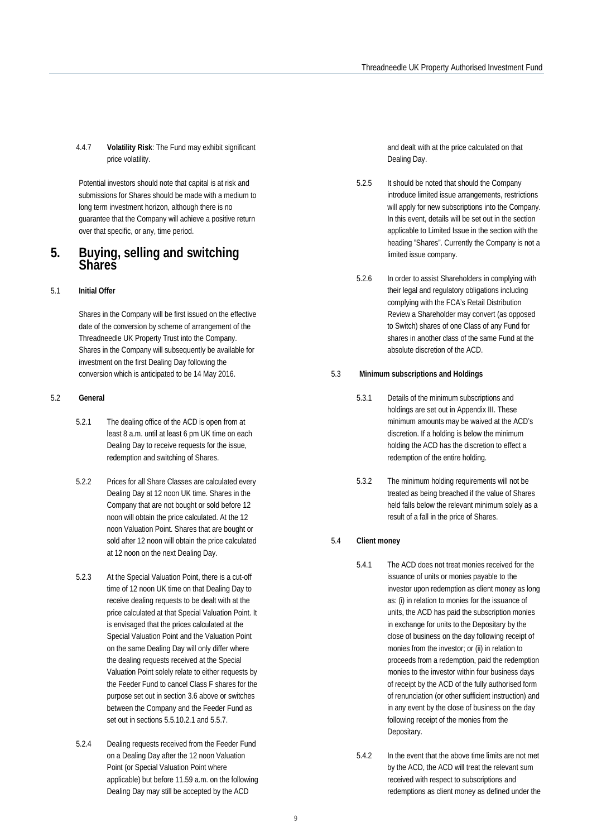4.4.7 **Volatility Risk**: The Fund may exhibit significant price volatility.

Potential investors should note that capital is at risk and submissions for Shares should be made with a medium to long term investment horizon, although there is no guarantee that the Company will achieve a positive return over that specific, or any, time period.

## <span id="page-8-0"></span>**5. Buying, selling and switching Shares**

### 5.1 **Initial Offer**

Shares in the Company will be first issued on the effective date of the conversion by scheme of arrangement of the Threadneedle UK Property Trust into the Company. Shares in the Company will subsequently be available for investment on the first Dealing Day following the conversion which is anticipated to be 14 May 2016.

### 5.2 **General**

- 5.2.1 The dealing office of the ACD is open from at least 8 a.m. until at least 6 pm UK time on each Dealing Day to receive requests for the issue, redemption and switching of Shares.
- 5.2.2 Prices for all Share Classes are calculated every Dealing Day at 12 noon UK time. Shares in the Company that are not bought or sold before 12 noon will obtain the price calculated. At the 12 noon Valuation Point. Shares that are bought or sold after 12 noon will obtain the price calculated at 12 noon on the next Dealing Day.
- 5.2.3 At the Special Valuation Point, there is a cut-off time of 12 noon UK time on that Dealing Day to receive dealing requests to be dealt with at the price calculated at that Special Valuation Point. It is envisaged that the prices calculated at the Special Valuation Point and the Valuation Point on the same Dealing Day will only differ where the dealing requests received at the Special Valuation Point solely relate to either requests by the Feeder Fund to cancel Class F shares for the purpose set out in section 3.6 above or switches between the Company and the Feeder Fund as set out in sections 5.5.10.2.1 and 5.5.7.
- 5.2.4 Dealing requests received from the Feeder Fund on a Dealing Day after the 12 noon Valuation Point (or Special Valuation Point where applicable) but before 11.59 a.m. on the following Dealing Day may still be accepted by the ACD

and dealt with at the price calculated on that Dealing Day.

- 5.2.5 It should be noted that should the Company introduce limited issue arrangements, restrictions will apply for new subscriptions into the Company. In this event, details will be set out in the section applicable to Limited Issue in the section with the heading "Shares". Currently the Company is not a limited issue company.
- 5.2.6 In order to assist Shareholders in complying with their legal and regulatory obligations including complying with the FCA's Retail Distribution Review a Shareholder may convert (as opposed to Switch) shares of one Class of any Fund for shares in another class of the same Fund at the absolute discretion of the ACD.

### 5.3 **Minimum subscriptions and Holdings**

- 5.3.1 Details of the minimum subscriptions and holdings are set out in Appendix III. These minimum amounts may be waived at the ACD's discretion. If a holding is below the minimum holding the ACD has the discretion to effect a redemption of the entire holding.
- 5.3.2 The minimum holding requirements will not be treated as being breached if the value of Shares held falls below the relevant minimum solely as a result of a fall in the price of Shares.

### 5.4 **Client money**

- 5.4.1 The ACD does not treat monies received for the issuance of units or monies payable to the investor upon redemption as client money as long as: (i) in relation to monies for the issuance of units, the ACD has paid the subscription monies in exchange for units to the Depositary by the close of business on the day following receipt of monies from the investor; or (ii) in relation to proceeds from a redemption, paid the redemption monies to the investor within four business days of receipt by the ACD of the fully authorised form of renunciation (or other sufficient instruction) and in any event by the close of business on the day following receipt of the monies from the Depositary.
- 5.4.2 In the event that the above time limits are not met by the ACD, the ACD will treat the relevant sum received with respect to subscriptions and redemptions as client money as defined under the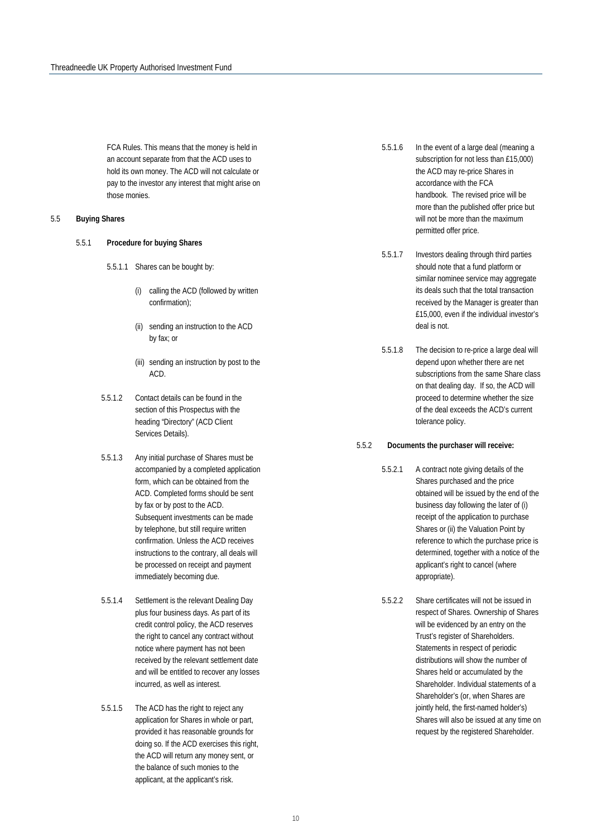FCA Rules. This means that the money is held in an account separate from that the ACD uses to hold its own money. The ACD will not calculate or pay to the investor any interest that might arise on those monies.

#### <span id="page-9-0"></span>5.5 **Buying Shares**

- 5.5.1 **Procedure for buying Shares**
	- 5.5.1.1 Shares can be bought by:
		- (i) calling the ACD (followed by written confirmation);
		- (ii) sending an instruction to the ACD by fax; or
		- (iii) sending an instruction by post to the ACD.
	- 5.5.1.2 Contact details can be found in the section of this Prospectus with the heading "Directory" (ACD Client Services Details).
	- 5.5.1.3 Any initial purchase of Shares must be accompanied by a completed application form, which can be obtained from the ACD. Completed forms should be sent by fax or by post to the ACD. Subsequent investments can be made by telephone, but still require written confirmation. Unless the ACD receives instructions to the contrary, all deals will be processed on receipt and payment immediately becoming due.
	- 5.5.1.4 Settlement is the relevant Dealing Day plus four business days. As part of its credit control policy, the ACD reserves the right to cancel any contract without notice where payment has not been received by the relevant settlement date and will be entitled to recover any losses incurred, as well as interest.
	- 5.5.1.5 The ACD has the right to reject any application for Shares in whole or part, provided it has reasonable grounds for doing so. If the ACD exercises this right, the ACD will return any money sent, or the balance of such monies to the applicant, at the applicant's risk.
- 5.5.1.6 In the event of a large deal (meaning a subscription for not less than £15,000) the ACD may re-price Shares in accordance with the FCA handbook. The revised price will be more than the published offer price but will not be more than the maximum permitted offer price.
- 5.5.1.7 Investors dealing through third parties should note that a fund platform or similar nominee service may aggregate its deals such that the total transaction received by the Manager is greater than £15,000, even if the individual investor's deal is not.
- 5.5.1.8 The decision to re-price a large deal will depend upon whether there are net subscriptions from the same Share class on that dealing day. If so, the ACD will proceed to determine whether the size of the deal exceeds the ACD's current tolerance policy.

#### 5.5.2 **Documents the purchaser will receive:**

- 5.5.2.1 A contract note giving details of the Shares purchased and the price obtained will be issued by the end of the business day following the later of (i) receipt of the application to purchase Shares or (ii) the Valuation Point by reference to which the purchase price is determined, together with a notice of the applicant's right to cancel (where appropriate).
- 5.5.2.2 Share certificates will not be issued in respect of Shares. Ownership of Shares will be evidenced by an entry on the Trust's register of Shareholders. Statements in respect of periodic distributions will show the number of Shares held or accumulated by the Shareholder. Individual statements of a Shareholder's (or, when Shares are jointly held, the first-named holder's) Shares will also be issued at any time on request by the registered Shareholder.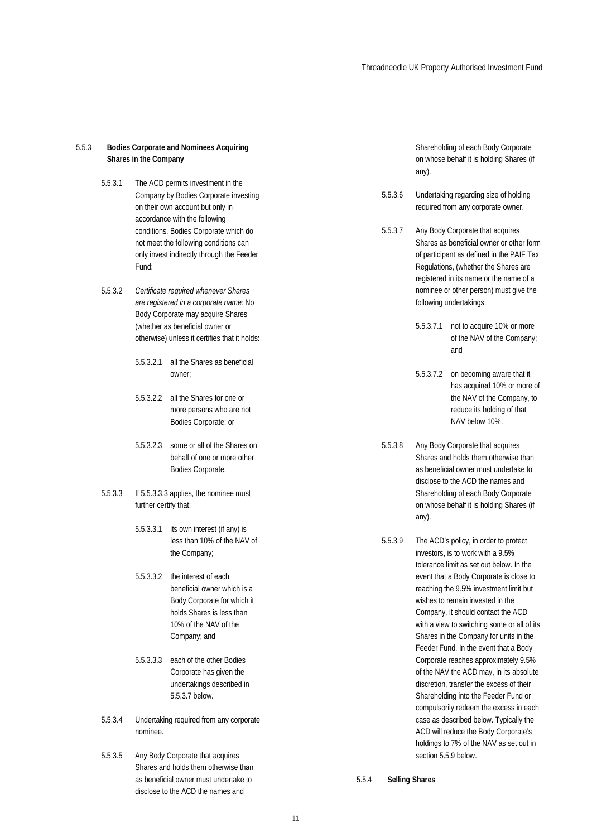#### 5.5.3 **Bodies Corporate and Nominees Acquiring Shares in the Company**

- 5.5.3.1 The ACD permits investment in the Company by Bodies Corporate investing on their own account but only in accordance with the following conditions. Bodies Corporate which do not meet the following conditions can only invest indirectly through the Feeder Fund:
- 5.5.3.2 *Certificate required whenever Shares are registered in a corporate name:* No Body Corporate may acquire Shares (whether as beneficial owner or otherwise) unless it certifies that it holds:
	- 5.5.3.2.1 all the Shares as beneficial owner;
	- 5.5.3.2.2 all the Shares for one or more persons who are not Bodies Corporate; or
	- 5.5.3.2.3 some or all of the Shares on behalf of one or more other Bodies Corporate.
- 5.5.3.3 If 5.5.3.3.3 applies, the nominee must further certify that:
	- 5.5.3.3.1 its own interest (if any) is less than 10% of the NAV of the Company;
	- 5.5.3.3.2 the interest of each beneficial owner which is a Body Corporate for which it holds Shares is less than 10% of the NAV of the Company; and
	- 5.5.3.3.3 each of the other Bodies Corporate has given the undertakings described in 5.5.3.7 below.
- 5.5.3.4 Undertaking required from any corporate nominee.
- 5.5.3.5 Any Body Corporate that acquires Shares and holds them otherwise than as beneficial owner must undertake to disclose to the ACD the names and

Shareholding of each Body Corporate on whose behalf it is holding Shares (if any).

- 5.5.3.6 Undertaking regarding size of holding required from any corporate owner.
- 5.5.3.7 Any Body Corporate that acquires Shares as beneficial owner or other form of participant as defined in the PAIF Tax Regulations, (whether the Shares are registered in its name or the name of a nominee or other person) must give the following undertakings:
	- 5.5.3.7.1 not to acquire 10% or more of the NAV of the Company; and
	- 5.5.3.7.2 on becoming aware that it has acquired 10% or more of the NAV of the Company, to reduce its holding of that NAV below 10%.
- 5.5.3.8 Any Body Corporate that acquires Shares and holds them otherwise than as beneficial owner must undertake to disclose to the ACD the names and Shareholding of each Body Corporate on whose behalf it is holding Shares (if any).
- 5.5.3.9 The ACD's policy, in order to protect investors, is to work with a 9.5% tolerance limit as set out below. In the event that a Body Corporate is close to reaching the 9.5% investment limit but wishes to remain invested in the Company, it should contact the ACD with a view to switching some or all of its Shares in the Company for units in the Feeder Fund. In the event that a Body Corporate reaches approximately 9.5% of the NAV the ACD may, in its absolute discretion, transfer the excess of their Shareholding into the Feeder Fund or compulsorily redeem the excess in each case as described below. Typically the ACD will reduce the Body Corporate's holdings to 7% of the NAV as set out in section 5.5.9 below.

5.5.4 **Selling Shares**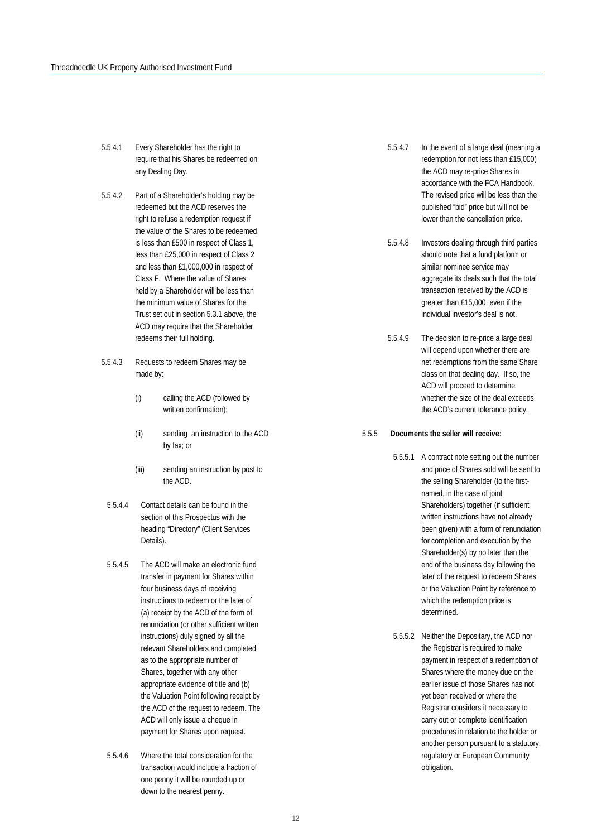- 5.5.4.1 Every Shareholder has the right to require that his Shares be redeemed on any Dealing Day.
- 5.5.4.2 Part of a Shareholder's holding may be redeemed but the ACD reserves the right to refuse a redemption request if the value of the Shares to be redeemed is less than £500 in respect of Class 1, less than £25,000 in respect of Class 2 and less than £1,000,000 in respect of Class F. Where the value of Shares held by a Shareholder will be less than the minimum value of Shares for the Trust set out in section 5.3.1 above, the ACD may require that the Shareholder redeems their full holding.
- 5.5.4.3 Requests to redeem Shares may be made by:
	- (i) calling the ACD (followed by written confirmation);
	- (ii) sending an instruction to the ACD by fax; or
	- (iii) sending an instruction by post to the ACD.
	- 5.5.4.4 Contact details can be found in the section of this Prospectus with the heading "Directory" (Client Services Details).
	- 5.5.4.5 The ACD will make an electronic fund transfer in payment for Shares within four business days of receiving instructions to redeem or the later of (a) receipt by the ACD of the form of renunciation (or other sufficient written instructions) duly signed by all the relevant Shareholders and completed as to the appropriate number of Shares, together with any other appropriate evidence of title and (b) the Valuation Point following receipt by the ACD of the request to redeem. The ACD will only issue a cheque in payment for Shares upon request.
- 5.5.4.6 Where the total consideration for the transaction would include a fraction of one penny it will be rounded up or down to the nearest penny.
- 5.5.4.7 In the event of a large deal (meaning a redemption for not less than £15,000) the ACD may re-price Shares in accordance with the FCA Handbook. The revised price will be less than the published "bid" price but will not be lower than the cancellation price.
- 5.5.4.8 Investors dealing through third parties should note that a fund platform or similar nominee service may aggregate its deals such that the total transaction received by the ACD is greater than £15,000, even if the individual investor's deal is not.
- 5.5.4.9 The decision to re-price a large deal will depend upon whether there are net redemptions from the same Share class on that dealing day. If so, the ACD will proceed to determine whether the size of the deal exceeds the ACD's current tolerance policy.

#### 5.5.5 **Documents the seller will receive:**

- 5.5.5.1 A contract note setting out the number and price of Shares sold will be sent to the selling Shareholder (to the firstnamed, in the case of joint Shareholders) together (if sufficient written instructions have not already been given) with a form of renunciation for completion and execution by the Shareholder(s) by no later than the end of the business day following the later of the request to redeem Shares or the Valuation Point by reference to which the redemption price is determined.
- 5.5.5.2 Neither the Depositary, the ACD nor the Registrar is required to make payment in respect of a redemption of Shares where the money due on the earlier issue of those Shares has not yet been received or where the Registrar considers it necessary to carry out or complete identification procedures in relation to the holder or another person pursuant to a statutory, regulatory or European Community obligation.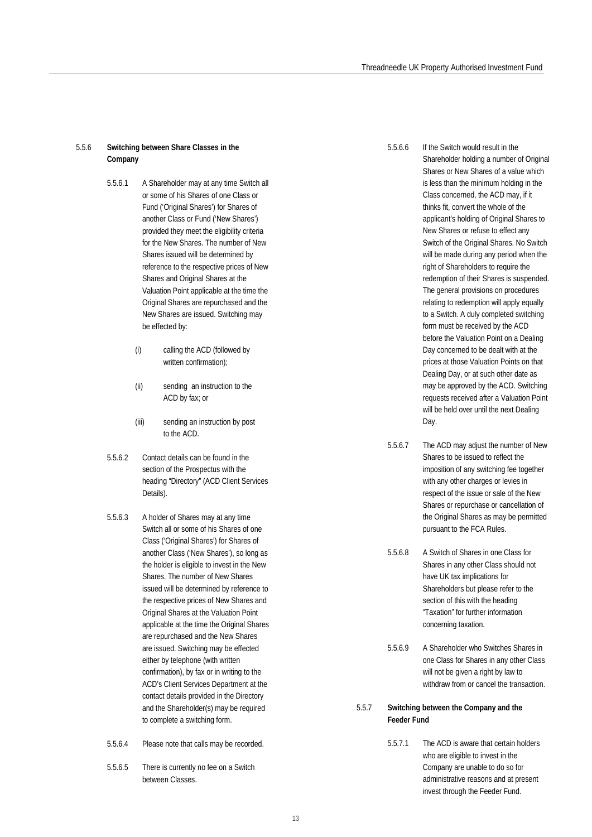#### 5.5.6 **Switching between Share Classes in the Company**

- 5.5.6.1 A Shareholder may at any time Switch all or some of his Shares of one Class or Fund ('Original Shares') for Shares of another Class or Fund ('New Shares') provided they meet the eligibility criteria for the New Shares. The number of New Shares issued will be determined by reference to the respective prices of New Shares and Original Shares at the Valuation Point applicable at the time the Original Shares are repurchased and the New Shares are issued. Switching may be effected by:
	- (i) calling the ACD (followed by written confirmation);
	- (ii) sending an instruction to the ACD by fax; or
	- (iii) sending an instruction by post to the ACD.
- 5.5.6.2 Contact details can be found in the section of the Prospectus with the heading "Directory" (ACD Client Services Details).
- 5.5.6.3 A holder of Shares may at any time Switch all or some of his Shares of one Class ('Original Shares') for Shares of another Class ('New Shares'), so long as the holder is eligible to invest in the New Shares. The number of New Shares issued will be determined by reference to the respective prices of New Shares and Original Shares at the Valuation Point applicable at the time the Original Shares are repurchased and the New Shares are issued. Switching may be effected either by telephone (with written confirmation), by fax or in writing to the ACD's Client Services Department at the contact details provided in the Directory and the Shareholder(s) may be required to complete a switching form.
- 5.5.6.4 Please note that calls may be recorded.
- 5.5.6.5 There is currently no fee on a Switch between Classes.

5.5.6.6 If the Switch would result in the

Shareholder holding a number of Original Shares or New Shares of a value which is less than the minimum holding in the Class concerned, the ACD may, if it thinks fit, convert the whole of the applicant's holding of Original Shares to New Shares or refuse to effect any Switch of the Original Shares. No Switch will be made during any period when the right of Shareholders to require the redemption of their Shares is suspended. The general provisions on procedures relating to redemption will apply equally to a Switch. A duly completed switching form must be received by the ACD before the Valuation Point on a Dealing Day concerned to be dealt with at the prices at those Valuation Points on that Dealing Day, or at such other date as may be approved by the ACD. Switching requests received after a Valuation Point will be held over until the next Dealing Day.

- 5.5.6.7 The ACD may adjust the number of New Shares to be issued to reflect the imposition of any switching fee together with any other charges or levies in respect of the issue or sale of the New Shares or repurchase or cancellation of the Original Shares as may be permitted pursuant to the FCA Rules.
- 5.5.6.8 A Switch of Shares in one Class for Shares in any other Class should not have UK tax implications for Shareholders but please refer to the section of this with the heading "Taxation" for further information concerning taxation.
- 5.5.6.9 A Shareholder who Switches Shares in one Class for Shares in any other Class will not be given a right by law to withdraw from or cancel the transaction.

#### 5.5.7 **Switching between the Company and the Feeder Fund**

5.5.7.1 The ACD is aware that certain holders who are eligible to invest in the Company are unable to do so for administrative reasons and at present invest through the Feeder Fund.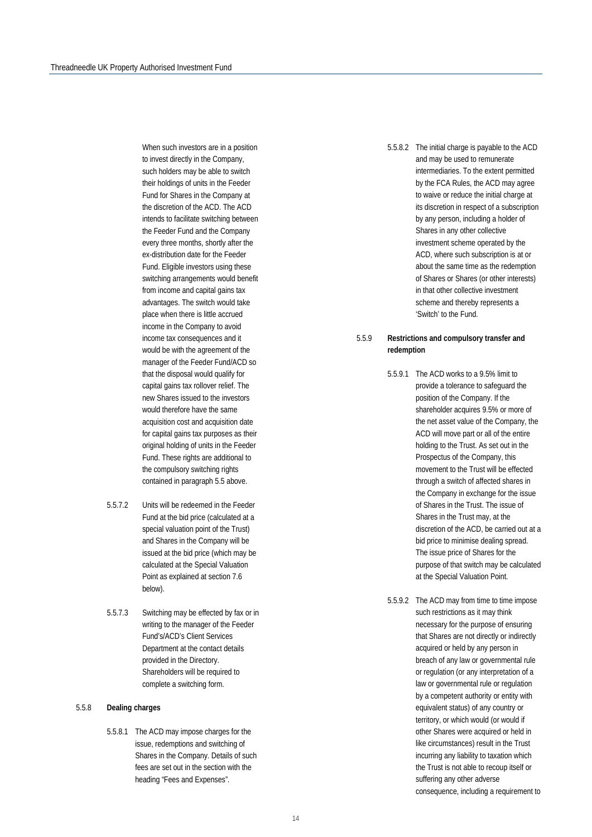When such investors are in a position to invest directly in the Company, such holders may be able to switch their holdings of units in the Feeder Fund for Shares in the Company at the discretion of the ACD. The ACD intends to facilitate switching between the Feeder Fund and the Company every three months, shortly after the ex-distribution date for the Feeder Fund. Eligible investors using these switching arrangements would benefit from income and capital gains tax advantages. The switch would take place when there is little accrued income in the Company to avoid income tax consequences and it would be with the agreement of the manager of the Feeder Fund/ACD so that the disposal would qualify for capital gains tax rollover relief. The new Shares issued to the investors would therefore have the same acquisition cost and acquisition date for capital gains tax purposes as their original holding of units in the Feeder Fund. These rights are additional to the compulsory switching rights contained in paragraph 5.5 above.

- 5.5.7.2 Units will be redeemed in the Feeder Fund at the bid price (calculated at a special valuation point of the Trust) and Shares in the Company will be issued at the bid price (which may be calculated at the Special Valuation Point as explained at section 7.6 below).
- 5.5.7.3 Switching may be effected by fax or in writing to the manager of the Feeder Fund's/ACD's Client Services Department at the contact details provided in the Directory. Shareholders will be required to complete a switching form.

#### 5.5.8 **Dealing charges**

5.5.8.1 The ACD may impose charges for the issue, redemptions and switching of Shares in the Company. Details of such fees are set out in the section with the heading "Fees and Expenses".

5.5.8.2 The initial charge is payable to the ACD and may be used to remunerate intermediaries. To the extent permitted by the FCA Rules, the ACD may agree to waive or reduce the initial charge at its discretion in respect of a subscription by any person, including a holder of Shares in any other collective investment scheme operated by the ACD, where such subscription is at or about the same time as the redemption of Shares or Shares (or other interests) in that other collective investment scheme and thereby represents a 'Switch' to the Fund.

#### 5.5.9 **Restrictions and compulsory transfer and redemption**

- 5.5.9.1 The ACD works to a 9.5% limit to provide a tolerance to safeguard the position of the Company. If the shareholder acquires 9.5% or more of the net asset value of the Company, the ACD will move part or all of the entire holding to the Trust. As set out in the Prospectus of the Company, this movement to the Trust will be effected through a switch of affected shares in the Company in exchange for the issue of Shares in the Trust. The issue of Shares in the Trust may, at the discretion of the ACD, be carried out at a bid price to minimise dealing spread. The issue price of Shares for the purpose of that switch may be calculated at the Special Valuation Point.
- 5.5.9.2 The ACD may from time to time impose such restrictions as it may think necessary for the purpose of ensuring that Shares are not directly or indirectly acquired or held by any person in breach of any law or governmental rule or regulation (or any interpretation of a law or governmental rule or regulation by a competent authority or entity with equivalent status) of any country or territory, or which would (or would if other Shares were acquired or held in like circumstances) result in the Trust incurring any liability to taxation which the Trust is not able to recoup itself or suffering any other adverse consequence, including a requirement to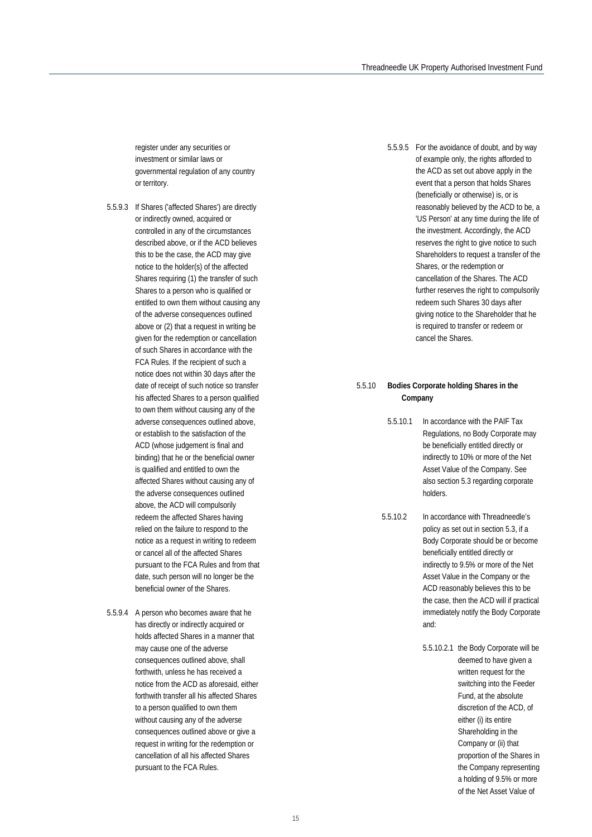register under any securities or investment or similar laws or governmental regulation of any country or territory.

- 5.5.9.3 If Shares ('affected Shares') are directly or indirectly owned, acquired or controlled in any of the circumstances described above, or if the ACD believes this to be the case, the ACD may give notice to the holder(s) of the affected Shares requiring (1) the transfer of such Shares to a person who is qualified or entitled to own them without causing any of the adverse consequences outlined above or (2) that a request in writing be given for the redemption or cancellation of such Shares in accordance with the FCA Rules. If the recipient of such a notice does not within 30 days after the date of receipt of such notice so transfer his affected Shares to a person qualified to own them without causing any of the adverse consequences outlined above, or establish to the satisfaction of the ACD (whose judgement is final and binding) that he or the beneficial owner is qualified and entitled to own the affected Shares without causing any of the adverse consequences outlined above, the ACD will compulsorily redeem the affected Shares having relied on the failure to respond to the notice as a request in writing to redeem or cancel all of the affected Shares pursuant to the FCA Rules and from that date, such person will no longer be the beneficial owner of the Shares.
- 5.5.9.4 A person who becomes aware that he has directly or indirectly acquired or holds affected Shares in a manner that may cause one of the adverse consequences outlined above, shall forthwith, unless he has received a notice from the ACD as aforesaid, either forthwith transfer all his affected Shares to a person qualified to own them without causing any of the adverse consequences outlined above or give a request in writing for the redemption or cancellation of all his affected Shares pursuant to the FCA Rules.

5.5.9.5 For the avoidance of doubt, and by way of example only, the rights afforded to the ACD as set out above apply in the event that a person that holds Shares (beneficially or otherwise) is, or is reasonably believed by the ACD to be, a 'US Person' at any time during the life of the investment. Accordingly, the ACD reserves the right to give notice to such Shareholders to request a transfer of the Shares, or the redemption or cancellation of the Shares. The ACD further reserves the right to compulsorily redeem such Shares 30 days after giving notice to the Shareholder that he is required to transfer or redeem or cancel the Shares.

#### 5.5.10 **Bodies Corporate holding Shares in the Company**

- 5.5.10.1 In accordance with the PAIF Tax Regulations, no Body Corporate may be beneficially entitled directly or indirectly to 10% or more of the Net Asset Value of the Company. See also section 5.3 regarding corporate holders.
- 5.5.10.2 In accordance with Threadneedle's policy as set out in section 5.3, if a Body Corporate should be or become beneficially entitled directly or indirectly to 9.5% or more of the Net Asset Value in the Company or the ACD reasonably believes this to be the case, then the ACD will if practical immediately notify the Body Corporate and:
	- 5.5.10.2.1 the Body Corporate will be deemed to have given a written request for the switching into the Feeder Fund, at the absolute discretion of the ACD, of either (i) its entire Shareholding in the Company or (ii) that proportion of the Shares in the Company representing a holding of 9.5% or more of the Net Asset Value of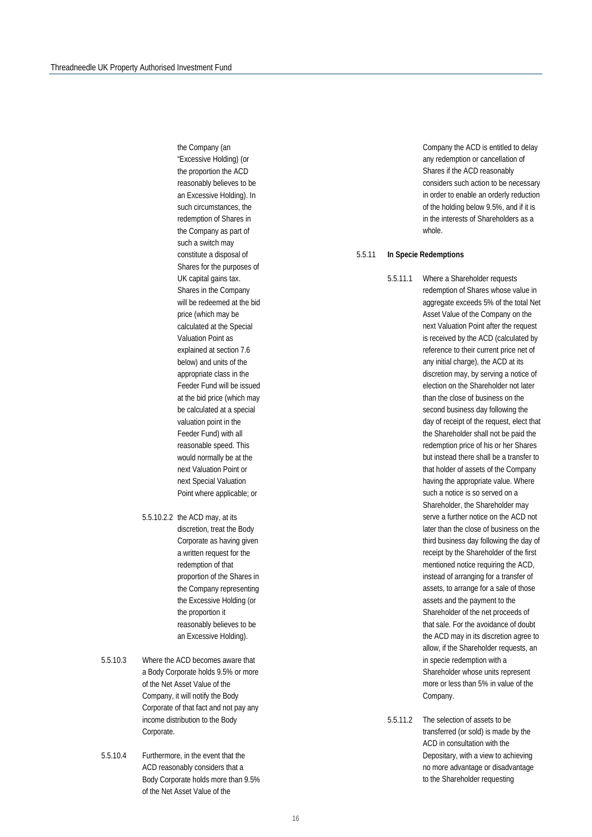the Company (an "Excessive Holding) (or the proportion the ACD reasonably believes to be an Excessive Holding). In such circumstances, the redemption of Shares in the Company as part of such a switch may constitute a disposal of Shares for the purposes of UK capital gains tax. Shares in the Company will be redeemed at the bid price (which may be calculated at the Special Valuation Point as explained at section 7.6 below) and units of the appropriate class in the Feeder Fund will be issued at the bid price (which may be calculated at a special valuation point in the Feeder Fund) with all reasonable speed. This would normally be at the next Valuation Point or next Special Valuation Point where applicable; or

- 5.5.10.2.2 the ACD may, at its discretion, treat the Body Corporate as having given a written request for the redemption of that proportion of the Shares in the Company representing the Excessive Holding (or the proportion it reasonably believes to be an Excessive Holding).
- 5.5.10.3 Where the ACD becomes aware that a Body Corporate holds 9.5% or more of the Net Asset Value of the Company, it will notify the Body Corporate of that fact and not pay any income distribution to the Body Corporate.
- 5.5.10.4 Furthermore, in the event that the ACD reasonably considers that a Body Corporate holds more than 9.5% of the Net Asset Value of the

Company the ACD is entitled to delay any redemption or cancellation of Shares if the ACD reasonably considers such action to be necessary in order to enable an orderly reduction of the holding below 9.5%, and if it is in the interests of Shareholders as a whole.

#### <span id="page-15-0"></span>5.5.11 **In Specie Redemptions**

- 5.5.11.1 Where a Shareholder requests redemption of Shares whose value in aggregate exceeds 5% of the total Net Asset Value of the Company on the next Valuation Point after the request is received by the ACD (calculated by reference to their current price net of any initial charge), the ACD at its discretion may, by serving a notice of election on the Shareholder not later than the close of business on the second business day following the day of receipt of the request, elect that the Shareholder shall not be paid the redemption price of his or her Shares but instead there shall be a transfer to that holder of assets of the Company having the appropriate value. Where such a notice is so served on a Shareholder, the Shareholder may serve a further notice on the ACD not later than the close of business on the third business day following the day of receipt by the Shareholder of the first mentioned notice requiring the ACD, instead of arranging for a transfer of assets, to arrange for a sale of those assets and the payment to the Shareholder of the net proceeds of that sale. For the avoidance of doubt the ACD may in its discretion agree to allow, if the Shareholder requests, an in specie redemption with a Shareholder whose units represent more or less than 5% in value of the Company.
- 5.5.11.2 The selection of assets to be transferred (or sold) is made by the ACD in consultation with the Depositary, with a view to achieving no more advantage or disadvantage to the Shareholder requesting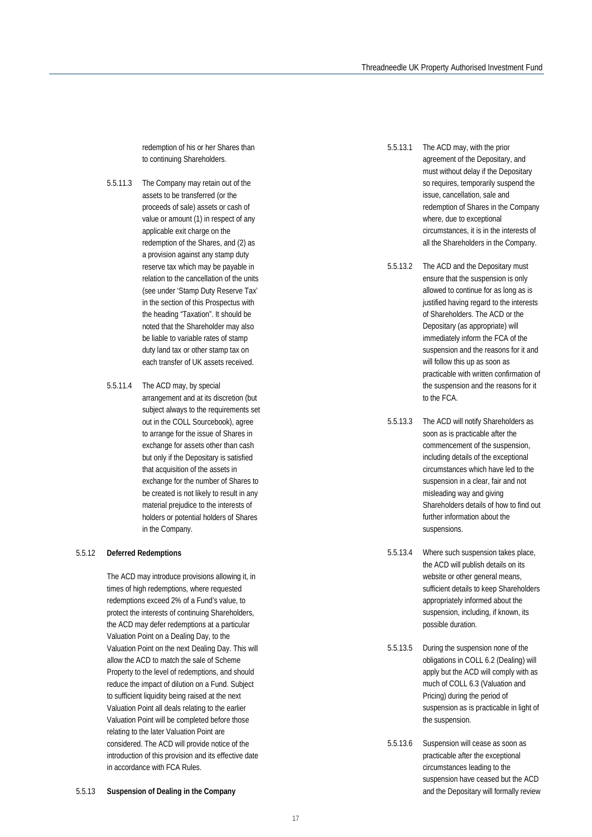redemption of his or her Shares than to continuing Shareholders.

- 5.5.11.3 The Company may retain out of the assets to be transferred (or the proceeds of sale) assets or cash of value or amount (1) in respect of any applicable exit charge on the redemption of the Shares, and (2) as a provision against any stamp duty reserve tax which may be payable in relation to the cancellation of the units (see under 'Stamp Duty Reserve Tax' in the section of this Prospectus with the heading "Taxation". It should be noted that the Shareholder may also be liable to variable rates of stamp duty land tax or other stamp tax on each transfer of UK assets received.
- 5.5.11.4 The ACD may, by special arrangement and at its discretion (but subject always to the requirements set out in the COLL Sourcebook), agree to arrange for the issue of Shares in exchange for assets other than cash but only if the Depositary is satisfied that acquisition of the assets in exchange for the number of Shares to be created is not likely to result in any material prejudice to the interests of holders or potential holders of Shares in the Company.

#### <span id="page-16-0"></span>5.5.12 **Deferred Redemptions**

The ACD may introduce provisions allowing it, in times of high redemptions, where requested redemptions exceed 2% of a Fund's value, to protect the interests of continuing Shareholders, the ACD may defer redemptions at a particular Valuation Point on a Dealing Day, to the Valuation Point on the next Dealing Day. This will allow the ACD to match the sale of Scheme Property to the level of redemptions, and should reduce the impact of dilution on a Fund. Subject to sufficient liquidity being raised at the next Valuation Point all deals relating to the earlier Valuation Point will be completed before those relating to the later Valuation Point are considered. The ACD will provide notice of the introduction of this provision and its effective date in accordance with FCA Rules.

5.5.13.1 The ACD may, with the prior agreement of the Depositary, and must without delay if the Depositary so requires, temporarily suspend the issue, cancellation, sale and redemption of Shares in the Company where, due to exceptional circumstances, it is in the interests of all the Shareholders in the Company.

5.5.13.2 The ACD and the Depositary must ensure that the suspension is only allowed to continue for as long as is justified having regard to the interests of Shareholders. The ACD or the Depositary (as appropriate) will immediately inform the FCA of the suspension and the reasons for it and will follow this up as soon as practicable with written confirmation of the suspension and the reasons for it to the FCA.

5.5.13.3 The ACD will notify Shareholders as soon as is practicable after the commencement of the suspension, including details of the exceptional circumstances which have led to the suspension in a clear, fair and not misleading way and giving Shareholders details of how to find out further information about the suspensions.

5.5.13.4 Where such suspension takes place, the ACD will publish details on its website or other general means, sufficient details to keep Shareholders appropriately informed about the suspension, including, if known, its possible duration.

5.5.13.5 During the suspension none of the obligations in COLL 6.2 (Dealing) will apply but the ACD will comply with as much of COLL 6.3 (Valuation and Pricing) during the period of suspension as is practicable in light of the suspension.

5.5.13.6 Suspension will cease as soon as practicable after the exceptional circumstances leading to the suspension have ceased but the ACD and the Depositary will formally review

5.5.13 **Suspension of Dealing in the Company**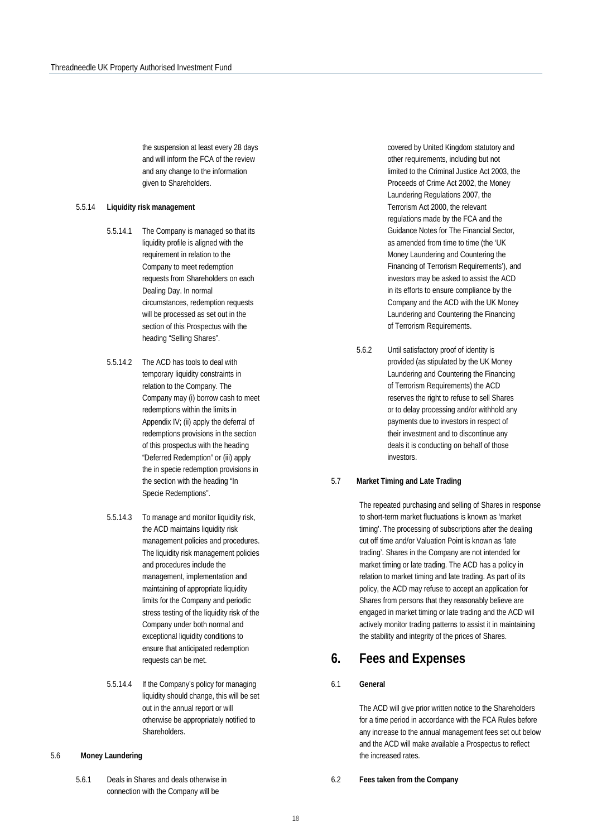the suspension at least every 28 days and will inform the FCA of the review and any change to the information given to Shareholders.

#### <span id="page-17-0"></span>5.5.14 **Liquidity risk management**

- 5.5.14.1 The Company is managed so that its liquidity profile is aligned with the requirement in relation to the Company to meet redemption requests from Shareholders on each Dealing Day. In normal circumstances, redemption requests will be processed as set out in the section of this Prospectus with the heading "Selling Shares".
- 5.5.14.2 The ACD has tools to deal with temporary liquidity constraints in relation to the Company. The Company may (i) borrow cash to meet redemptions within the limits in Appendix IV; (ii) apply the deferral of redemptions provisions in the section of this prospectus with the heading "Deferred Redemption" or (iii) apply the in specie redemption provisions in the section with the heading "In Specie Redemptions".
- 5.5.14.3 To manage and monitor liquidity risk, the ACD maintains liquidity risk management policies and procedures. The liquidity risk management policies and procedures include the management, implementation and maintaining of appropriate liquidity limits for the Company and periodic stress testing of the liquidity risk of the Company under both normal and exceptional liquidity conditions to ensure that anticipated redemption requests can be met.
- 5.5.14.4 If the Company's policy for managing liquidity should change, this will be set out in the annual report or will otherwise be appropriately notified to Shareholders.
- <span id="page-17-1"></span>5.6 **Money Laundering**
	- 5.6.1 Deals in Shares and deals otherwise in connection with the Company will be

covered by United Kingdom statutory and other requirements, including but not limited to the Criminal Justice Act 2003, the Proceeds of Crime Act 2002, the Money Laundering Regulations 2007, the Terrorism Act 2000, the relevant regulations made by the FCA and the Guidance Notes for The Financial Sector, as amended from time to time (the 'UK Money Laundering and Countering the Financing of Terrorism Requirements'), and investors may be asked to assist the ACD in its efforts to ensure compliance by the Company and the ACD with the UK Money Laundering and Countering the Financing of Terrorism Requirements.

5.6.2 Until satisfactory proof of identity is provided (as stipulated by the UK Money Laundering and Countering the Financing of Terrorism Requirements) the ACD reserves the right to refuse to sell Shares or to delay processing and/or withhold any payments due to investors in respect of their investment and to discontinue any deals it is conducting on behalf of those investors.

#### 5.7 **Market Timing and Late Trading**

The repeated purchasing and selling of Shares in response to short-term market fluctuations is known as 'market timing'. The processing of subscriptions after the dealing cut off time and/or Valuation Point is known as 'late trading'. Shares in the Company are not intended for market timing or late trading. The ACD has a policy in relation to market timing and late trading. As part of its policy, the ACD may refuse to accept an application for Shares from persons that they reasonably believe are engaged in market timing or late trading and the ACD will actively monitor trading patterns to assist it in maintaining the stability and integrity of the prices of Shares.

### **6. Fees and Expenses**

#### 6.1 **General**

The ACD will give prior written notice to the Shareholders for a time period in accordance with the FCA Rules before any increase to the annual management fees set out below and the ACD will make available a Prospectus to reflect the increased rates.

6.2 **Fees taken from the Company**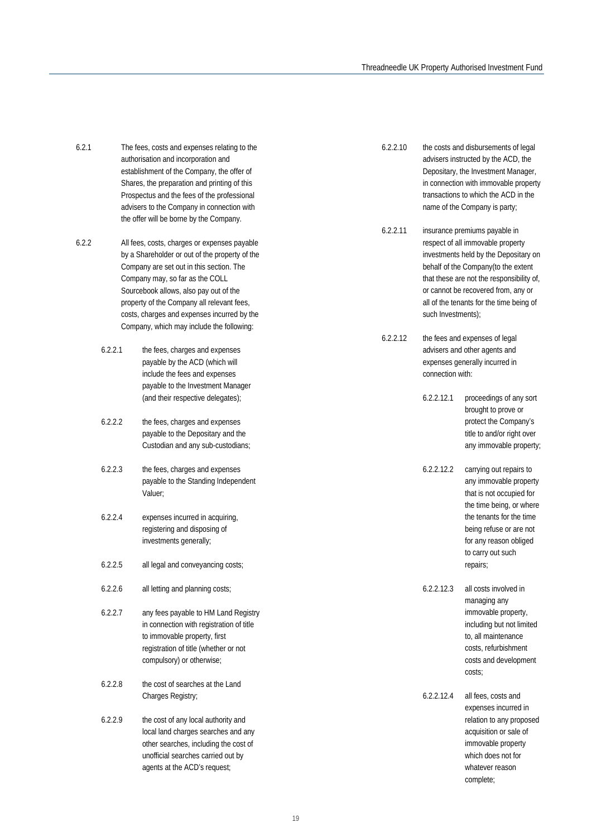- 6.2.1 The fees, costs and expenses relating to the authorisation and incorporation and establishment of the Company, the offer of Shares, the preparation and printing of this Prospectus and the fees of the professional advisers to the Company in connection with the offer will be borne by the Company.
- 6.2.2 All fees, costs, charges or expenses payable by a Shareholder or out of the property of the Company are set out in this section. The Company may, so far as the COLL Sourcebook allows, also pay out of the property of the Company all relevant fees, costs, charges and expenses incurred by the Company, which may include the following:
	- 6.2.2.1 the fees, charges and expenses payable by the ACD (which will include the fees and expenses payable to the Investment Manager (and their respective delegates);
	- 6.2.2.2 the fees, charges and expenses payable to the Depositary and the Custodian and any sub-custodians;
	- 6.2.2.3 the fees, charges and expenses payable to the Standing Independent Valuer;
	- 6.2.2.4 expenses incurred in acquiring, registering and disposing of investments generally;
	- 6.2.2.5 all legal and conveyancing costs;
	- 6.2.2.6 all letting and planning costs;
	- 6.2.2.7 any fees payable to HM Land Registry in connection with registration of title to immovable property, first registration of title (whether or not compulsory) or otherwise;
	- 6.2.2.8 the cost of searches at the Land Charges Registry;
	- 6.2.2.9 the cost of any local authority and local land charges searches and any other searches, including the cost of unofficial searches carried out by agents at the ACD's request;
- 6.2.2.10 the costs and disbursements of legal advisers instructed by the ACD, the Depositary, the Investment Manager, in connection with immovable property transactions to which the ACD in the name of the Company is party;
- 6.2.2.11 insurance premiums payable in respect of all immovable property investments held by the Depositary on behalf of the Company(to the extent that these are not the responsibility of, or cannot be recovered from, any or all of the tenants for the time being of such Investments);
- 6.2.2.12 the fees and expenses of legal advisers and other agents and expenses generally incurred in connection with:
	- 6.2.2.12.1 proceedings of any sort brought to prove or protect the Company's title to and/or right over any immovable property;
	- 6.2.2.12.2 carrying out repairs to any immovable property that is not occupied for the time being, or where the tenants for the time being refuse or are not for any reason obliged to carry out such repairs;
	- 6.2.2.12.3 all costs involved in managing any immovable property, including but not limited to, all maintenance costs, refurbishment costs and development costs;
	- 6.2.2.12.4 all fees, costs and expenses incurred in relation to any proposed acquisition or sale of immovable property which does not for whatever reason complete;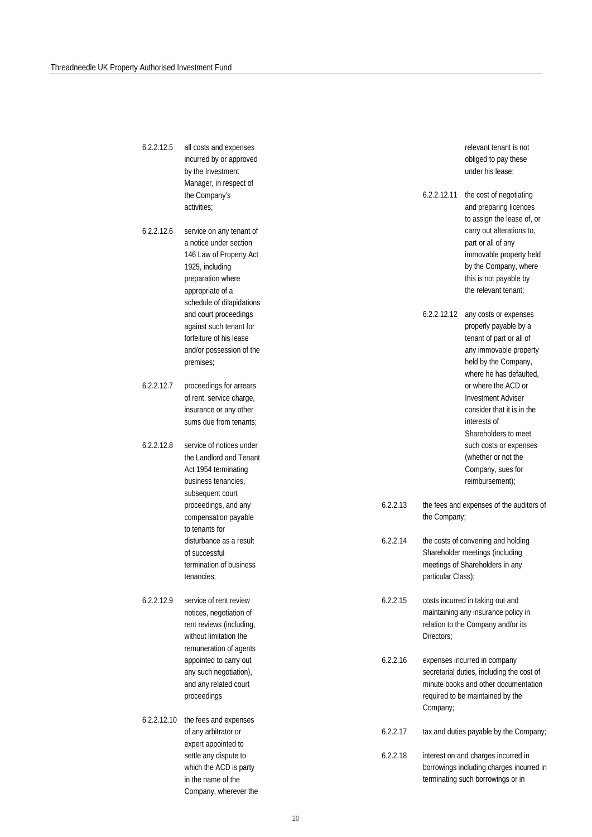| 6.2.2.12.5  | all costs and expenses<br>incurred by or approved<br>by the Investment<br>Manager, in respect of                                                                       |          | relevant tenant is not<br>obliged to pay these<br>under his lease; |                                                                                                                                                         |
|-------------|------------------------------------------------------------------------------------------------------------------------------------------------------------------------|----------|--------------------------------------------------------------------|---------------------------------------------------------------------------------------------------------------------------------------------------------|
|             | the Company's<br>activities;                                                                                                                                           |          | 6.2.2.12.11                                                        | the cost of negotiating<br>and preparing licences<br>to assign the lease of, or                                                                         |
| 6.2.2.12.6  | service on any tenant of<br>a notice under section<br>146 Law of Property Act<br>1925, including<br>preparation where<br>appropriate of a<br>schedule of dilapidations |          |                                                                    | carry out alterations to,<br>part or all of any<br>immovable property held<br>by the Company, where<br>this is not payable by<br>the relevant tenant;   |
|             | and court proceedings<br>against such tenant for<br>forfeiture of his lease<br>and/or possession of the<br>premises;                                                   |          | 6.2.2.12.12                                                        | any costs or expenses<br>properly payable by a<br>tenant of part or all of<br>any immovable property<br>held by the Company,<br>where he has defaulted. |
| 6.2.2.12.7  | proceedings for arrears<br>of rent, service charge,<br>insurance or any other<br>sums due from tenants;                                                                |          |                                                                    | or where the ACD or<br><b>Investment Adviser</b><br>consider that it is in the<br>interests of<br>Shareholders to meet                                  |
| 6.2.2.12.8  | service of notices under<br>the Landlord and Tenant<br>Act 1954 terminating<br>business tenancies,<br>subsequent court                                                 |          |                                                                    | such costs or expenses<br>(whether or not the<br>Company, sues for<br>reimbursement);                                                                   |
|             | proceedings, and any<br>compensation payable<br>to tenants for                                                                                                         | 6.2.2.13 | the Company;                                                       | the fees and expenses of the auditors of                                                                                                                |
|             | disturbance as a result<br>of successful<br>termination of business<br>tenancies;                                                                                      | 6.2.2.14 | particular Class);                                                 | the costs of convening and holding<br>Shareholder meetings (including<br>meetings of Shareholders in any                                                |
| 6.2.2.12.9  | service of rent review<br>notices, negotiation of<br>rent reviews (including,<br>without limitation the<br>remuneration of agents                                      | 6.2.2.15 | Directors;                                                         | costs incurred in taking out and<br>maintaining any insurance policy in<br>relation to the Company and/or its                                           |
|             | appointed to carry out<br>any such negotiation),<br>and any related court<br>proceedings                                                                               | 6.2.2.16 | Company;                                                           | expenses incurred in company<br>secretarial duties, including the cost of<br>minute books and other documentation<br>required to be maintained by the   |
| 6.2.2.12.10 | the fees and expenses<br>of any arbitrator or<br>expert appointed to                                                                                                   | 6.2.2.17 |                                                                    | tax and duties payable by the Company;                                                                                                                  |
|             | settle any dispute to<br>which the ACD is party<br>in the name of the<br>Company, wherever the                                                                         | 6.2.2.18 |                                                                    | interest on and charges incurred in<br>borrowings including charges incurred in<br>terminating such borrowings or in                                    |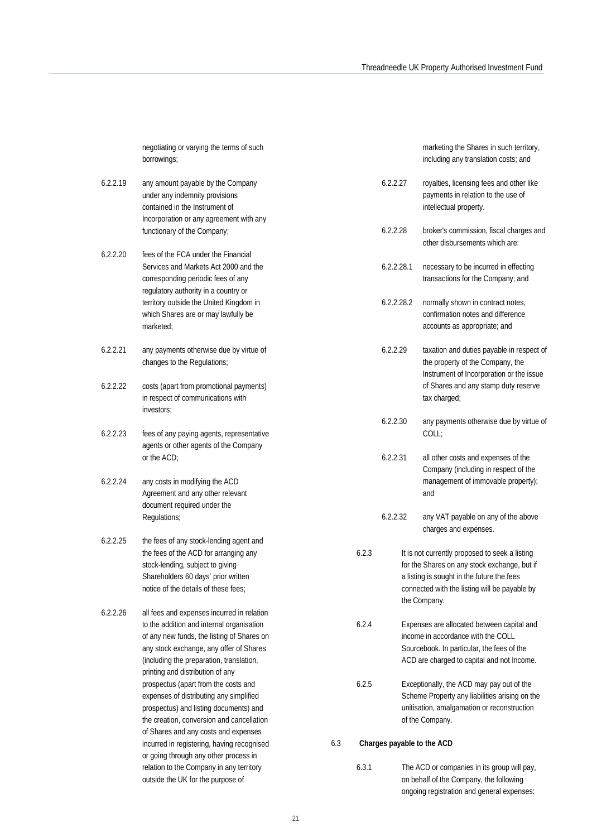negotiating or varying the terms of such borrowings;

- 6.2.2.19 any amount payable by the Company under any indemnity provisions contained in the Instrument of Incorporation or any agreement with any functionary of the Company;
- 6.2.2.20 fees of the FCA under the Financial Services and Markets Act 2000 and the corresponding periodic fees of any regulatory authority in a country or territory outside the United Kingdom in which Shares are or may lawfully be marketed;
- 6.2.2.21 any payments otherwise due by virtue of changes to the Regulations;
- 6.2.2.22 costs (apart from promotional payments) in respect of communications with investors;
- 6.2.2.23 fees of any paying agents, representative agents or other agents of the Company or the ACD;
- 6.2.2.24 any costs in modifying the ACD Agreement and any other relevant document required under the Regulations;
- 6.2.2.25 the fees of any stock-lending agent and the fees of the ACD for arranging any stock-lending, subject to giving Shareholders 60 days' prior written notice of the details of these fees;
- 6.2.2.26 all fees and expenses incurred in relation to the addition and internal organisation of any new funds, the listing of Shares on any stock exchange, any offer of Shares (including the preparation, translation, printing and distribution of any prospectus (apart from the costs and expenses of distributing any simplified prospectus) and listing documents) and the creation, conversion and cancellation of Shares and any costs and expenses incurred in registering, having recognised or going through any other process in relation to the Company in any territory outside the UK for the purpose of

marketing the Shares in such territory, including any translation costs; and

- 6.2.2.27 royalties, licensing fees and other like payments in relation to the use of intellectual property.
- 6.2.2.28 broker's commission, fiscal charges and other disbursements which are:
- 6.2.2.28.1 necessary to be incurred in effecting transactions for the Company; and
- 6.2.2.28.2 normally shown in contract notes, confirmation notes and difference accounts as appropriate; and
- 6.2.2.29 taxation and duties payable in respect of the property of the Company, the Instrument of Incorporation or the issue of Shares and any stamp duty reserve tax charged;
- 6.2.2.30 any payments otherwise due by virtue of  $C<sub>0</sub>$  $\mid$ .
- 6.2.2.31 all other costs and expenses of the Company (including in respect of the management of immovable property); and
- 6.2.2.32 any VAT payable on any of the above charges and expenses.
- 6.2.3 It is not currently proposed to seek a listing for the Shares on any stock exchange, but if a listing is sought in the future the fees connected with the listing will be payable by the Company.
- 6.2.4 Expenses are allocated between capital and income in accordance with the COLL Sourcebook. In particular, the fees of the ACD are charged to capital and not Income.
- 6.2.5 Exceptionally, the ACD may pay out of the Scheme Property any liabilities arising on the unitisation, amalgamation or reconstruction of the Company.

#### 6.3 **Charges payable to the ACD**

6.3.1 The ACD or companies in its group will pay, on behalf of the Company, the following ongoing registration and general expenses: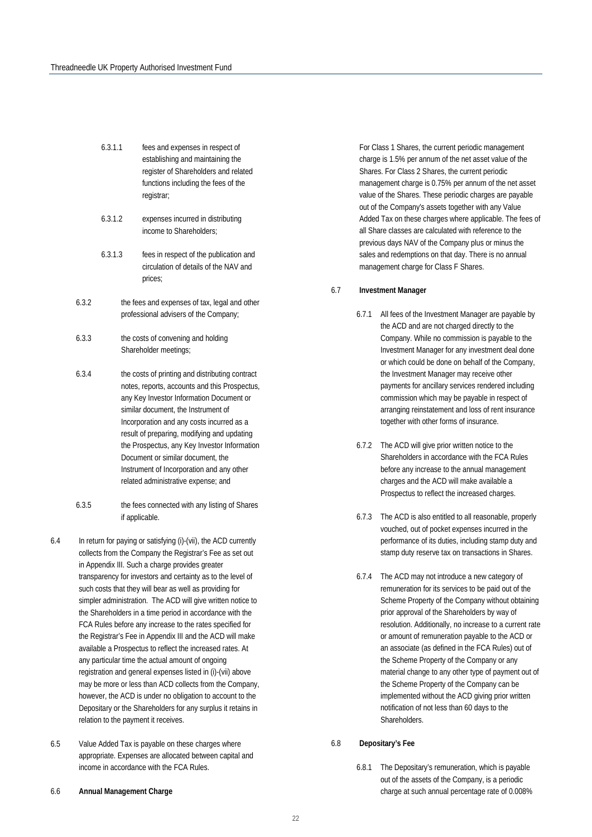- 6.3.1.1 fees and expenses in respect of establishing and maintaining the register of Shareholders and related functions including the fees of the registrar;
- 6.3.1.2 expenses incurred in distributing income to Shareholders;
- 6.3.1.3 fees in respect of the publication and circulation of details of the NAV and prices;
- 6.3.2 the fees and expenses of tax, legal and other professional advisers of the Company;
- 6.3.3 the costs of convening and holding Shareholder meetings;
- 6.3.4 the costs of printing and distributing contract notes, reports, accounts and this Prospectus, any Key Investor Information Document or similar document, the Instrument of Incorporation and any costs incurred as a result of preparing, modifying and updating the Prospectus, any Key Investor Information Document or similar document, the Instrument of Incorporation and any other related administrative expense; and
- 6.3.5 the fees connected with any listing of Shares if applicable.
- 6.4 In return for paying or satisfying (i)-(vii), the ACD currently collects from the Company the Registrar's Fee as set out in Appendix III. Such a charge provides greater transparency for investors and certainty as to the level of such costs that they will bear as well as providing for simpler administration. The ACD will give written notice to the Shareholders in a time period in accordance with the FCA Rules before any increase to the rates specified for the Registrar's Fee in Appendix III and the ACD will make available a Prospectus to reflect the increased rates. At any particular time the actual amount of ongoing registration and general expenses listed in (i)-(vii) above may be more or less than ACD collects from the Company, however, the ACD is under no obligation to account to the Depositary or the Shareholders for any surplus it retains in relation to the payment it receives.
- 6.5 Value Added Tax is payable on these charges where appropriate. Expenses are allocated between capital and income in accordance with the FCA Rules.
- 6.6 **Annual Management Charge**

For Class 1 Shares, the current periodic management charge is 1.5% per annum of the net asset value of the Shares. For Class 2 Shares, the current periodic management charge is 0.75% per annum of the net asset value of the Shares. These periodic charges are payable out of the Company's assets together with any Value Added Tax on these charges where applicable. The fees of all Share classes are calculated with reference to the previous days NAV of the Company plus or minus the sales and redemptions on that day. There is no annual management charge for Class F Shares.

#### 6.7 **Investment Manager**

- 6.7.1 All fees of the Investment Manager are payable by the ACD and are not charged directly to the Company. While no commission is payable to the Investment Manager for any investment deal done or which could be done on behalf of the Company, the Investment Manager may receive other payments for ancillary services rendered including commission which may be payable in respect of arranging reinstatement and loss of rent insurance together with other forms of insurance.
- 6.7.2 The ACD will give prior written notice to the Shareholders in accordance with the FCA Rules before any increase to the annual management charges and the ACD will make available a Prospectus to reflect the increased charges.
- 6.7.3 The ACD is also entitled to all reasonable, properly vouched, out of pocket expenses incurred in the performance of its duties, including stamp duty and stamp duty reserve tax on transactions in Shares.
- 6.7.4 The ACD may not introduce a new category of remuneration for its services to be paid out of the Scheme Property of the Company without obtaining prior approval of the Shareholders by way of resolution. Additionally, no increase to a current rate or amount of remuneration payable to the ACD or an associate (as defined in the FCA Rules) out of the Scheme Property of the Company or any material change to any other type of payment out of the Scheme Property of the Company can be implemented without the ACD giving prior written notification of not less than 60 days to the Shareholders.

#### 6.8 **Depositary's Fee**

6.8.1 The Depositary's remuneration, which is payable out of the assets of the Company, is a periodic charge at such annual percentage rate of 0.008%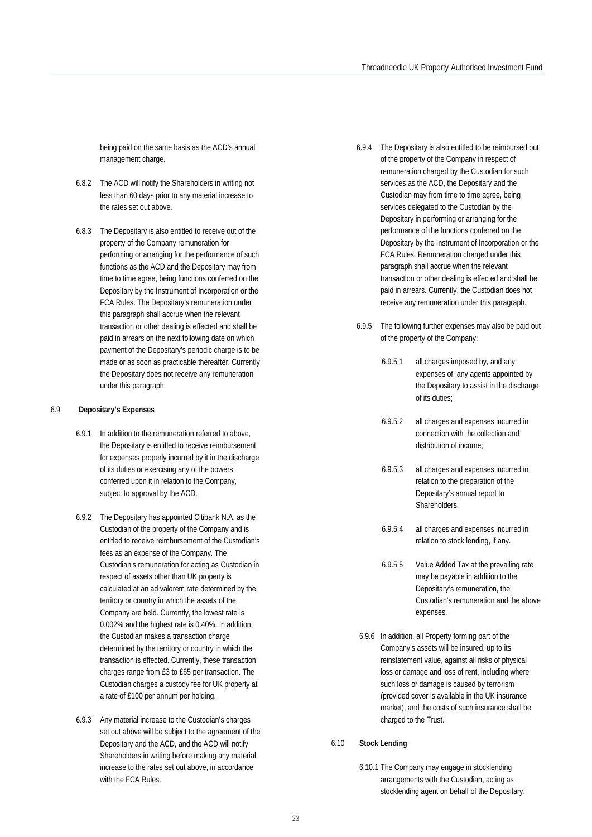being paid on the same basis as the ACD's annual management charge.

- 6.8.2 The ACD will notify the Shareholders in writing not less than 60 days prior to any material increase to the rates set out above.
- 6.8.3 The Depositary is also entitled to receive out of the property of the Company remuneration for performing or arranging for the performance of such functions as the ACD and the Depositary may from time to time agree, being functions conferred on the Depositary by the Instrument of Incorporation or the FCA Rules. The Depositary's remuneration under this paragraph shall accrue when the relevant transaction or other dealing is effected and shall be paid in arrears on the next following date on which payment of the Depositary's periodic charge is to be made or as soon as practicable thereafter. Currently the Depositary does not receive any remuneration under this paragraph.

#### 6.9 **Depositary's Expenses**

- 6.9.1 In addition to the remuneration referred to above, the Depositary is entitled to receive reimbursement for expenses properly incurred by it in the discharge of its duties or exercising any of the powers conferred upon it in relation to the Company, subject to approval by the ACD.
- 6.9.2 The Depositary has appointed Citibank N.A. as the Custodian of the property of the Company and is entitled to receive reimbursement of the Custodian's fees as an expense of the Company. The Custodian's remuneration for acting as Custodian in respect of assets other than UK property is calculated at an ad valorem rate determined by the territory or country in which the assets of the Company are held. Currently, the lowest rate is 0.002% and the highest rate is 0.40%. In addition, the Custodian makes a transaction charge determined by the territory or country in which the transaction is effected. Currently, these transaction charges range from £3 to £65 per transaction. The Custodian charges a custody fee for UK property at a rate of £100 per annum per holding.
- 6.9.3 Any material increase to the Custodian's charges set out above will be subject to the agreement of the Depositary and the ACD, and the ACD will notify Shareholders in writing before making any material increase to the rates set out above, in accordance with the FCA Rules.
- 6.9.4 The Depositary is also entitled to be reimbursed out of the property of the Company in respect of remuneration charged by the Custodian for such services as the ACD, the Depositary and the Custodian may from time to time agree, being services delegated to the Custodian by the Depositary in performing or arranging for the performance of the functions conferred on the Depositary by the Instrument of Incorporation or the FCA Rules. Remuneration charged under this paragraph shall accrue when the relevant transaction or other dealing is effected and shall be paid in arrears. Currently, the Custodian does not receive any remuneration under this paragraph.
- 6.9.5 The following further expenses may also be paid out of the property of the Company:
	- 6.9.5.1 all charges imposed by, and any expenses of, any agents appointed by the Depositary to assist in the discharge of its duties;
	- 6.9.5.2 all charges and expenses incurred in connection with the collection and distribution of income;
	- 6.9.5.3 all charges and expenses incurred in relation to the preparation of the Depositary's annual report to Shareholders;
	- 6.9.5.4 all charges and expenses incurred in relation to stock lending, if any.
	- 6.9.5.5 Value Added Tax at the prevailing rate may be payable in addition to the Depositary's remuneration, the Custodian's remuneration and the above expenses.
- 6.9.6 In addition, all Property forming part of the Company's assets will be insured, up to its reinstatement value, against all risks of physical loss or damage and loss of rent, including where such loss or damage is caused by terrorism (provided cover is available in the UK insurance market), and the costs of such insurance shall be charged to the Trust.

#### 6.10 **Stock Lending**

6.10.1 The Company may engage in stocklending arrangements with the Custodian, acting as stocklending agent on behalf of the Depositary.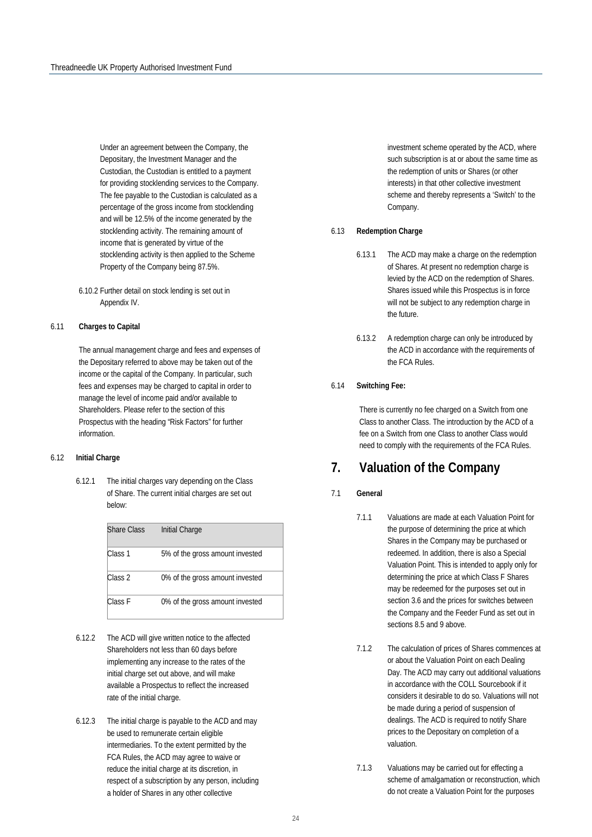Under an agreement between the Company, the Depositary, the Investment Manager and the Custodian, the Custodian is entitled to a payment for providing stocklending services to the Company. The fee payable to the Custodian is calculated as a percentage of the gross income from stocklending and will be 12.5% of the income generated by the stocklending activity. The remaining amount of income that is generated by virtue of the stocklending activity is then applied to the Scheme Property of the Company being 87.5%.

6.10.2 Further detail on stock lending is set out in Appendix IV.

#### 6.11 **Charges to Capital**

The annual management charge and fees and expenses of the Depositary referred to above may be taken out of the income or the capital of the Company. In particular, such fees and expenses may be charged to capital in order to manage the level of income paid and/or available to Shareholders. Please refer to the section of this Prospectus with the heading "Risk Factors" for further information.

#### 6.12 **Initial Charge**

6.12.1 The initial charges vary depending on the Class of Share. The current initial charges are set out below:

| <b>Share Class</b> | Initial Charge                  |
|--------------------|---------------------------------|
| Class 1            | 5% of the gross amount invested |
| Class <sub>2</sub> | 0% of the gross amount invested |
| Class F            | 0% of the gross amount invested |

- 6.12.2 The ACD will give written notice to the affected Shareholders not less than 60 days before implementing any increase to the rates of the initial charge set out above, and will make available a Prospectus to reflect the increased rate of the initial charge.
- 6.12.3 The initial charge is payable to the ACD and may be used to remunerate certain eligible intermediaries. To the extent permitted by the FCA Rules, the ACD may agree to waive or reduce the initial charge at its discretion, in respect of a subscription by any person, including a holder of Shares in any other collective

investment scheme operated by the ACD, where such subscription is at or about the same time as the redemption of units or Shares (or other interests) in that other collective investment scheme and thereby represents a 'Switch' to the Company.

#### 6.13 **Redemption Charge**

- 6.13.1 The ACD may make a charge on the redemption of Shares. At present no redemption charge is levied by the ACD on the redemption of Shares. Shares issued while this Prospectus is in force will not be subject to any redemption charge in the future.
- 6.13.2 A redemption charge can only be introduced by the ACD in accordance with the requirements of the FCA Rules.

#### 6.14 **Switching Fee:**

There is currently no fee charged on a Switch from one Class to another Class. The introduction by the ACD of a fee on a Switch from one Class to another Class would need to comply with the requirements of the FCA Rules.

## <span id="page-23-0"></span>**7. Valuation of the Company**

#### 7.1 **General**

- 7.1.1 Valuations are made at each Valuation Point for the purpose of determining the price at which Shares in the Company may be purchased or redeemed. In addition, there is also a Special Valuation Point. This is intended to apply only for determining the price at which Class F Shares may be redeemed for the purposes set out in section 3.6 and the prices for switches between the Company and the Feeder Fund as set out in sections 8.5 and 9 above.
- 7.1.2 The calculation of prices of Shares commences at or about the Valuation Point on each Dealing Day. The ACD may carry out additional valuations in accordance with the COLL Sourcebook if it considers it desirable to do so. Valuations will not be made during a period of suspension of dealings. The ACD is required to notify Share prices to the Depositary on completion of a valuation.
- 7.1.3 Valuations may be carried out for effecting a scheme of amalgamation or reconstruction, which do not create a Valuation Point for the purposes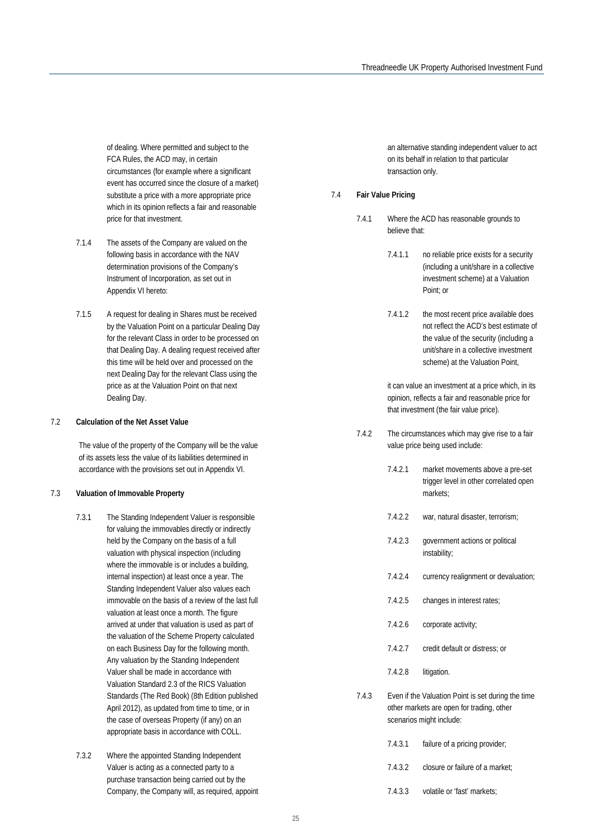of dealing. Where permitted and subject to the FCA Rules, the ACD may, in certain circumstances (for example where a significant event has occurred since the closure of a market) substitute a price with a more appropriate price which in its opinion reflects a fair and reasonable price for that investment.

- 7.1.4 The assets of the Company are valued on the following basis in accordance with the NAV determination provisions of the Company's Instrument of Incorporation, as set out in Appendix VI hereto:
- 7.1.5 A request for dealing in Shares must be received by the Valuation Point on a particular Dealing Day for the relevant Class in order to be processed on that Dealing Day. A dealing request received after this time will be held over and processed on the next Dealing Day for the relevant Class using the price as at the Valuation Point on that next Dealing Day.

#### 7.2 **Calculation of the Net Asset Value**

The value of the property of the Company will be the value of its assets less the value of its liabilities determined in accordance with the provisions set out in Appendix VI.

#### 7.3 **Valuation of Immovable Property**

- 7.3.1 The Standing Independent Valuer is responsible for valuing the immovables directly or indirectly held by the Company on the basis of a full valuation with physical inspection (including where the immovable is or includes a building, internal inspection) at least once a year. The Standing Independent Valuer also values each immovable on the basis of a review of the last full valuation at least once a month. The figure arrived at under that valuation is used as part of the valuation of the Scheme Property calculated on each Business Day for the following month. Any valuation by the Standing Independent Valuer shall be made in accordance with Valuation Standard 2.3 of the RICS Valuation Standards (The Red Book) (8th Edition published April 2012), as updated from time to time, or in the case of overseas Property (if any) on an appropriate basis in accordance with COLL.
- 7.3.2 Where the appointed Standing Independent Valuer is acting as a connected party to a purchase transaction being carried out by the Company, the Company will, as required, appoint

an alternative standing independent valuer to act on its behalf in relation to that particular transaction only.

#### 7.4 **Fair Value Pricing**

- 7.4.1 Where the ACD has reasonable grounds to believe that:
	- 7.4.1.1 no reliable price exists for a security (including a unit/share in a collective investment scheme) at a Valuation Point; or
	- 7.4.1.2 the most recent price available does not reflect the ACD's best estimate of the value of the security (including a unit/share in a collective investment scheme) at the Valuation Point,

it can value an investment at a price which, in its opinion, reflects a fair and reasonable price for that investment (the fair value price).

- 7.4.2 The circumstances which may give rise to a fair value price being used include:
	- 7.4.2.1 market movements above a pre-set trigger level in other correlated open markets;
	- 7.4.2.2 war, natural disaster, terrorism;
	- 7.4.2.3 government actions or political instability;
	- 7.4.2.4 currency realignment or devaluation;
	- 7.4.2.5 changes in interest rates;
	- 7.4.2.6 corporate activity;
	- 7.4.2.7 credit default or distress; or
	- 7.4.2.8 litigation.
- 7.4.3 Even if the Valuation Point is set during the time other markets are open for trading, other scenarios might include:
	- 7.4.3.1 failure of a pricing provider; 7.4.3.2 closure or failure of a market;
	-
	- 7.4.3.3 volatile or 'fast' markets;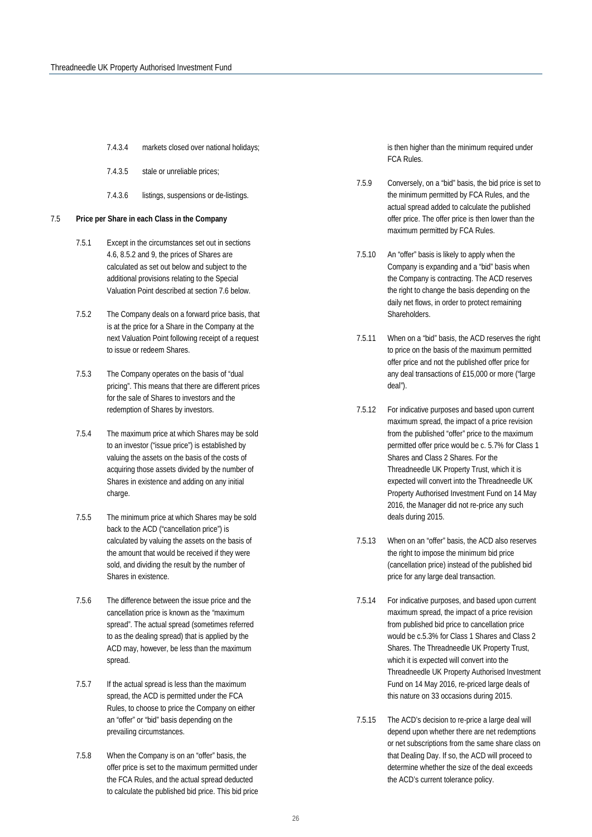- 7.4.3.4 markets closed over national holidays;
- 7.4.3.5 stale or unreliable prices;
- 7.4.3.6 listings, suspensions or de-listings.

#### 7.5 **Price per Share in each Class in the Company**

- 7.5.1 Except in the circumstances set out in sections 4.6, 8.5.2 and 9, the prices of Shares are calculated as set out below and subject to the additional provisions relating to the Special Valuation Point described at section 7.6 below.
- 7.5.2 The Company deals on a forward price basis, that is at the price for a Share in the Company at the next Valuation Point following receipt of a request to issue or redeem Shares.
- 7.5.3 The Company operates on the basis of "dual pricing". This means that there are different prices for the sale of Shares to investors and the redemption of Shares by investors.
- 7.5.4 The maximum price at which Shares may be sold to an investor ("issue price") is established by valuing the assets on the basis of the costs of acquiring those assets divided by the number of Shares in existence and adding on any initial charge.
- 7.5.5 The minimum price at which Shares may be sold back to the ACD ("cancellation price") is calculated by valuing the assets on the basis of the amount that would be received if they were sold, and dividing the result by the number of Shares in existence.
- 7.5.6 The difference between the issue price and the cancellation price is known as the "maximum spread". The actual spread (sometimes referred to as the dealing spread) that is applied by the ACD may, however, be less than the maximum spread.
- 7.5.7 If the actual spread is less than the maximum spread, the ACD is permitted under the FCA Rules, to choose to price the Company on either an "offer" or "bid" basis depending on the prevailing circumstances.
- 7.5.8 When the Company is on an "offer" basis, the offer price is set to the maximum permitted under the FCA Rules, and the actual spread deducted to calculate the published bid price. This bid price

is then higher than the minimum required under FCA Rules.

- 7.5.9 Conversely, on a "bid" basis, the bid price is set to the minimum permitted by FCA Rules, and the actual spread added to calculate the published offer price. The offer price is then lower than the maximum permitted by FCA Rules.
- 7.5.10 An "offer" basis is likely to apply when the Company is expanding and a "bid" basis when the Company is contracting. The ACD reserves the right to change the basis depending on the daily net flows, in order to protect remaining Shareholders.
- 7.5.11 When on a "bid" basis, the ACD reserves the right to price on the basis of the maximum permitted offer price and not the published offer price for any deal transactions of £15,000 or more ("large deal").
- 7.5.12 For indicative purposes and based upon current maximum spread, the impact of a price revision from the published "offer" price to the maximum permitted offer price would be c. 5.7% for Class 1 Shares and Class 2 Shares. For the Threadneedle UK Property Trust, which it is expected will convert into the Threadneedle UK Property Authorised Investment Fund on 14 May 2016, the Manager did not re-price any such deals during 2015.
- 7.5.13 When on an "offer" basis, the ACD also reserves the right to impose the minimum bid price (cancellation price) instead of the published bid price for any large deal transaction.
- 7.5.14 For indicative purposes, and based upon current maximum spread, the impact of a price revision from published bid price to cancellation price would be c.5.3% for Class 1 Shares and Class 2 Shares. The Threadneedle UK Property Trust, which it is expected will convert into the Threadneedle UK Property Authorised Investment Fund on 14 May 2016, re-priced large deals of this nature on 33 occasions during 2015.
- 7.5.15 The ACD's decision to re-price a large deal will depend upon whether there are net redemptions or net subscriptions from the same share class on that Dealing Day. If so, the ACD will proceed to determine whether the size of the deal exceeds the ACD's current tolerance policy.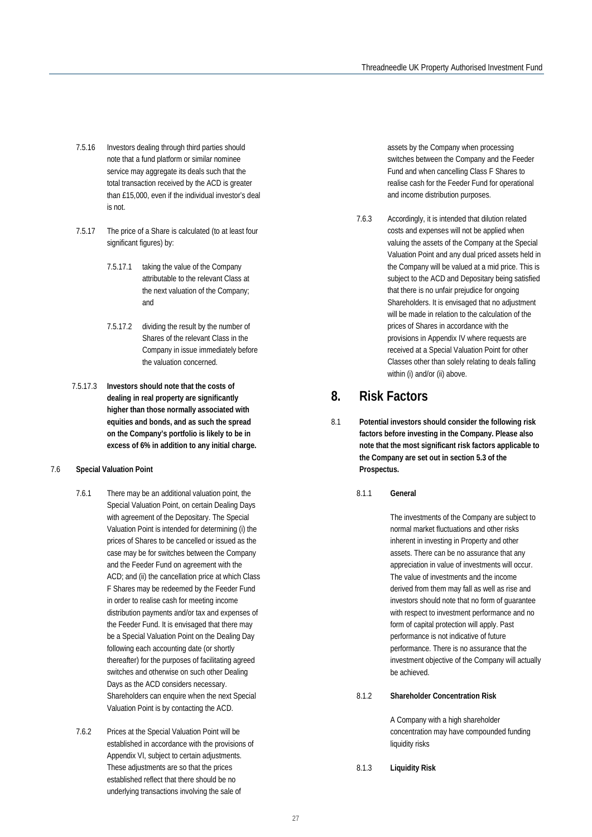- 7.5.16 Investors dealing through third parties should note that a fund platform or similar nominee service may aggregate its deals such that the total transaction received by the ACD is greater than £15,000, even if the individual investor's deal is not.
- 7.5.17 The price of a Share is calculated (to at least four significant figures) by:
	- 7.5.17.1 taking the value of the Company attributable to the relevant Class at the next valuation of the Company; and
	- 7.5.17.2 dividing the result by the number of Shares of the relevant Class in the Company in issue immediately before the valuation concerned.
- 7.5.17.3 **Investors should note that the costs of dealing in real property are significantly higher than those normally associated with equities and bonds, and as such the spread on the Company's portfolio is likely to be in excess of 6% in addition to any initial charge.**

#### 7.6 **Special Valuation Point**

- 7.6.1 There may be an additional valuation point, the Special Valuation Point, on certain Dealing Days with agreement of the Depositary. The Special Valuation Point is intended for determining (i) the prices of Shares to be cancelled or issued as the case may be for switches between the Company and the Feeder Fund on agreement with the ACD; and (ii) the cancellation price at which Class F Shares may be redeemed by the Feeder Fund in order to realise cash for meeting income distribution payments and/or tax and expenses of the Feeder Fund. It is envisaged that there may be a Special Valuation Point on the Dealing Day following each accounting date (or shortly thereafter) for the purposes of facilitating agreed switches and otherwise on such other Dealing Days as the ACD considers necessary. Shareholders can enquire when the next Special Valuation Point is by contacting the ACD.
- 7.6.2 Prices at the Special Valuation Point will be established in accordance with the provisions of Appendix VI, subject to certain adjustments. These adjustments are so that the prices established reflect that there should be no underlying transactions involving the sale of

assets by the Company when processing switches between the Company and the Feeder Fund and when cancelling Class F Shares to realise cash for the Feeder Fund for operational and income distribution purposes.

7.6.3 Accordingly, it is intended that dilution related costs and expenses will not be applied when valuing the assets of the Company at the Special Valuation Point and any dual priced assets held in the Company will be valued at a mid price. This is subject to the ACD and Depositary being satisfied that there is no unfair prejudice for ongoing Shareholders. It is envisaged that no adjustment will be made in relation to the calculation of the prices of Shares in accordance with the provisions in Appendix IV where requests are received at a Special Valuation Point for other Classes other than solely relating to deals falling within (i) and/or (ii) above.

### <span id="page-26-0"></span>**8. Risk Factors**

- 8.1 **Potential investors should consider the following risk factors before investing in the Company. Please also note that the most significant risk factors applicable to the Company are set out in section 5.3 of the Prospectus.**
	- 8.1.1 **General**

The investments of the Company are subject to normal market fluctuations and other risks inherent in investing in Property and other assets. There can be no assurance that any appreciation in value of investments will occur. The value of investments and the income derived from them may fall as well as rise and investors should note that no form of guarantee with respect to investment performance and no form of capital protection will apply. Past performance is not indicative of future performance. There is no assurance that the investment objective of the Company will actually be achieved.

#### 8.1.2 **Shareholder Concentration Risk**

A Company with a high shareholder concentration may have compounded funding liquidity risks

8.1.3 **Liquidity Risk**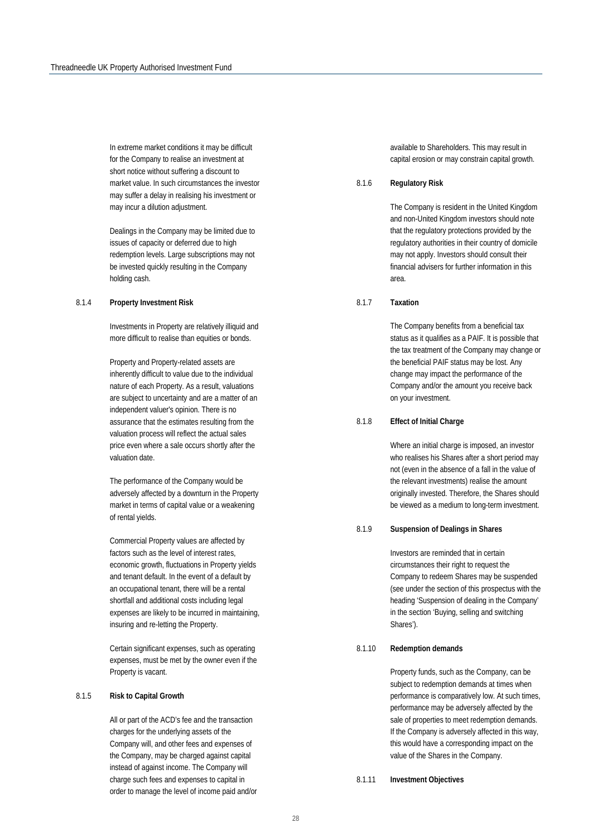In extreme market conditions it may be difficult for the Company to realise an investment at short notice without suffering a discount to market value. In such circumstances the investor may suffer a delay in realising his investment or may incur a dilution adjustment.

Dealings in the Company may be limited due to issues of capacity or deferred due to high redemption levels. Large subscriptions may not be invested quickly resulting in the Company holding cash.

#### 8.1.4 **Property Investment Risk**

Investments in Property are relatively illiquid and more difficult to realise than equities or bonds.

Property and Property-related assets are inherently difficult to value due to the individual nature of each Property. As a result, valuations are subject to uncertainty and are a matter of an independent valuer's opinion. There is no assurance that the estimates resulting from the valuation process will reflect the actual sales price even where a sale occurs shortly after the valuation date.

The performance of the Company would be adversely affected by a downturn in the Property market in terms of capital value or a weakening of rental yields.

Commercial Property values are affected by factors such as the level of interest rates, economic growth, fluctuations in Property yields and tenant default. In the event of a default by an occupational tenant, there will be a rental shortfall and additional costs including legal expenses are likely to be incurred in maintaining, insuring and re-letting the Property.

Certain significant expenses, such as operating expenses, must be met by the owner even if the Property is vacant.

#### 8.1.5 **Risk to Capital Growth**

All or part of the ACD's fee and the transaction charges for the underlying assets of the Company will, and other fees and expenses of the Company, may be charged against capital instead of against income. The Company will charge such fees and expenses to capital in order to manage the level of income paid and/or available to Shareholders. This may result in capital erosion or may constrain capital growth.

#### 8.1.6 **Regulatory Risk**

The Company is resident in the United Kingdom and non-United Kingdom investors should note that the regulatory protections provided by the regulatory authorities in their country of domicile may not apply. Investors should consult their financial advisers for further information in this area.

#### 8.1.7 **Taxation**

The Company benefits from a beneficial tax status as it qualifies as a PAIF. It is possible that the tax treatment of the Company may change or the beneficial PAIF status may be lost. Any change may impact the performance of the Company and/or the amount you receive back on your investment.

#### 8.1.8 **Effect of Initial Charge**

Where an initial charge is imposed, an investor who realises his Shares after a short period may not (even in the absence of a fall in the value of the relevant investments) realise the amount originally invested. Therefore, the Shares should be viewed as a medium to long-term investment.

#### 8.1.9 **Suspension of Dealings in Shares**

Investors are reminded that in certain circumstances their right to request the Company to redeem Shares may be suspended (see under the section of this prospectus with the heading 'Suspension of dealing in the Company' in the section 'Buying, selling and switching Shares').

#### 8.1.10 **Redemption demands**

Property funds, such as the Company, can be subject to redemption demands at times when performance is comparatively low. At such times, performance may be adversely affected by the sale of properties to meet redemption demands. If the Company is adversely affected in this way, this would have a corresponding impact on the value of the Shares in the Company.

#### 8.1.11 **Investment Objectives**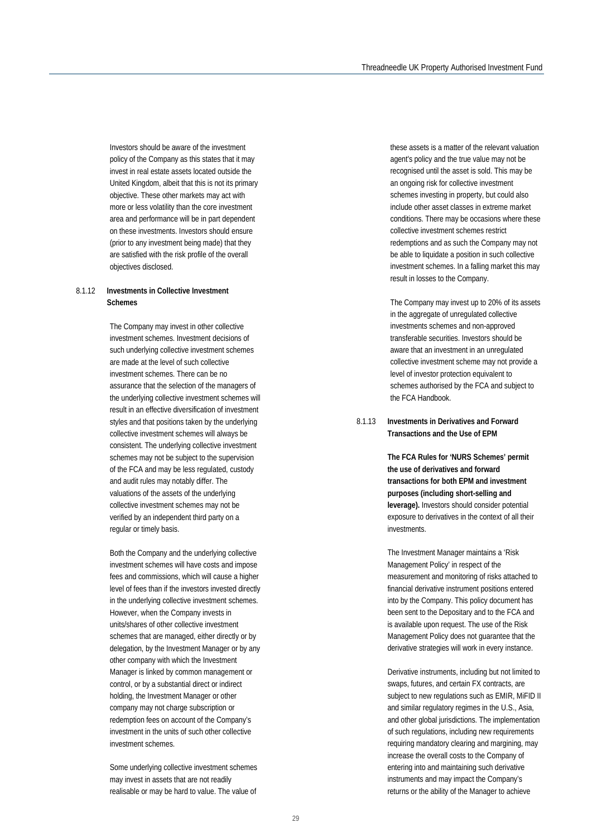Investors should be aware of the investment policy of the Company as this states that it may invest in real estate assets located outside the United Kingdom, albeit that this is not its primary objective. These other markets may act with more or less volatility than the core investment area and performance will be in part dependent on these investments. Investors should ensure (prior to any investment being made) that they are satisfied with the risk profile of the overall objectives disclosed.

#### 8.1.12 **Investments in Collective Investment Schemes**

The Company may invest in other collective investment schemes. Investment decisions of such underlying collective investment schemes are made at the level of such collective investment schemes. There can be no assurance that the selection of the managers of the underlying collective investment schemes will result in an effective diversification of investment styles and that positions taken by the underlying collective investment schemes will always be consistent. The underlying collective investment schemes may not be subject to the supervision of the FCA and may be less regulated, custody and audit rules may notably differ. The valuations of the assets of the underlying collective investment schemes may not be verified by an independent third party on a regular or timely basis.

Both the Company and the underlying collective investment schemes will have costs and impose fees and commissions, which will cause a higher level of fees than if the investors invested directly in the underlying collective investment schemes. However, when the Company invests in units/shares of other collective investment schemes that are managed, either directly or by delegation, by the Investment Manager or by any other company with which the Investment Manager is linked by common management or control, or by a substantial direct or indirect holding, the Investment Manager or other company may not charge subscription or redemption fees on account of the Company's investment in the units of such other collective investment schemes.

Some underlying collective investment schemes may invest in assets that are not readily realisable or may be hard to value. The value of

these assets is a matter of the relevant valuation agent's policy and the true value may not be recognised until the asset is sold. This may be an ongoing risk for collective investment schemes investing in property, but could also include other asset classes in extreme market conditions. There may be occasions where these collective investment schemes restrict redemptions and as such the Company may not be able to liquidate a position in such collective investment schemes. In a falling market this may result in losses to the Company.

The Company may invest up to 20% of its assets in the aggregate of unregulated collective investments schemes and non-approved transferable securities. Investors should be aware that an investment in an unregulated collective investment scheme may not provide a level of investor protection equivalent to schemes authorised by the FCA and subject to the FCA Handbook.

#### 8.1.13 **Investments in Derivatives and Forward Transactions and the Use of EPM**

**The FCA Rules for 'NURS Schemes' permit the use of derivatives and forward transactions for both EPM and investment purposes (including short-selling and leverage).** Investors should consider potential exposure to derivatives in the context of all their investments.

The Investment Manager maintains a 'Risk Management Policy' in respect of the measurement and monitoring of risks attached to financial derivative instrument positions entered into by the Company. This policy document has been sent to the Depositary and to the FCA and is available upon request. The use of the Risk Management Policy does not guarantee that the derivative strategies will work in every instance.

Derivative instruments, including but not limited to swaps, futures, and certain FX contracts, are subject to new regulations such as EMIR, MiFID II and similar regulatory regimes in the U.S., Asia, and other global jurisdictions. The implementation of such regulations, including new requirements requiring mandatory clearing and margining, may increase the overall costs to the Company of entering into and maintaining such derivative instruments and may impact the Company's returns or the ability of the Manager to achieve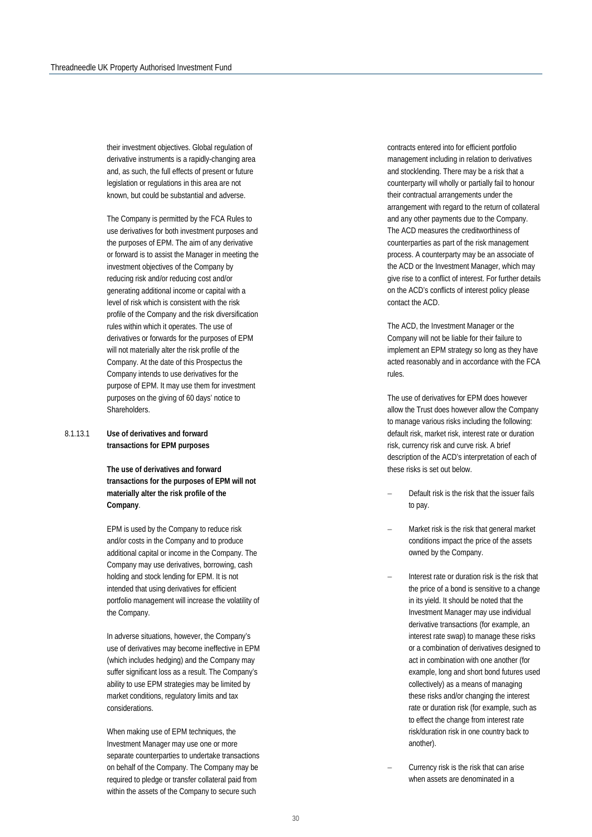their investment objectives. Global regulation of derivative instruments is a rapidly-changing area and, as such, the full effects of present or future legislation or regulations in this area are not known, but could be substantial and adverse.

The Company is permitted by the FCA Rules to use derivatives for both investment purposes and the purposes of EPM. The aim of any derivative or forward is to assist the Manager in meeting the investment objectives of the Company by reducing risk and/or reducing cost and/or generating additional income or capital with a level of risk which is consistent with the risk profile of the Company and the risk diversification rules within which it operates. The use of derivatives or forwards for the purposes of EPM will not materially alter the risk profile of the Company. At the date of this Prospectus the Company intends to use derivatives for the purpose of EPM. It may use them for investment purposes on the giving of 60 days' notice to Shareholders.

#### 8.1.13.1 **Use of derivatives and forward transactions for EPM purposes**

**The use of derivatives and forward transactions for the purposes of EPM will not materially alter the risk profile of the Company**.

EPM is used by the Company to reduce risk and/or costs in the Company and to produce additional capital or income in the Company. The Company may use derivatives, borrowing, cash holding and stock lending for EPM. It is not intended that using derivatives for efficient portfolio management will increase the volatility of the Company.

In adverse situations, however, the Company's use of derivatives may become ineffective in EPM (which includes hedging) and the Company may suffer significant loss as a result. The Company's ability to use EPM strategies may be limited by market conditions, regulatory limits and tax considerations.

When making use of EPM techniques, the Investment Manager may use one or more separate counterparties to undertake transactions on behalf of the Company. The Company may be required to pledge or transfer collateral paid from within the assets of the Company to secure such

contracts entered into for efficient portfolio management including in relation to derivatives and stocklending. There may be a risk that a counterparty will wholly or partially fail to honour their contractual arrangements under the arrangement with regard to the return of collateral and any other payments due to the Company. The ACD measures the creditworthiness of counterparties as part of the risk management process. A counterparty may be an associate of the ACD or the Investment Manager, which may give rise to a conflict of interest. For further details on the ACD's conflicts of interest policy please contact the ACD.

The ACD, the Investment Manager or the Company will not be liable for their failure to implement an EPM strategy so long as they have acted reasonably and in accordance with the FCA rules.

The use of derivatives for EPM does however allow the Trust does however allow the Company to manage various risks including the following: default risk, market risk, interest rate or duration risk, currency risk and curve risk. A brief description of the ACD's interpretation of each of these risks is set out below.

- Default risk is the risk that the issuer fails to pay.
- Market risk is the risk that general market conditions impact the price of the assets owned by the Company.
- − Interest rate or duration risk is the risk that the price of a bond is sensitive to a change in its yield. It should be noted that the Investment Manager may use individual derivative transactions (for example, an interest rate swap) to manage these risks or a combination of derivatives designed to act in combination with one another (for example, long and short bond futures used collectively) as a means of managing these risks and/or changing the interest rate or duration risk (for example, such as to effect the change from interest rate risk/duration risk in one country back to another).
- Currency risk is the risk that can arise when assets are denominated in a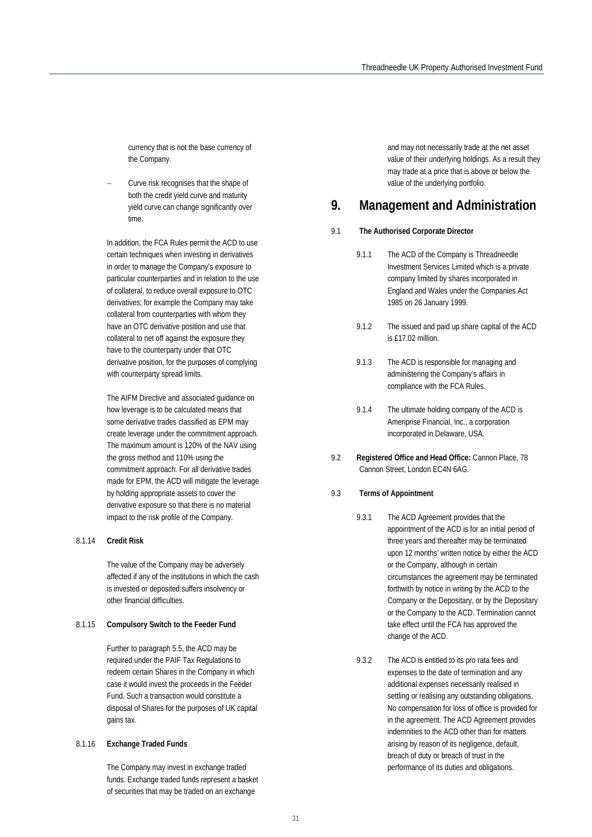currency that is not the base currency of the Company.

− Curve risk recognises that the shape of both the credit yield curve and maturity yield curve can change significantly over time.

In addition, the FCA Rules permit the ACD to use certain techniques when investing in derivatives in order to manage the Company's exposure to particular counterparties and in relation to the use of collateral, to reduce overall exposure to OTC derivatives; for example the Company may take collateral from counterparties with whom they have an OTC derivative position and use that collateral to net off against the exposure they have to the counterparty under that OTC derivative position, for the purposes of complying with counterparty spread limits.

The AIFM Directive and associated guidance on how leverage is to be calculated means that some derivative trades classified as EPM may create leverage under the commitment approach. The maximum amount is 120% of the NAV using the gross method and 110% using the commitment approach. For all derivative trades made for EPM, the ACD will mitigate the leverage by holding appropriate assets to cover the derivative exposure so that there is no material impact to the risk profile of the Company.

#### 8.1.14 **Credit Risk**

The value of the Company may be adversely affected if any of the institutions in which the cash is invested or deposited suffers insolvency or other financial difficulties.

#### 8.1.15 **Compulsory Switch to the Feeder Fund**

Further to paragraph 5.5, the ACD may be required under the PAIF Tax Regulations to redeem certain Shares in the Company in which case it would invest the proceeds in the Feeder Fund. Such a transaction would constitute a disposal of Shares for the purposes of UK capital gains tax.

#### 8.1.16 **Exchange Traded Funds**

The Company may invest in exchange traded funds. Exchange traded funds represent a basket of securities that may be traded on an exchange

and may not necessarily trade at the net asset value of their underlying holdings. As a result they may trade at a price that is above or below the value of the underlying portfolio.

## **9. Management and Administration**

#### 9.1 **The Authorised Corporate Director**

- 9.1.1 The ACD of the Company is Threadneedle Investment Services Limited which is a private company limited by shares incorporated in England and Wales under the Companies Act 1985 on 26 January 1999.
- 9.1.2 The issued and paid up share capital of the ACD is £17.02 million.
- 9.1.3 The ACD is responsible for managing and administering the Company's affairs in compliance with the FCA Rules.
- 9.1.4 The ultimate holding company of the ACD is Ameriprise Financial, Inc., a corporation incorporated in Delaware, USA.
- 9.2 **Registered Office and Head Office:** Cannon Place, 78 Cannon Street, London EC4N 6AG.
- 9.3 **Terms of Appointment**
	- 9.3.1 The ACD Agreement provides that the appointment of the ACD is for an initial period of three years and thereafter may be terminated upon 12 months' written notice by either the ACD or the Company, although in certain circumstances the agreement may be terminated forthwith by notice in writing by the ACD to the Company or the Depositary, or by the Depositary or the Company to the ACD. Termination cannot take effect until the FCA has approved the change of the ACD.
	- 9.3.2 The ACD is entitled to its pro rata fees and expenses to the date of termination and any additional expenses necessarily realised in settling or realising any outstanding obligations. No compensation for loss of office is provided for in the agreement. The ACD Agreement provides indemnities to the ACD other than for matters arising by reason of its negligence, default, breach of duty or breach of trust in the performance of its duties and obligations.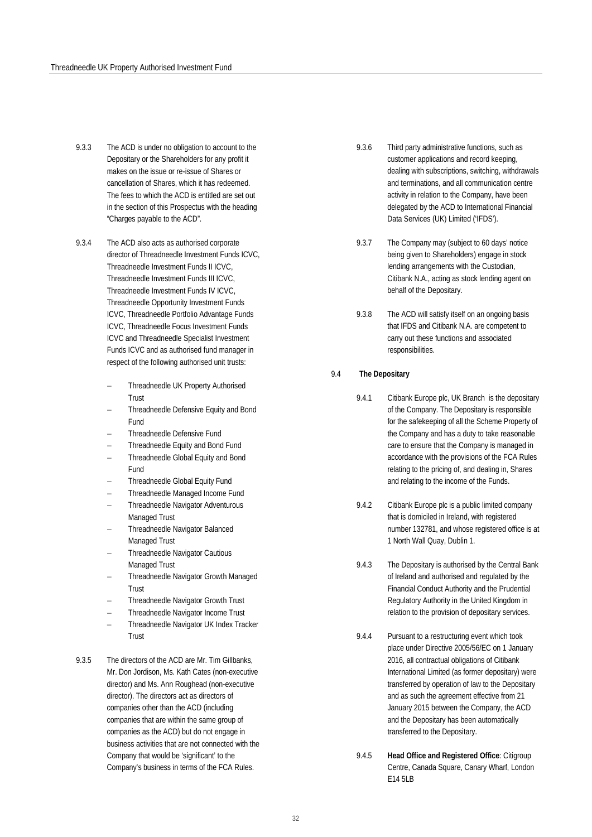- 9.3.3 The ACD is under no obligation to account to the Depositary or the Shareholders for any profit it makes on the issue or re-issue of Shares or cancellation of Shares, which it has redeemed. The fees to which the ACD is entitled are set out in the section of this Prospectus with the heading "Charges payable to the ACD".
- 9.3.4 The ACD also acts as authorised corporate director of Threadneedle Investment Funds ICVC, Threadneedle Investment Funds II ICVC, Threadneedle Investment Funds III ICVC, Threadneedle Investment Funds IV ICVC, Threadneedle Opportunity Investment Funds ICVC, Threadneedle Portfolio Advantage Funds ICVC, Threadneedle Focus Investment Funds ICVC and Threadneedle Specialist Investment Funds ICVC and as authorised fund manager in respect of the following authorised unit trusts:
	- − Threadneedle UK Property Authorised **Trust**
	- − Threadneedle Defensive Equity and Bond Fund
	- − Threadneedle Defensive Fund
	- − Threadneedle Equity and Bond Fund
	- − Threadneedle Global Equity and Bond Fund
	- − Threadneedle Global Equity Fund
	- − Threadneedle Managed Income Fund
	- − Threadneedle Navigator Adventurous Managed Trust
	- − Threadneedle Navigator Balanced Managed Trust
	- − Threadneedle Navigator Cautious Managed Trust
	- − Threadneedle Navigator Growth Managed Trust
	- − Threadneedle Navigator Growth Trust
	- − Threadneedle Navigator Income Trust
	- − Threadneedle Navigator UK Index Tracker Trust
- 9.3.5 The directors of the ACD are Mr. Tim Gillbanks, Mr. Don Jordison, Ms. Kath Cates (non-executive director) and Ms. Ann Roughead (non-executive director). The directors act as directors of companies other than the ACD (including companies that are within the same group of companies as the ACD) but do not engage in business activities that are not connected with the Company that would be 'significant' to the Company's business in terms of the FCA Rules.
- 9.3.6 Third party administrative functions, such as customer applications and record keeping, dealing with subscriptions, switching, withdrawals and terminations, and all communication centre activity in relation to the Company, have been delegated by the ACD to International Financial Data Services (UK) Limited ('IFDS').
- 9.3.7 The Company may (subject to 60 days' notice being given to Shareholders) engage in stock lending arrangements with the Custodian, Citibank N.A., acting as stock lending agent on behalf of the Depositary.
- 9.3.8 The ACD will satisfy itself on an ongoing basis that IFDS and Citibank N.A. are competent to carry out these functions and associated responsibilities.

#### 9.4 **The Depositary**

- 9.4.1 Citibank Europe plc, UK Branch is the depositary of the Company. The Depositary is responsible for the safekeeping of all the Scheme Property of the Company and has a duty to take reasonable care to ensure that the Company is managed in accordance with the provisions of the FCA Rules relating to the pricing of, and dealing in, Shares and relating to the income of the Funds.
- 9.4.2 Citibank Europe plc is a public limited company that is domiciled in Ireland, with registered number 132781, and whose registered office is at 1 North Wall Quay, Dublin 1.
- 9.4.3 The Depositary is authorised by the Central Bank of Ireland and authorised and regulated by the Financial Conduct Authority and the Prudential Regulatory Authority in the United Kingdom in relation to the provision of depositary services.
- 9.4.4 Pursuant to a restructuring event which took place under Directive 2005/56/EC on 1 January 2016, all contractual obligations of Citibank International Limited (as former depositary) were transferred by operation of law to the Depositary and as such the agreement effective from 21 January 2015 between the Company, the ACD and the Depositary has been automatically transferred to the Depositary.
- 9.4.5 **Head Office and Registered Office**: Citigroup Centre, Canada Square, Canary Wharf, London E14 5LB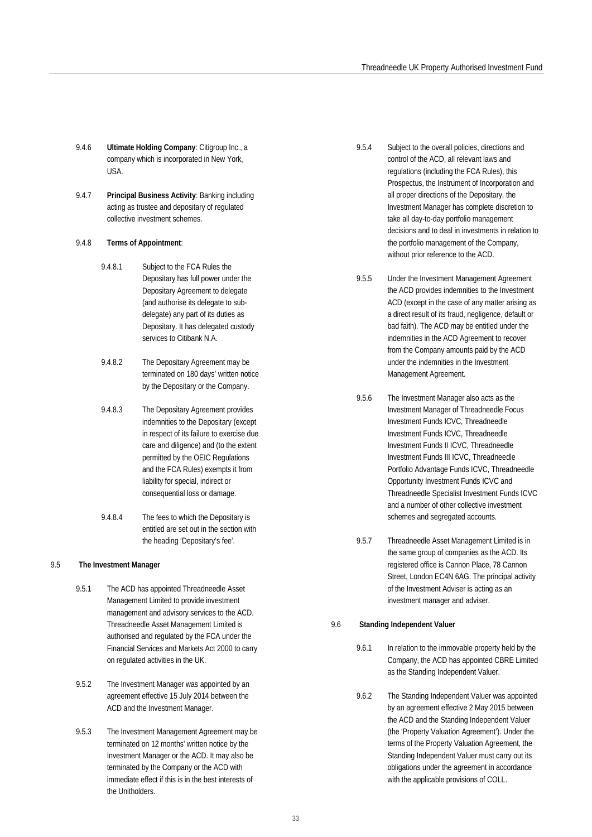- 9.4.6 **Ultimate Holding Company**: Citigroup Inc., a company which is incorporated in New York, USA.
- 9.4.7 **Principal Business Activity**: Banking including acting as trustee and depositary of regulated collective investment schemes.

#### 9.4.8 **Terms of Appointment**:

- 9.4.8.1 Subject to the FCA Rules the Depositary has full power under the Depositary Agreement to delegate (and authorise its delegate to subdelegate) any part of its duties as Depositary. It has delegated custody services to Citibank N.A.
- 9.4.8.2 The Depositary Agreement may be terminated on 180 days' written notice by the Depositary or the Company.
- 9.4.8.3 The Depositary Agreement provides indemnities to the Depositary (except in respect of its failure to exercise due care and diligence) and (to the extent permitted by the OEIC Regulations and the FCA Rules) exempts it from liability for special, indirect or consequential loss or damage.
- 9.4.8.4 The fees to which the Depositary is entitled are set out in the section with the heading 'Depositary's fee'.

#### 9.5 **The Investment Manager**

- 9.5.1 The ACD has appointed Threadneedle Asset Management Limited to provide investment management and advisory services to the ACD. Threadneedle Asset Management Limited is authorised and regulated by the FCA under the Financial Services and Markets Act 2000 to carry on regulated activities in the UK.
- 9.5.2 The Investment Manager was appointed by an agreement effective 15 July 2014 between the ACD and the Investment Manager.
- 9.5.3 The Investment Management Agreement may be terminated on 12 months' written notice by the Investment Manager or the ACD. It may also be terminated by the Company or the ACD with immediate effect if this is in the best interests of the Unitholders.
- 9.5.4 Subject to the overall policies, directions and control of the ACD, all relevant laws and regulations (including the FCA Rules), this Prospectus, the Instrument of Incorporation and all proper directions of the Depositary, the Investment Manager has complete discretion to take all day-to-day portfolio management decisions and to deal in investments in relation to the portfolio management of the Company, without prior reference to the ACD.
- 9.5.5 Under the Investment Management Agreement the ACD provides indemnities to the Investment ACD (except in the case of any matter arising as a direct result of its fraud, negligence, default or bad faith). The ACD may be entitled under the indemnities in the ACD Agreement to recover from the Company amounts paid by the ACD under the indemnities in the Investment Management Agreement.
- 9.5.6 The Investment Manager also acts as the Investment Manager of Threadneedle Focus Investment Funds ICVC, Threadneedle Investment Funds ICVC, Threadneedle Investment Funds II ICVC, Threadneedle Investment Funds III ICVC, Threadneedle Portfolio Advantage Funds ICVC, Threadneedle Opportunity Investment Funds ICVC and Threadneedle Specialist Investment Funds ICVC and a number of other collective investment schemes and segregated accounts.
- 9.5.7 Threadneedle Asset Management Limited is in the same group of companies as the ACD. Its registered office is Cannon Place, 78 Cannon Street, London EC4N 6AG. The principal activity of the Investment Adviser is acting as an investment manager and adviser.

#### 9.6 **Standing Independent Valuer**

- 9.6.1 In relation to the immovable property held by the Company, the ACD has appointed CBRE Limited as the Standing Independent Valuer.
- 9.6.2 The Standing Independent Valuer was appointed by an agreement effective 2 May 2015 between the ACD and the Standing Independent Valuer (the 'Property Valuation Agreement'). Under the terms of the Property Valuation Agreement, the Standing Independent Valuer must carry out its obligations under the agreement in accordance with the applicable provisions of COLL.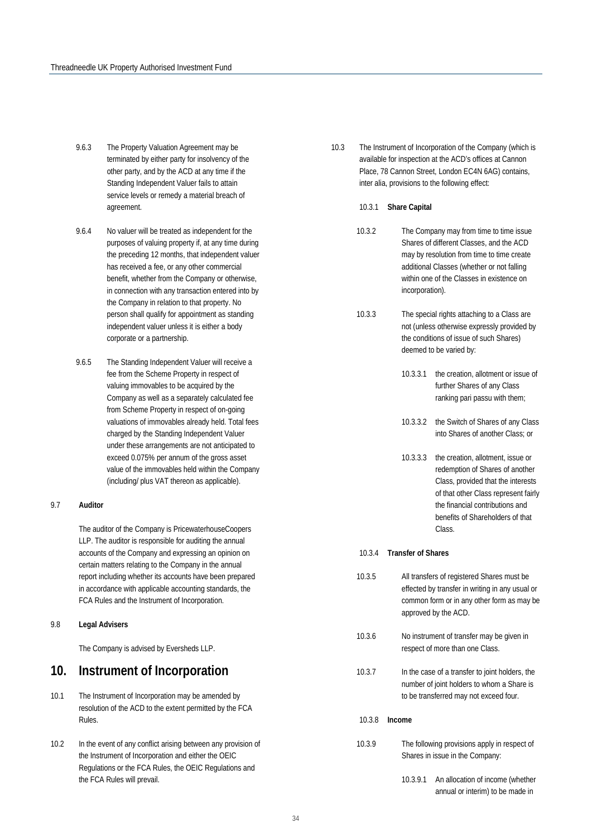- 9.6.3 The Property Valuation Agreement may be terminated by either party for insolvency of the other party, and by the ACD at any time if the Standing Independent Valuer fails to attain service levels or remedy a material breach of agreement.
- 9.6.4 No valuer will be treated as independent for the purposes of valuing property if, at any time during the preceding 12 months, that independent valuer has received a fee, or any other commercial benefit, whether from the Company or otherwise, in connection with any transaction entered into by the Company in relation to that property. No person shall qualify for appointment as standing independent valuer unless it is either a body corporate or a partnership.
- 9.6.5 The Standing Independent Valuer will receive a fee from the Scheme Property in respect of valuing immovables to be acquired by the Company as well as a separately calculated fee from Scheme Property in respect of on-going valuations of immovables already held. Total fees charged by the Standing Independent Valuer under these arrangements are not anticipated to exceed 0.075% per annum of the gross asset value of the immovables held within the Company (including/ plus VAT thereon as applicable).

#### 9.7 **Auditor**

The auditor of the Company is PricewaterhouseCoopers LLP. The auditor is responsible for auditing the annual accounts of the Company and expressing an opinion on certain matters relating to the Company in the annual report including whether its accounts have been prepared in accordance with applicable accounting standards, the FCA Rules and the Instrument of Incorporation.

#### 9.8 **Legal Advisers**

The Company is advised by Eversheds LLP.

## **10. Instrument of Incorporation**

- 10.1 The Instrument of Incorporation may be amended by resolution of the ACD to the extent permitted by the FCA Rules.
- 10.2 In the event of any conflict arising between any provision of the Instrument of Incorporation and either the OEIC Regulations or the FCA Rules, the OEIC Regulations and the FCA Rules will prevail.
- 10.3 The Instrument of Incorporation of the Company (which is available for inspection at the ACD's offices at Cannon Place, 78 Cannon Street, London EC4N 6AG) contains, inter alia, provisions to the following effect:
	- 10.3.1 **Share Capital**
	- 10.3.2 The Company may from time to time issue Shares of different Classes, and the ACD may by resolution from time to time create additional Classes (whether or not falling within one of the Classes in existence on incorporation).
	- 10.3.3 The special rights attaching to a Class are not (unless otherwise expressly provided by the conditions of issue of such Shares) deemed to be varied by:
		- 10.3.3.1 the creation, allotment or issue of further Shares of any Class ranking pari passu with them;
		- 10.3.3.2 the Switch of Shares of any Class into Shares of another Class; or
		- 10.3.3.3 the creation, allotment, issue or redemption of Shares of another Class, provided that the interests of that other Class represent fairly the financial contributions and benefits of Shareholders of that Class.

#### 10.3.4 **Transfer of Shares**

- 10.3.5 All transfers of registered Shares must be effected by transfer in writing in any usual or common form or in any other form as may be approved by the ACD.
- 10.3.6 No instrument of transfer may be given in respect of more than one Class.
- 10.3.7 In the case of a transfer to joint holders, the number of joint holders to whom a Share is to be transferred may not exceed four.
- 10.3.8 **Income**
- 10.3.9 The following provisions apply in respect of Shares in issue in the Company:
	- 10.3.9.1 An allocation of income (whether annual or interim) to be made in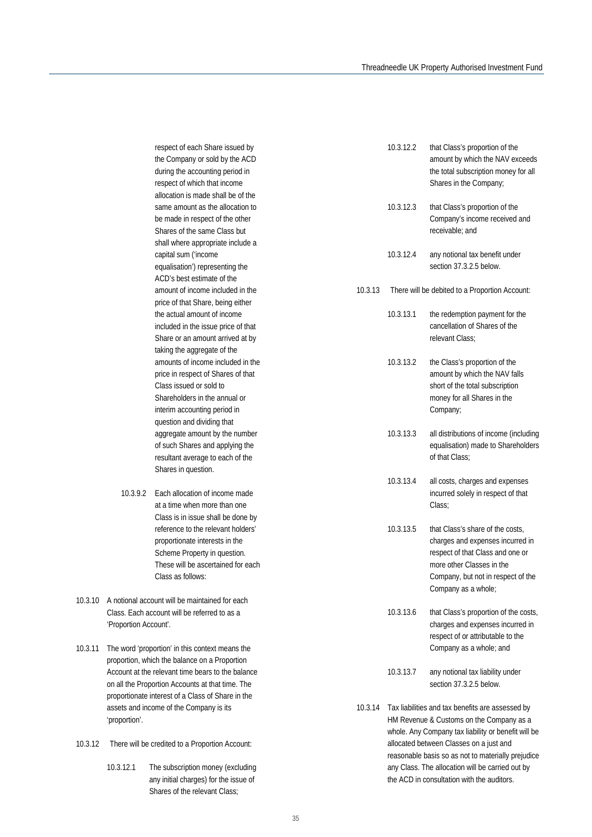respect of each Share issued by the Company or sold by the ACD during the accounting period in respect of which that income allocation is made shall be of the same amount as the allocation to be made in respect of the other Shares of the same Class but shall where appropriate include a capital sum ('income equalisation') representing the ACD's best estimate of the amount of income included in the price of that Share, being either the actual amount of income included in the issue price of that Share or an amount arrived at by taking the aggregate of the amounts of income included in the price in respect of Shares of that Class issued or sold to Shareholders in the annual or interim accounting period in question and dividing that aggregate amount by the number of such Shares and applying the resultant average to each of the Shares in question.

- 10.3.9.2 Each allocation of income made at a time when more than one Class is in issue shall be done by reference to the relevant holders' proportionate interests in the Scheme Property in question. These will be ascertained for each Class as follows:
- 10.3.10 A notional account will be maintained for each Class. Each account will be referred to as a 'Proportion Account'.
- 10.3.11 The word 'proportion' in this context means the proportion, which the balance on a Proportion Account at the relevant time bears to the balance on all the Proportion Accounts at that time. The proportionate interest of a Class of Share in the assets and income of the Company is its 'proportion'.
- 10.3.12 There will be credited to a Proportion Account:
	- 10.3.12.1 The subscription money (excluding any initial charges) for the issue of Shares of the relevant Class;

|         | 10.3.12.2 | that Class's proportion of the<br>amount by which the NAV exceeds<br>the total subscription money for all<br>Shares in the Company;                                                                |
|---------|-----------|----------------------------------------------------------------------------------------------------------------------------------------------------------------------------------------------------|
|         | 10.3.12.3 | that Class's proportion of the<br>Company's income received and<br>receivable; and                                                                                                                 |
|         | 10.3.12.4 | any notional tax benefit under<br>section 37.3.2.5 below.                                                                                                                                          |
| 10.3.13 |           | There will be debited to a Proportion Account:                                                                                                                                                     |
|         | 10.3.13.1 | the redemption payment for the<br>cancellation of Shares of the<br>relevant Class;                                                                                                                 |
|         | 10.3.13.2 | the Class's proportion of the<br>amount by which the NAV falls<br>short of the total subscription<br>money for all Shares in the<br>Company;                                                       |
|         | 10.3.13.3 | all distributions of income (including<br>equalisation) made to Shareholders<br>of that Class;                                                                                                     |
|         | 10.3.13.4 | all costs, charges and expenses<br>incurred solely in respect of that<br>Class:                                                                                                                    |
|         | 10.3.13.5 | that Class's share of the costs,<br>charges and expenses incurred in<br>respect of that Class and one or<br>more other Classes in the<br>Company, but not in respect of the<br>Company as a whole; |
|         | 10.3.13.6 | that Class's proportion of the costs,<br>charges and expenses incurred in<br>respect of or attributable to the<br>Company as a whole; and                                                          |
|         | 10.3.13.7 | any notional tax liability under<br>section 37.3.2.5 below.                                                                                                                                        |
| 10.3.14 |           | Tax liabilities and tax benefits are assessed by                                                                                                                                                   |

HM Revenue & Customs on the Company as a whole. Any Company tax liability or benefit will be allocated between Classes on a just and reasonable basis so as not to materially prejudice any Class. The allocation will be carried out by the ACD in consultation with the auditors.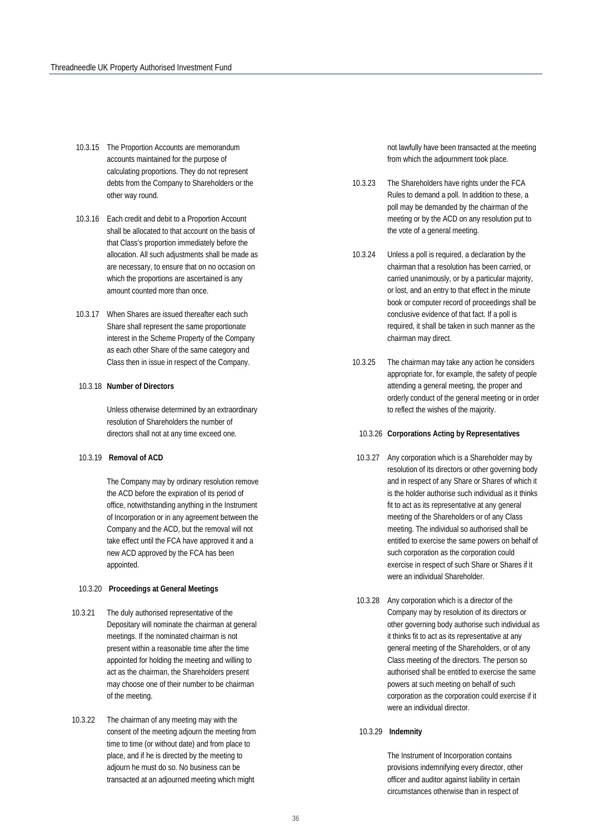- 10.3.15 The Proportion Accounts are memorandum accounts maintained for the purpose of calculating proportions. They do not represent debts from the Company to Shareholders or the other way round.
- 10.3.16 Each credit and debit to a Proportion Account shall be allocated to that account on the basis of that Class's proportion immediately before the allocation. All such adjustments shall be made as are necessary, to ensure that on no occasion on which the proportions are ascertained is any amount counted more than once.
- 10.3.17 When Shares are issued thereafter each such Share shall represent the same proportionate interest in the Scheme Property of the Company as each other Share of the same category and Class then in issue in respect of the Company.

#### 10.3.18 **Number of Directors**

Unless otherwise determined by an extraordinary resolution of Shareholders the number of directors shall not at any time exceed one.

#### 10.3.19 **Removal of ACD**

The Company may by ordinary resolution remove the ACD before the expiration of its period of office, notwithstanding anything in the Instrument of Incorporation or in any agreement between the Company and the ACD, but the removal will not take effect until the FCA have approved it and a new ACD approved by the FCA has been appointed.

#### 10.3.20 **Proceedings at General Meetings**

- 10.3.21 The duly authorised representative of the Depositary will nominate the chairman at general meetings. If the nominated chairman is not present within a reasonable time after the time appointed for holding the meeting and willing to act as the chairman, the Shareholders present may choose one of their number to be chairman of the meeting.
- 10.3.22 The chairman of any meeting may with the consent of the meeting adjourn the meeting from time to time (or without date) and from place to place, and if he is directed by the meeting to adjourn he must do so. No business can be transacted at an adjourned meeting which might

not lawfully have been transacted at the meeting from which the adjournment took place.

- 10.3.23 The Shareholders have rights under the FCA Rules to demand a poll. In addition to these, a poll may be demanded by the chairman of the meeting or by the ACD on any resolution put to the vote of a general meeting.
- 10.3.24 Unless a poll is required, a declaration by the chairman that a resolution has been carried, or carried unanimously, or by a particular majority, or lost, and an entry to that effect in the minute book or computer record of proceedings shall be conclusive evidence of that fact. If a poll is required, it shall be taken in such manner as the chairman may direct.
- 10.3.25 The chairman may take any action he considers appropriate for, for example, the safety of people attending a general meeting, the proper and orderly conduct of the general meeting or in order to reflect the wishes of the majority.

#### 10.3.26 **Corporations Acting by Representatives**

- 10.3.27 Any corporation which is a Shareholder may by resolution of its directors or other governing body and in respect of any Share or Shares of which it is the holder authorise such individual as it thinks fit to act as its representative at any general meeting of the Shareholders or of any Class meeting. The individual so authorised shall be entitled to exercise the same powers on behalf of such corporation as the corporation could exercise in respect of such Share or Shares if it were an individual Shareholder.
- 10.3.28 Any corporation which is a director of the Company may by resolution of its directors or other governing body authorise such individual as it thinks fit to act as its representative at any general meeting of the Shareholders, or of any Class meeting of the directors. The person so authorised shall be entitled to exercise the same powers at such meeting on behalf of such corporation as the corporation could exercise if it were an individual director.

#### 10.3.29 **Indemnity**

The Instrument of Incorporation contains provisions indemnifying every director, other officer and auditor against liability in certain circumstances otherwise than in respect of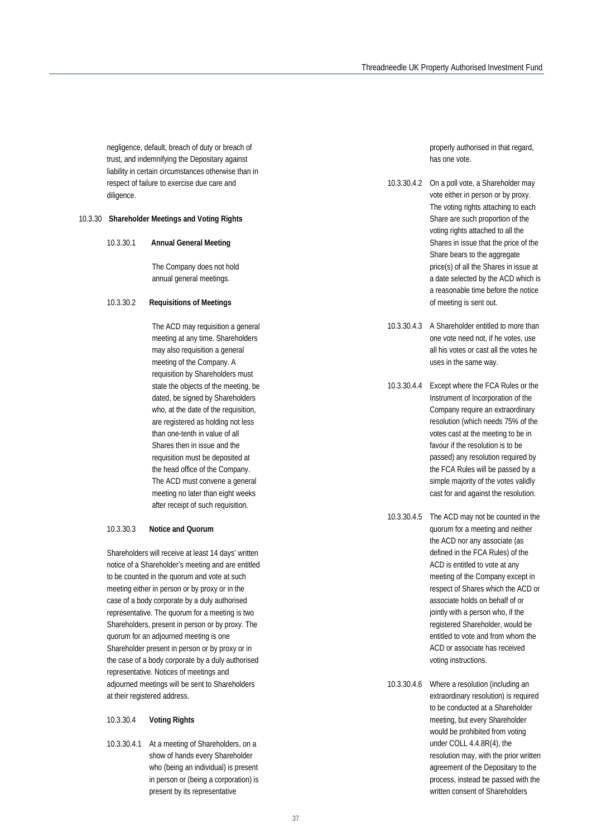negligence, default, breach of duty or breach of trust, and indemnifying the Depositary against liability in certain circumstances otherwise than in respect of failure to exercise due care and diligence.

#### 10.3.30 **Shareholder Meetings and Voting Rights**

10.3.30.1 **Annual General Meeting**

The Company does not hold annual general meetings.

#### 10.3.30.2 **Requisitions of Meetings**

The ACD may requisition a general meeting at any time. Shareholders may also requisition a general meeting of the Company. A requisition by Shareholders must state the objects of the meeting, be dated, be signed by Shareholders who, at the date of the requisition, are registered as holding not less than one-tenth in value of all Shares then in issue and the requisition must be deposited at the head office of the Company. The ACD must convene a general meeting no later than eight weeks after receipt of such requisition.

#### 10.3.30.3 **Notice and Quorum**

Shareholders will receive at least 14 days' written notice of a Shareholder's meeting and are entitled to be counted in the quorum and vote at such meeting either in person or by proxy or in the case of a body corporate by a duly authorised representative. The quorum for a meeting is two Shareholders, present in person or by proxy. The quorum for an adjourned meeting is one Shareholder present in person or by proxy or in the case of a body corporate by a duly authorised representative. Notices of meetings and adjourned meetings will be sent to Shareholders at their registered address.

#### 10.3.30.4 **Voting Rights**

10.3.30.4.1 At a meeting of Shareholders, on a show of hands every Shareholder who (being an individual) is present in person or (being a corporation) is present by its representative

properly authorised in that regard, has one vote.

- 10.3.30.4.2 On a poll vote, a Shareholder may vote either in person or by proxy. The voting rights attaching to each Share are such proportion of the voting rights attached to all the Shares in issue that the price of the Share bears to the aggregate price(s) of all the Shares in issue at a date selected by the ACD which is a reasonable time before the notice of meeting is sent out.
- 10.3.30.4.3 A Shareholder entitled to more than one vote need not, if he votes, use all his votes or cast all the votes he uses in the same way.
- 10.3.30.4.4 Except where the FCA Rules or the Instrument of Incorporation of the Company require an extraordinary resolution (which needs 75% of the votes cast at the meeting to be in favour if the resolution is to be passed) any resolution required by the FCA Rules will be passed by a simple majority of the votes validly cast for and against the resolution.
- 10.3.30.4.5 The ACD may not be counted in the quorum for a meeting and neither the ACD nor any associate (as defined in the FCA Rules) of the ACD is entitled to vote at any meeting of the Company except in respect of Shares which the ACD or associate holds on behalf of or jointly with a person who, if the registered Shareholder, would be entitled to vote and from whom the ACD or associate has received voting instructions.
- 10.3.30.4.6 Where a resolution (including an extraordinary resolution) is required to be conducted at a Shareholder meeting, but every Shareholder would be prohibited from voting under COLL 4.4.8R(4), the resolution may, with the prior written agreement of the Depositary to the process, instead be passed with the written consent of Shareholders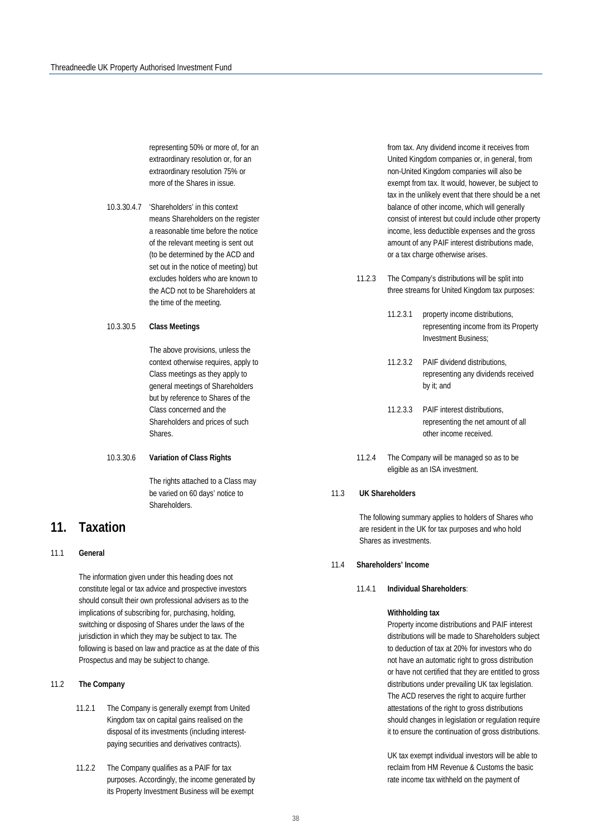representing 50% or more of, for an extraordinary resolution or, for an extraordinary resolution 75% or more of the Shares in issue.

- 10.3.30.4.7 'Shareholders' in this context means Shareholders on the register a reasonable time before the notice of the relevant meeting is sent out (to be determined by the ACD and set out in the notice of meeting) but excludes holders who are known to the ACD not to be Shareholders at the time of the meeting.
- 10.3.30.5 **Class Meetings**

The above provisions, unless the context otherwise requires, apply to Class meetings as they apply to general meetings of Shareholders but by reference to Shares of the Class concerned and the Shareholders and prices of such Shares.

#### 10.3.30.6 **Variation of Class Rights**

The rights attached to a Class may be varied on 60 days' notice to Shareholders.

## **11. Taxation**

#### 11.1 **General**

The information given under this heading does not constitute legal or tax advice and prospective investors should consult their own professional advisers as to the implications of subscribing for, purchasing, holding, switching or disposing of Shares under the laws of the jurisdiction in which they may be subject to tax. The following is based on law and practice as at the date of this Prospectus and may be subject to change.

#### 11.2 **The Company**

- 11.2.1 The Company is generally exempt from United Kingdom tax on capital gains realised on the disposal of its investments (including interestpaying securities and derivatives contracts).
- 11.2.2 The Company qualifies as a PAIF for tax purposes. Accordingly, the income generated by its Property Investment Business will be exempt

from tax. Any dividend income it receives from United Kingdom companies or, in general, from non-United Kingdom companies will also be exempt from tax. It would, however, be subject to tax in the unlikely event that there should be a net balance of other income, which will generally consist of interest but could include other property income, less deductible expenses and the gross amount of any PAIF interest distributions made, or a tax charge otherwise arises.

- 11.2.3 The Company's distributions will be split into three streams for United Kingdom tax purposes:
	- 11.2.3.1 property income distributions, representing income from its Property Investment Business;
	- 11.2.3.2 PAIF dividend distributions, representing any dividends received by it; and
	- 11.2.3.3 PAIF interest distributions, representing the net amount of all other income received.
- 11.2.4 The Company will be managed so as to be eligible as an ISA investment.

#### 11.3 **UK Shareholders**

The following summary applies to holders of Shares who are resident in the UK for tax purposes and who hold Shares as investments.

#### 11.4 **Shareholders' Income**

11.4.1 **Individual Shareholders**:

#### **Withholding tax**

Property income distributions and PAIF interest distributions will be made to Shareholders subject to deduction of tax at 20% for investors who do not have an automatic right to gross distribution or have not certified that they are entitled to gross distributions under prevailing UK tax legislation. The ACD reserves the right to acquire further attestations of the right to gross distributions should changes in legislation or regulation require it to ensure the continuation of gross distributions.

UK tax exempt individual investors will be able to reclaim from HM Revenue & Customs the basic rate income tax withheld on the payment of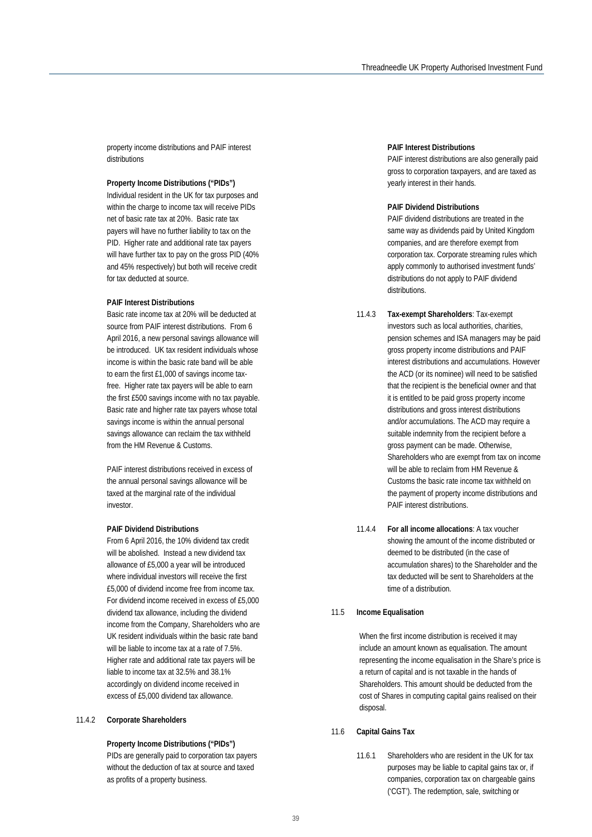property income distributions and PAIF interest distributions

#### **Property Income Distributions ("PIDs")**

Individual resident in the UK for tax purposes and within the charge to income tax will receive PIDs net of basic rate tax at 20%. Basic rate tax payers will have no further liability to tax on the PID. Higher rate and additional rate tax payers will have further tax to pay on the gross PID (40% and 45% respectively) but both will receive credit for tax deducted at source.

#### **PAIF Interest Distributions**

Basic rate income tax at 20% will be deducted at source from PAIF interest distributions. From 6 April 2016, a new personal savings allowance will be introduced. UK tax resident individuals whose income is within the basic rate band will be able to earn the first £1,000 of savings income taxfree. Higher rate tax payers will be able to earn the first £500 savings income with no tax payable. Basic rate and higher rate tax payers whose total savings income is within the annual personal savings allowance can reclaim the tax withheld from the HM Revenue & Customs.

PAIF interest distributions received in excess of the annual personal savings allowance will be taxed at the marginal rate of the individual investor.

#### **PAIF Dividend Distributions**

From 6 April 2016, the 10% dividend tax credit will be abolished. Instead a new dividend tax allowance of £5,000 a year will be introduced where individual investors will receive the first £5,000 of dividend income free from income tax. For dividend income received in excess of £5,000 dividend tax allowance, including the dividend income from the Company, Shareholders who are UK resident individuals within the basic rate band will be liable to income tax at a rate of 7.5%. Higher rate and additional rate tax payers will be liable to income tax at 32.5% and 38.1% accordingly on dividend income received in excess of £5,000 dividend tax allowance.

#### 11.4.2 **Corporate Shareholders**

**Property Income Distributions ("PIDs")** PIDs are generally paid to corporation tax payers

without the deduction of tax at source and taxed as profits of a property business.

#### **PAIF Interest Distributions**

PAIF interest distributions are also generally paid gross to corporation taxpayers, and are taxed as yearly interest in their hands.

#### **PAIF Dividend Distributions**

PAIF dividend distributions are treated in the same way as dividends paid by United Kingdom companies, and are therefore exempt from corporation tax. Corporate streaming rules which apply commonly to authorised investment funds' distributions do not apply to PAIF dividend distributions.

- 11.4.3 **Tax-exempt Shareholders**: Tax-exempt investors such as local authorities, charities, pension schemes and ISA managers may be paid gross property income distributions and PAIF interest distributions and accumulations. However the ACD (or its nominee) will need to be satisfied that the recipient is the beneficial owner and that it is entitled to be paid gross property income distributions and gross interest distributions and/or accumulations. The ACD may require a suitable indemnity from the recipient before a gross payment can be made. Otherwise, Shareholders who are exempt from tax on income will be able to reclaim from HM Revenue & Customs the basic rate income tax withheld on the payment of property income distributions and PAIF interest distributions.
- 11.4.4 **For all income allocations**: A tax voucher showing the amount of the income distributed or deemed to be distributed (in the case of accumulation shares) to the Shareholder and the tax deducted will be sent to Shareholders at the time of a distribution.

#### 11.5 **Income Equalisation**

When the first income distribution is received it may include an amount known as equalisation. The amount representing the income equalisation in the Share's price is a return of capital and is not taxable in the hands of Shareholders. This amount should be deducted from the cost of Shares in computing capital gains realised on their disposal.

#### 11.6 **Capital Gains Tax**

11.6.1 Shareholders who are resident in the UK for tax purposes may be liable to capital gains tax or, if companies, corporation tax on chargeable gains ('CGT'). The redemption, sale, switching or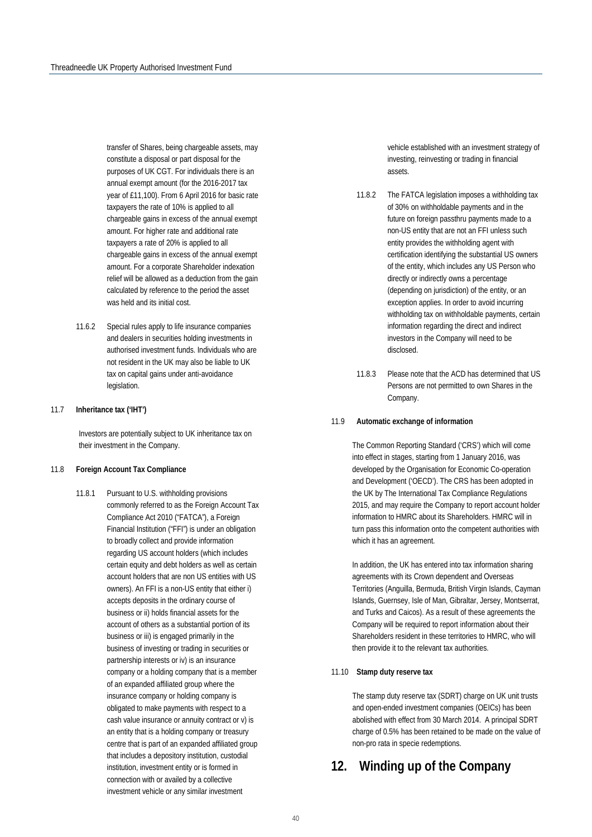transfer of Shares, being chargeable assets, may constitute a disposal or part disposal for the purposes of UK CGT. For individuals there is an annual exempt amount (for the 2016-2017 tax year of £11,100). From 6 April 2016 for basic rate taxpayers the rate of 10% is applied to all chargeable gains in excess of the annual exempt amount. For higher rate and additional rate taxpayers a rate of 20% is applied to all chargeable gains in excess of the annual exempt amount. For a corporate Shareholder indexation relief will be allowed as a deduction from the gain calculated by reference to the period the asset was held and its initial cost.

11.6.2 Special rules apply to life insurance companies and dealers in securities holding investments in authorised investment funds. Individuals who are not resident in the UK may also be liable to UK tax on capital gains under anti-avoidance legislation.

#### 11.7 **Inheritance tax ('IHT')**

Investors are potentially subject to UK inheritance tax on their investment in the Company.

#### 11.8 **Foreign Account Tax Compliance**

11.8.1 Pursuant to U.S. withholding provisions commonly referred to as the Foreign Account Tax Compliance Act 2010 ("FATCA"), a Foreign Financial Institution ("FFI") is under an obligation to broadly collect and provide information regarding US account holders (which includes certain equity and debt holders as well as certain account holders that are non US entities with US owners). An FFI is a non-US entity that either i) accepts deposits in the ordinary course of business or ii) holds financial assets for the account of others as a substantial portion of its business or iii) is engaged primarily in the business of investing or trading in securities or partnership interests or iv) is an insurance company or a holding company that is a member of an expanded affiliated group where the insurance company or holding company is obligated to make payments with respect to a cash value insurance or annuity contract or v) is an entity that is a holding company or treasury centre that is part of an expanded affiliated group that includes a depository institution, custodial institution, investment entity or is formed in connection with or availed by a collective investment vehicle or any similar investment

vehicle established with an investment strategy of investing, reinvesting or trading in financial assets.

- 11.8.2 The FATCA legislation imposes a withholding tax of 30% on withholdable payments and in the future on foreign passthru payments made to a non-US entity that are not an FFI unless such entity provides the withholding agent with certification identifying the substantial US owners of the entity, which includes any US Person who directly or indirectly owns a percentage (depending on jurisdiction) of the entity, or an exception applies. In order to avoid incurring withholding tax on withholdable payments, certain information regarding the direct and indirect investors in the Company will need to be disclosed.
- 11.8.3 Please note that the ACD has determined that US Persons are not permitted to own Shares in the Company.

#### 11.9 **Automatic exchange of information**

The Common Reporting Standard ('CRS') which will come into effect in stages, starting from 1 January 2016, was developed by the Organisation for Economic Co-operation and Development ('OECD'). The CRS has been adopted in the UK by The International Tax Compliance Regulations 2015, and may require the Company to report account holder information to HMRC about its Shareholders. HMRC will in turn pass this information onto the competent authorities with which it has an agreement.

In addition, the UK has entered into tax information sharing agreements with its Crown dependent and Overseas Territories (Anguilla, Bermuda, British Virgin Islands, Cayman Islands, Guernsey, Isle of Man, Gibraltar, Jersey, Montserrat, and Turks and Caicos). As a result of these agreements the Company will be required to report information about their Shareholders resident in these territories to HMRC, who will then provide it to the relevant tax authorities.

#### 11.10 **Stamp duty reserve tax**

The stamp duty reserve tax (SDRT) charge on UK unit trusts and open-ended investment companies (OEICs) has been abolished with effect from 30 March 2014. A principal SDRT charge of 0.5% has been retained to be made on the value of non-pro rata in specie redemptions.

## **12. Winding up of the Company**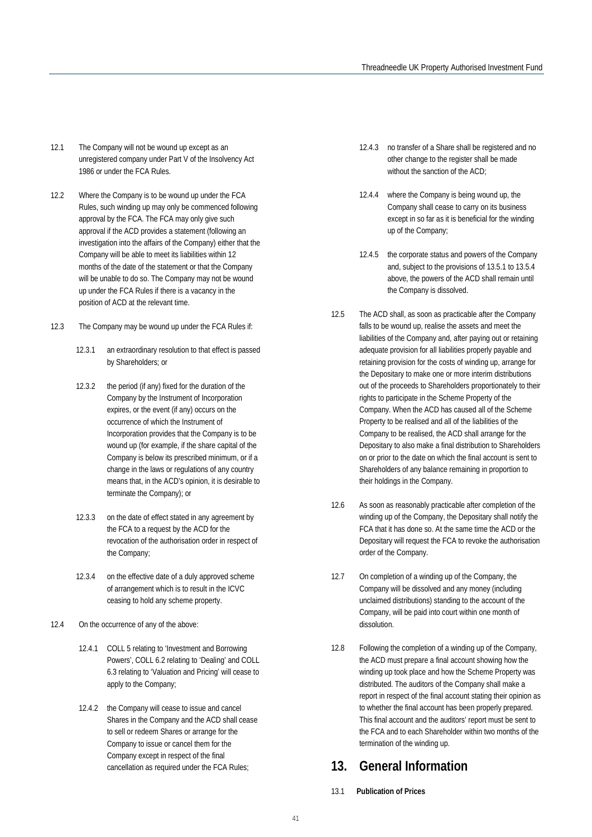- 12.1 The Company will not be wound up except as an unregistered company under Part V of the Insolvency Act 1986 or under the FCA Rules.
- 12.2 Where the Company is to be wound up under the FCA Rules, such winding up may only be commenced following approval by the FCA. The FCA may only give such approval if the ACD provides a statement (following an investigation into the affairs of the Company) either that the Company will be able to meet its liabilities within 12 months of the date of the statement or that the Company will be unable to do so. The Company may not be wound up under the FCA Rules if there is a vacancy in the position of ACD at the relevant time.
- 12.3 The Company may be wound up under the FCA Rules if:
	- 12.3.1 an extraordinary resolution to that effect is passed by Shareholders; or
	- 12.3.2 the period (if any) fixed for the duration of the Company by the Instrument of Incorporation expires, or the event (if any) occurs on the occurrence of which the Instrument of Incorporation provides that the Company is to be wound up (for example, if the share capital of the Company is below its prescribed minimum, or if a change in the laws or regulations of any country means that, in the ACD's opinion, it is desirable to terminate the Company); or
	- 12.3.3 on the date of effect stated in any agreement by the FCA to a request by the ACD for the revocation of the authorisation order in respect of the Company;
	- 12.3.4 on the effective date of a duly approved scheme of arrangement which is to result in the ICVC ceasing to hold any scheme property.
- 12.4 On the occurrence of any of the above:
	- 12.4.1 COLL 5 relating to 'Investment and Borrowing Powers', COLL 6.2 relating to 'Dealing' and COLL 6.3 relating to 'Valuation and Pricing' will cease to apply to the Company;
	- 12.4.2 the Company will cease to issue and cancel Shares in the Company and the ACD shall cease to sell or redeem Shares or arrange for the Company to issue or cancel them for the Company except in respect of the final cancellation as required under the FCA Rules;
- 12.4.3 no transfer of a Share shall be registered and no other change to the register shall be made without the sanction of the ACD:
- 12.4.4 where the Company is being wound up, the Company shall cease to carry on its business except in so far as it is beneficial for the winding up of the Company;
- 12.4.5 the corporate status and powers of the Company and, subject to the provisions of 13.5.1 to 13.5.4 above, the powers of the ACD shall remain until the Company is dissolved.
- 12.5 The ACD shall, as soon as practicable after the Company falls to be wound up, realise the assets and meet the liabilities of the Company and, after paying out or retaining adequate provision for all liabilities properly payable and retaining provision for the costs of winding up, arrange for the Depositary to make one or more interim distributions out of the proceeds to Shareholders proportionately to their rights to participate in the Scheme Property of the Company. When the ACD has caused all of the Scheme Property to be realised and all of the liabilities of the Company to be realised, the ACD shall arrange for the Depositary to also make a final distribution to Shareholders on or prior to the date on which the final account is sent to Shareholders of any balance remaining in proportion to their holdings in the Company.
- 12.6 As soon as reasonably practicable after completion of the winding up of the Company, the Depositary shall notify the FCA that it has done so. At the same time the ACD or the Depositary will request the FCA to revoke the authorisation order of the Company.
- 12.7 On completion of a winding up of the Company, the Company will be dissolved and any money (including unclaimed distributions) standing to the account of the Company, will be paid into court within one month of dissolution.
- 12.8 Following the completion of a winding up of the Company, the ACD must prepare a final account showing how the winding up took place and how the Scheme Property was distributed. The auditors of the Company shall make a report in respect of the final account stating their opinion as to whether the final account has been properly prepared. This final account and the auditors' report must be sent to the FCA and to each Shareholder within two months of the termination of the winding up.

## **13. General Information**

13.1 **Publication of Prices**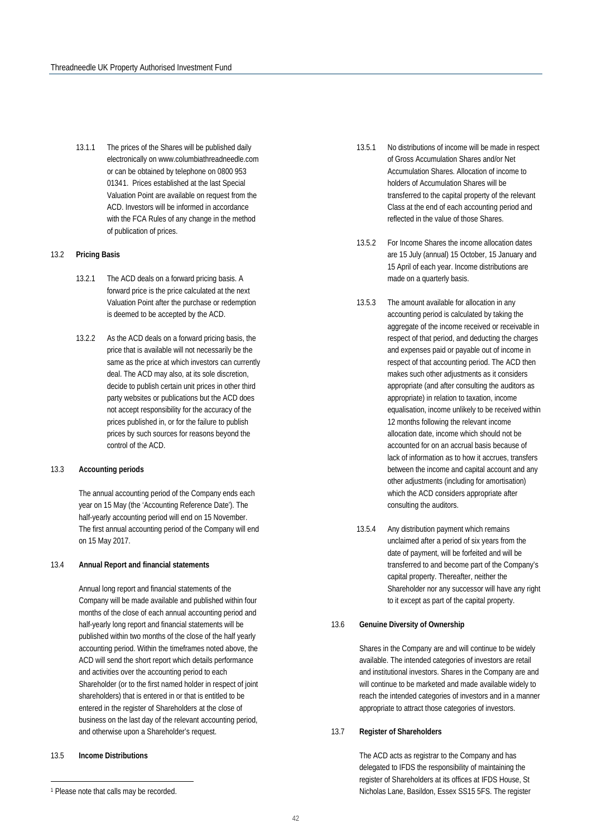13.1.1 The prices of the Shares will be published daily electronically on www.columbiathreadneedle.com or can be obtained by telephone on 0800 953 0134[1](#page-41-0). Prices established at the last Special Valuation Point are available on request from the ACD. Investors will be informed in accordance with the FCA Rules of any change in the method of publication of prices.

#### 13.2 **Pricing Basis**

- 13.2.1 The ACD deals on a forward pricing basis. A forward price is the price calculated at the next Valuation Point after the purchase or redemption is deemed to be accepted by the ACD.
- 13.2.2 As the ACD deals on a forward pricing basis, the price that is available will not necessarily be the same as the price at which investors can currently deal. The ACD may also, at its sole discretion, decide to publish certain unit prices in other third party websites or publications but the ACD does not accept responsibility for the accuracy of the prices published in, or for the failure to publish prices by such sources for reasons beyond the control of the ACD.

#### 13.3 **Accounting periods**

The annual accounting period of the Company ends each year on 15 May (the 'Accounting Reference Date'). The half-yearly accounting period will end on 15 November. The first annual accounting period of the Company will end on 15 May 2017.

#### 13.4 **Annual Report and financial statements**

Annual long report and financial statements of the Company will be made available and published within four months of the close of each annual accounting period and half-yearly long report and financial statements will be published within two months of the close of the half yearly accounting period. Within the timeframes noted above, the ACD will send the short report which details performance and activities over the accounting period to each Shareholder (or to the first named holder in respect of joint shareholders) that is entered in or that is entitled to be entered in the register of Shareholders at the close of business on the last day of the relevant accounting period, and otherwise upon a Shareholder's request.

#### 13.5 **Income Distributions**

-

- 13.5.1 No distributions of income will be made in respect of Gross Accumulation Shares and/or Net Accumulation Shares. Allocation of income to holders of Accumulation Shares will be transferred to the capital property of the relevant Class at the end of each accounting period and reflected in the value of those Shares.
- 13.5.2 For Income Shares the income allocation dates are 15 July (annual) 15 October, 15 January and 15 April of each year. Income distributions are made on a quarterly basis.
- 13.5.3 The amount available for allocation in any accounting period is calculated by taking the aggregate of the income received or receivable in respect of that period, and deducting the charges and expenses paid or payable out of income in respect of that accounting period. The ACD then makes such other adjustments as it considers appropriate (and after consulting the auditors as appropriate) in relation to taxation, income equalisation, income unlikely to be received within 12 months following the relevant income allocation date, income which should not be accounted for on an accrual basis because of lack of information as to how it accrues, transfers between the income and capital account and any other adjustments (including for amortisation) which the ACD considers appropriate after consulting the auditors.
- 13.5.4 Any distribution payment which remains unclaimed after a period of six years from the date of payment, will be forfeited and will be transferred to and become part of the Company's capital property. Thereafter, neither the Shareholder nor any successor will have any right to it except as part of the capital property.

#### 13.6 **Genuine Diversity of Ownership**

Shares in the Company are and will continue to be widely available. The intended categories of investors are retail and institutional investors. Shares in the Company are and will continue to be marketed and made available widely to reach the intended categories of investors and in a manner appropriate to attract those categories of investors.

#### 13.7 **Register of Shareholders**

The ACD acts as registrar to the Company and has delegated to IFDS the responsibility of maintaining the register of Shareholders at its offices at IFDS House, St Nicholas Lane, Basildon, Essex SS15 5FS. The register

<span id="page-41-0"></span><sup>1</sup> Please note that calls may be recorded.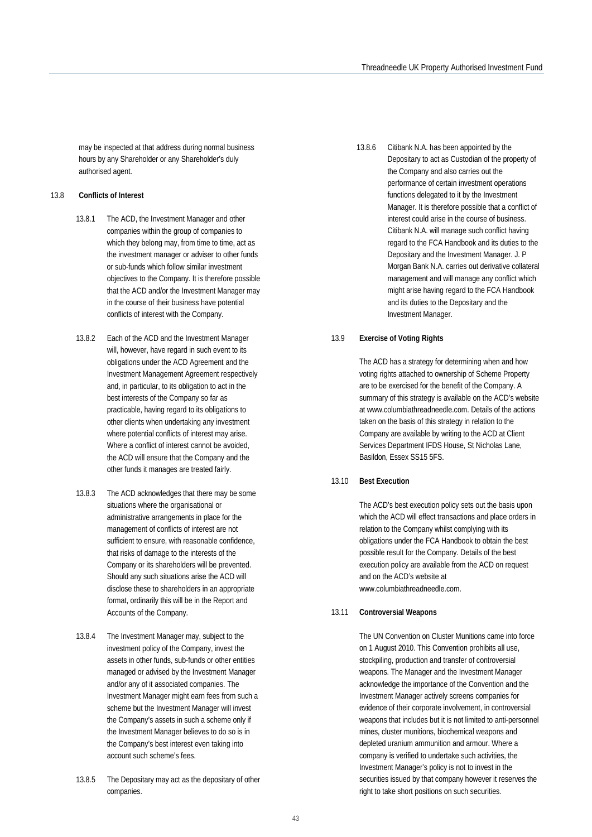may be inspected at that address during normal business hours by any Shareholder or any Shareholder's duly authorised agent.

#### 13.8 **Conflicts of Interest**

- 13.8.1 The ACD, the Investment Manager and other companies within the group of companies to which they belong may, from time to time, act as the investment manager or adviser to other funds or sub-funds which follow similar investment objectives to the Company. It is therefore possible that the ACD and/or the Investment Manager may in the course of their business have potential conflicts of interest with the Company.
- 13.8.2 Each of the ACD and the Investment Manager will, however, have regard in such event to its obligations under the ACD Agreement and the Investment Management Agreement respectively and, in particular, to its obligation to act in the best interests of the Company so far as practicable, having regard to its obligations to other clients when undertaking any investment where potential conflicts of interest may arise. Where a conflict of interest cannot be avoided, the ACD will ensure that the Company and the other funds it manages are treated fairly.
- 13.8.3 The ACD acknowledges that there may be some situations where the organisational or administrative arrangements in place for the management of conflicts of interest are not sufficient to ensure, with reasonable confidence, that risks of damage to the interests of the Company or its shareholders will be prevented. Should any such situations arise the ACD will disclose these to shareholders in an appropriate format, ordinarily this will be in the Report and Accounts of the Company.
- 13.8.4 The Investment Manager may, subject to the investment policy of the Company, invest the assets in other funds, sub-funds or other entities managed or advised by the Investment Manager and/or any of it associated companies. The Investment Manager might earn fees from such a scheme but the Investment Manager will invest the Company's assets in such a scheme only if the Investment Manager believes to do so is in the Company's best interest even taking into account such scheme's fees.
- 13.8.5 The Depositary may act as the depositary of other companies.

13.8.6 Citibank N.A. has been appointed by the Depositary to act as Custodian of the property of the Company and also carries out the performance of certain investment operations functions delegated to it by the Investment Manager. It is therefore possible that a conflict of interest could arise in the course of business. Citibank N.A. will manage such conflict having regard to the FCA Handbook and its duties to the Depositary and the Investment Manager. J. P Morgan Bank N.A. carries out derivative collateral management and will manage any conflict which might arise having regard to the FCA Handbook and its duties to the Depositary and the Investment Manager.

#### 13.9 **Exercise of Voting Rights**

The ACD has a strategy for determining when and how voting rights attached to ownership of Scheme Property are to be exercised for the benefit of the Company. A summary of this strategy is available on the ACD's website at www.columbiathreadneedle.com. Details of the actions taken on the basis of this strategy in relation to the Company are available by writing to the ACD at Client Services Department IFDS House, St Nicholas Lane, Basildon, Essex SS15 5FS.

#### 13.10 **Best Execution**

The ACD's best execution policy sets out the basis upon which the ACD will effect transactions and place orders in relation to the Company whilst complying with its obligations under the FCA Handbook to obtain the best possible result for the Company. Details of the best execution policy are available from the ACD on request and on the ACD's website at www.columbiathreadneedle.com.

#### 13.11 **Controversial Weapons**

The UN Convention on Cluster Munitions came into force on 1 August 2010. This Convention prohibits all use, stockpiling, production and transfer of controversial weapons. The Manager and the Investment Manager acknowledge the importance of the Convention and the Investment Manager actively screens companies for evidence of their corporate involvement, in controversial weapons that includes but it is not limited to anti-personnel mines, cluster munitions, biochemical weapons and depleted uranium ammunition and armour. Where a company is verified to undertake such activities, the Investment Manager's policy is not to invest in the securities issued by that company however it reserves the right to take short positions on such securities.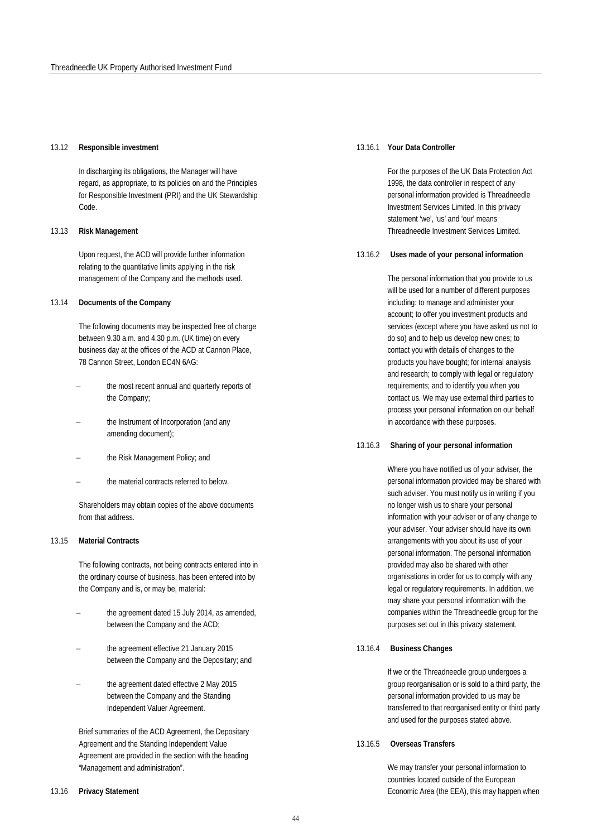#### 13.12 **Responsible investment**

In discharging its obligations, the Manager will have regard, as appropriate, to its policies on and the Principles for Responsible Investment (PRI) and the UK Stewardship Code.

#### 13.13 **Risk Management**

Upon request, the ACD will provide further information relating to the quantitative limits applying in the risk management of the Company and the methods used.

#### 13.14 **Documents of the Company**

The following documents may be inspected free of charge between 9.30 a.m. and 4.30 p.m. (UK time) on every business day at the offices of the ACD at Cannon Place, 78 Cannon Street, London EC4N 6AG:

- the most recent annual and quarterly reports of the Company;
- the Instrument of Incorporation (and any amending document);
- the Risk Management Policy; and
- the material contracts referred to below.

Shareholders may obtain copies of the above documents from that address.

#### 13.15 **Material Contracts**

The following contracts, not being contracts entered into in the ordinary course of business, has been entered into by the Company and is, or may be, material:

- the agreement dated 15 July 2014, as amended, between the Company and the ACD;
- the agreement effective 21 January 2015 between the Company and the Depositary; and
- the agreement dated effective 2 May 2015 between the Company and the Standing Independent Valuer Agreement.

Brief summaries of the ACD Agreement, the Depositary Agreement and the Standing Independent Value Agreement are provided in the section with the heading "Management and administration".

#### 13.16 **Privacy Statement**

#### 13.16.1 **Your Data Controller**

For the purposes of the UK Data Protection Act 1998, the data controller in respect of any personal information provided is Threadneedle Investment Services Limited. In this privacy statement 'we', 'us' and 'our' means Threadneedle Investment Services Limited.

#### 13.16.2 **Uses made of your personal information**

The personal information that you provide to us will be used for a number of different purposes including: to manage and administer your account; to offer you investment products and services (except where you have asked us not to do so) and to help us develop new ones; to contact you with details of changes to the products you have bought; for internal analysis and research; to comply with legal or regulatory requirements; and to identify you when you contact us. We may use external third parties to process your personal information on our behalf in accordance with these purposes.

#### 13.16.3 **Sharing of your personal information**

Where you have notified us of your adviser, the personal information provided may be shared with such adviser. You must notify us in writing if you no longer wish us to share your personal information with your adviser or of any change to your adviser. Your adviser should have its own arrangements with you about its use of your personal information. The personal information provided may also be shared with other organisations in order for us to comply with any legal or regulatory requirements. In addition, we may share your personal information with the companies within the Threadneedle group for the purposes set out in this privacy statement.

#### 13.16.4 **Business Changes**

If we or the Threadneedle group undergoes a group reorganisation or is sold to a third party, the personal information provided to us may be transferred to that reorganised entity or third party and used for the purposes stated above.

#### 13.16.5 **Overseas Transfers**

We may transfer your personal information to countries located outside of the European Economic Area (the EEA), this may happen when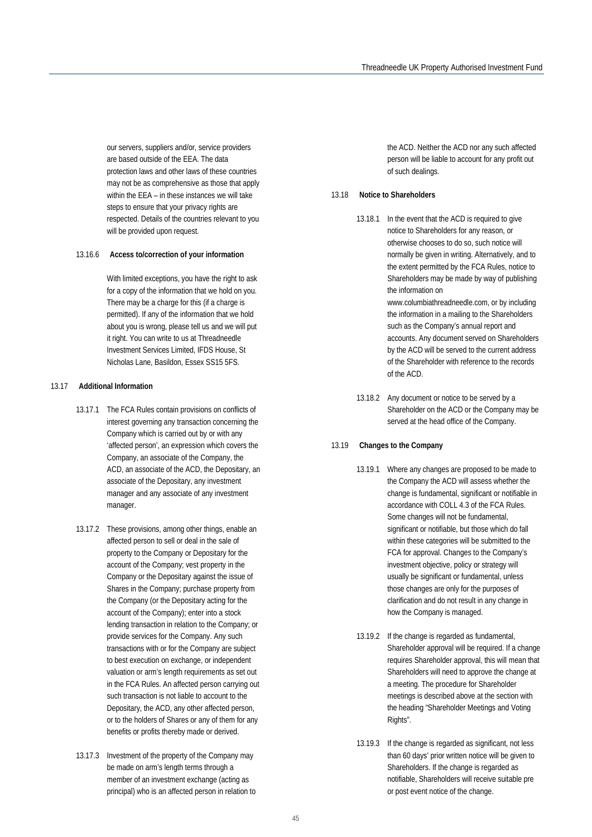our servers, suppliers and/or, service providers are based outside of the EEA. The data protection laws and other laws of these countries may not be as comprehensive as those that apply within the EEA – in these instances we will take steps to ensure that your privacy rights are respected. Details of the countries relevant to you will be provided upon request.

#### 13.16.6 **Access to/correction of your information**

With limited exceptions, you have the right to ask for a copy of the information that we hold on you. There may be a charge for this (if a charge is permitted). If any of the information that we hold about you is wrong, please tell us and we will put it right. You can write to us at Threadneedle Investment Services Limited, IFDS House, St Nicholas Lane, Basildon, Essex SS15 5FS.

#### 13.17 **Additional Information**

- 13.17.1 The FCA Rules contain provisions on conflicts of interest governing any transaction concerning the Company which is carried out by or with any 'affected person', an expression which covers the Company, an associate of the Company, the ACD, an associate of the ACD, the Depositary, an associate of the Depositary, any investment manager and any associate of any investment manager.
- 13.17.2 These provisions, among other things, enable an affected person to sell or deal in the sale of property to the Company or Depositary for the account of the Company; vest property in the Company or the Depositary against the issue of Shares in the Company; purchase property from the Company (or the Depositary acting for the account of the Company); enter into a stock lending transaction in relation to the Company; or provide services for the Company. Any such transactions with or for the Company are subject to best execution on exchange, or independent valuation or arm's length requirements as set out in the FCA Rules. An affected person carrying out such transaction is not liable to account to the Depositary, the ACD, any other affected person, or to the holders of Shares or any of them for any benefits or profits thereby made or derived.
- 13.17.3 Investment of the property of the Company may be made on arm's length terms through a member of an investment exchange (acting as principal) who is an affected person in relation to

the ACD. Neither the ACD nor any such affected person will be liable to account for any profit out of such dealings.

#### 13.18 **Notice to Shareholders**

- 13.18.1 In the event that the ACD is required to give notice to Shareholders for any reason, or otherwise chooses to do so, such notice will normally be given in writing. Alternatively, and to the extent permitted by the FCA Rules, notice to Shareholders may be made by way of publishing the information on www.columbiathreadneedle.com, or by including the information in a mailing to the Shareholders such as the Company's annual report and accounts. Any document served on Shareholders by the ACD will be served to the current address of the Shareholder with reference to the records of the ACD.
- 13.18.2 Any document or notice to be served by a Shareholder on the ACD or the Company may be served at the head office of the Company.

#### 13.19 **Changes to the Company**

- 13.19.1 Where any changes are proposed to be made to the Company the ACD will assess whether the change is fundamental, significant or notifiable in accordance with COLL 4.3 of the FCA Rules. Some changes will not be fundamental, significant or notifiable, but those which do fall within these categories will be submitted to the FCA for approval. Changes to the Company's investment objective, policy or strategy will usually be significant or fundamental, unless those changes are only for the purposes of clarification and do not result in any change in how the Company is managed.
- 13.19.2 If the change is regarded as fundamental, Shareholder approval will be required. If a change requires Shareholder approval, this will mean that Shareholders will need to approve the change at a meeting. The procedure for Shareholder meetings is described above at the section with the heading "Shareholder Meetings and Voting Rights".
- 13.19.3 If the change is regarded as significant, not less than 60 days' prior written notice will be given to Shareholders. If the change is regarded as notifiable, Shareholders will receive suitable pre or post event notice of the change.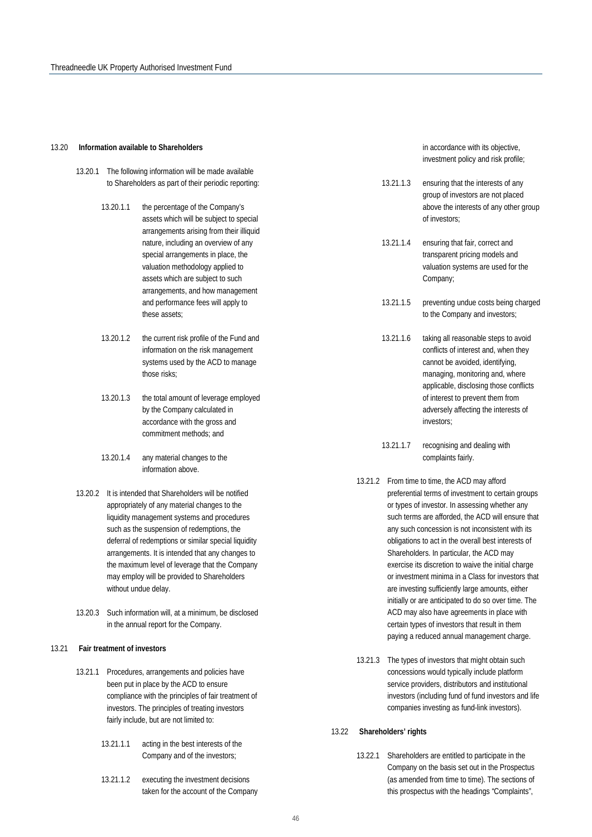#### 13.20 **Information available to Shareholders**

- 13.20.1 The following information will be made available to Shareholders as part of their periodic reporting:
	- 13.20.1.1 the percentage of the Company's assets which will be subject to special arrangements arising from their illiquid nature, including an overview of any special arrangements in place, the valuation methodology applied to assets which are subject to such arrangements, and how management and performance fees will apply to these assets;
	- 13.20.1.2 the current risk profile of the Fund and information on the risk management systems used by the ACD to manage those risks;
	- 13.20.1.3 the total amount of leverage employed by the Company calculated in accordance with the gross and commitment methods; and
	- 13.20.1.4 any material changes to the information above.
- 13.20.2 It is intended that Shareholders will be notified appropriately of any material changes to the liquidity management systems and procedures such as the suspension of redemptions, the deferral of redemptions or similar special liquidity arrangements. It is intended that any changes to the maximum level of leverage that the Company may employ will be provided to Shareholders without undue delay.
- 13.20.3 Such information will, at a minimum, be disclosed in the annual report for the Company.

#### 13.21 **Fair treatment of investors**

- 13.21.1 Procedures, arrangements and policies have been put in place by the ACD to ensure compliance with the principles of fair treatment of investors. The principles of treating investors fairly include, but are not limited to:
	- 13.21.1.1 acting in the best interests of the Company and of the investors;
	- 13.21.1.2 executing the investment decisions taken for the account of the Company

in accordance with its objective, investment policy and risk profile;

- 13.21.1.3 ensuring that the interests of any group of investors are not placed above the interests of any other group of investors;
- 13.21.1.4 ensuring that fair, correct and transparent pricing models and valuation systems are used for the Company;
- 13.21.1.5 preventing undue costs being charged to the Company and investors;
- 13.21.1.6 taking all reasonable steps to avoid conflicts of interest and, when they cannot be avoided, identifying, managing, monitoring and, where applicable, disclosing those conflicts of interest to prevent them from adversely affecting the interests of investors;
- 13.21.1.7 recognising and dealing with complaints fairly.
- 13.21.2 From time to time, the ACD may afford preferential terms of investment to certain groups or types of investor. In assessing whether any such terms are afforded, the ACD will ensure that any such concession is not inconsistent with its obligations to act in the overall best interests of Shareholders. In particular, the ACD may exercise its discretion to waive the initial charge or investment minima in a Class for investors that are investing sufficiently large amounts, either initially or are anticipated to do so over time. The ACD may also have agreements in place with certain types of investors that result in them paying a reduced annual management charge.
- 13.21.3 The types of investors that might obtain such concessions would typically include platform service providers, distributors and institutional investors (including fund of fund investors and life companies investing as fund-link investors).

#### 13.22 **Shareholders' rights**

13.22.1 Shareholders are entitled to participate in the Company on the basis set out in the Prospectus (as amended from time to time). The sections of this prospectus with the headings "Complaints",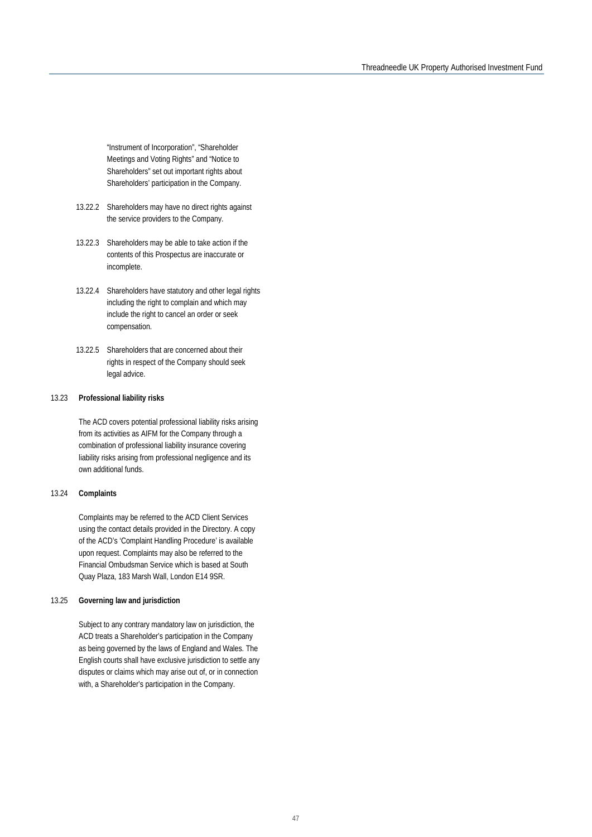"Instrument of Incorporation", "Shareholder Meetings and Voting Rights" and "Notice to Shareholders" set out important rights about Shareholders' participation in the Company.

- 13.22.2 Shareholders may have no direct rights against the service providers to the Company.
- 13.22.3 Shareholders may be able to take action if the contents of this Prospectus are inaccurate or incomplete.
- 13.22.4 Shareholders have statutory and other legal rights including the right to complain and which may include the right to cancel an order or seek compensation.
- 13.22.5 Shareholders that are concerned about their rights in respect of the Company should seek legal advice.

#### 13.23 **Professional liability risks**

The ACD covers potential professional liability risks arising from its activities as AIFM for the Company through a combination of professional liability insurance covering liability risks arising from professional negligence and its own additional funds.

#### 13.24 **Complaints**

Complaints may be referred to the ACD Client Services using the contact details provided in the Directory. A copy of the ACD's 'Complaint Handling Procedure' is available upon request. Complaints may also be referred to the Financial Ombudsman Service which is based at South Quay Plaza, 183 Marsh Wall, London E14 9SR.

#### 13.25 **Governing law and jurisdiction**

Subject to any contrary mandatory law on jurisdiction, the ACD treats a Shareholder's participation in the Company as being governed by the laws of England and Wales. The English courts shall have exclusive jurisdiction to settle any disputes or claims which may arise out of, or in connection with, a Shareholder's participation in the Company.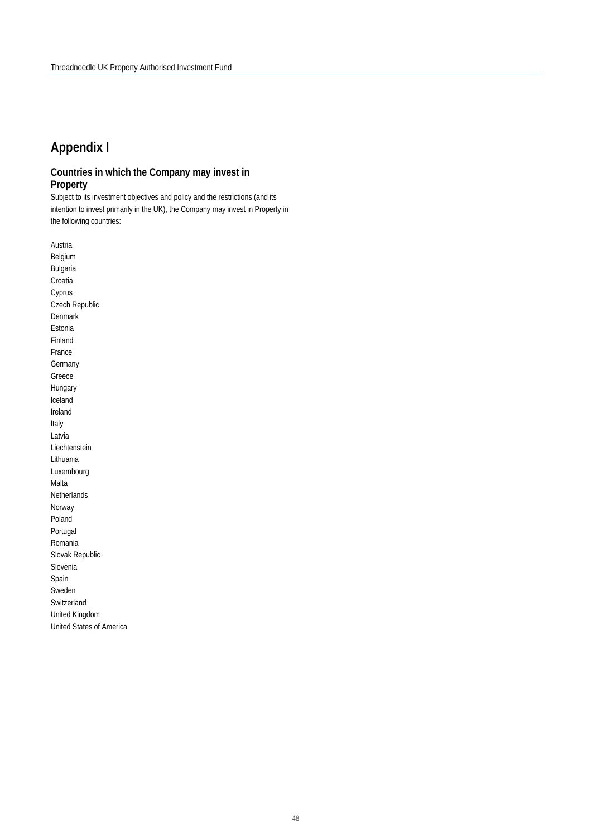## **Appendix I**

### **Countries in which the Company may invest in Property**

Subject to its investment objectives and policy and the restrictions (and its intention to invest primarily in the UK), the Company may invest in Property in the following countries:

Austria Belgium Bulgaria Croatia Cyprus Czech Republic Denmark Estonia Finland France Germany Greece Hungary Iceland Ireland Italy Latvia Liechtenstein Lithuania Luxembourg Malta Netherlands Norway Poland Portugal Romania Slovak Republic Slovenia Spain Sweden Switzerland United Kingdom United States of America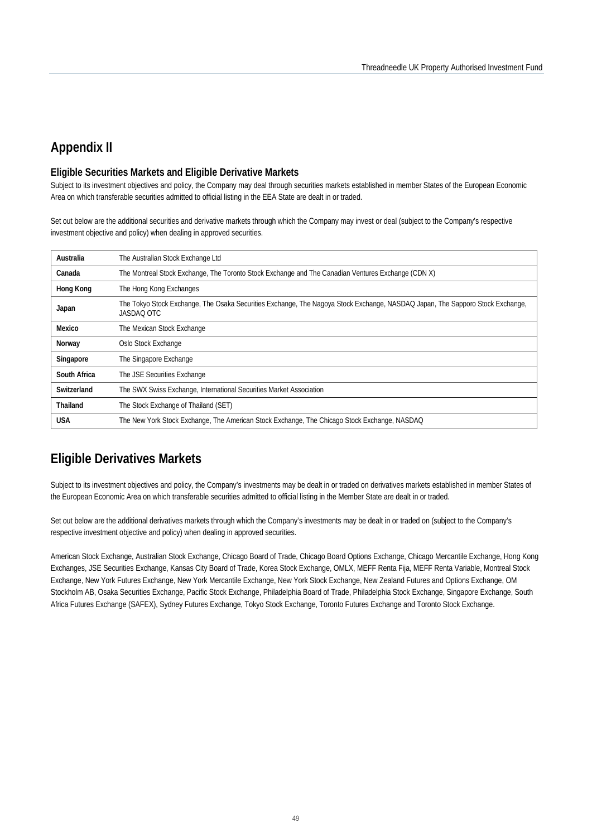## **Appendix II**

#### **Eligible Securities Markets and Eligible Derivative Markets**

Subject to its investment objectives and policy, the Company may deal through securities markets established in member States of the European Economic Area on which transferable securities admitted to official listing in the EEA State are dealt in or traded.

Set out below are the additional securities and derivative markets through which the Company may invest or deal (subject to the Company's respective investment objective and policy) when dealing in approved securities.

| Australia    | The Australian Stock Exchange Ltd                                                                                                           |
|--------------|---------------------------------------------------------------------------------------------------------------------------------------------|
| Canada       | The Montreal Stock Exchange, The Toronto Stock Exchange and The Canadian Ventures Exchange (CDN X)                                          |
| Hong Kong    | The Hong Kong Exchanges                                                                                                                     |
| Japan        | The Tokyo Stock Exchange, The Osaka Securities Exchange, The Nagoya Stock Exchange, NASDAQ Japan, The Sapporo Stock Exchange,<br>JASDAO OTC |
| Mexico       | The Mexican Stock Exchange                                                                                                                  |
| Norway       | Oslo Stock Exchange                                                                                                                         |
| Singapore    | The Singapore Exchange                                                                                                                      |
| South Africa | The JSE Securities Exchange                                                                                                                 |
| Switzerland  | The SWX Swiss Exchange, International Securities Market Association                                                                         |
| Thailand     | The Stock Exchange of Thailand (SET)                                                                                                        |
| <b>USA</b>   | The New York Stock Exchange, The American Stock Exchange, The Chicago Stock Exchange, NASDAQ                                                |

## **Eligible Derivatives Markets**

Subject to its investment objectives and policy, the Company's investments may be dealt in or traded on derivatives markets established in member States of the European Economic Area on which transferable securities admitted to official listing in the Member State are dealt in or traded.

Set out below are the additional derivatives markets through which the Company's investments may be dealt in or traded on (subject to the Company's respective investment objective and policy) when dealing in approved securities.

American Stock Exchange, Australian Stock Exchange, Chicago Board of Trade, Chicago Board Options Exchange, Chicago Mercantile Exchange, Hong Kong Exchanges, JSE Securities Exchange, Kansas City Board of Trade, Korea Stock Exchange, OMLX, MEFF Renta Fija, MEFF Renta Variable, Montreal Stock Exchange, New York Futures Exchange, New York Mercantile Exchange, New York Stock Exchange, New Zealand Futures and Options Exchange, OM Stockholm AB, Osaka Securities Exchange, Pacific Stock Exchange, Philadelphia Board of Trade, Philadelphia Stock Exchange, Singapore Exchange, South Africa Futures Exchange (SAFEX), Sydney Futures Exchange, Tokyo Stock Exchange, Toronto Futures Exchange and Toronto Stock Exchange.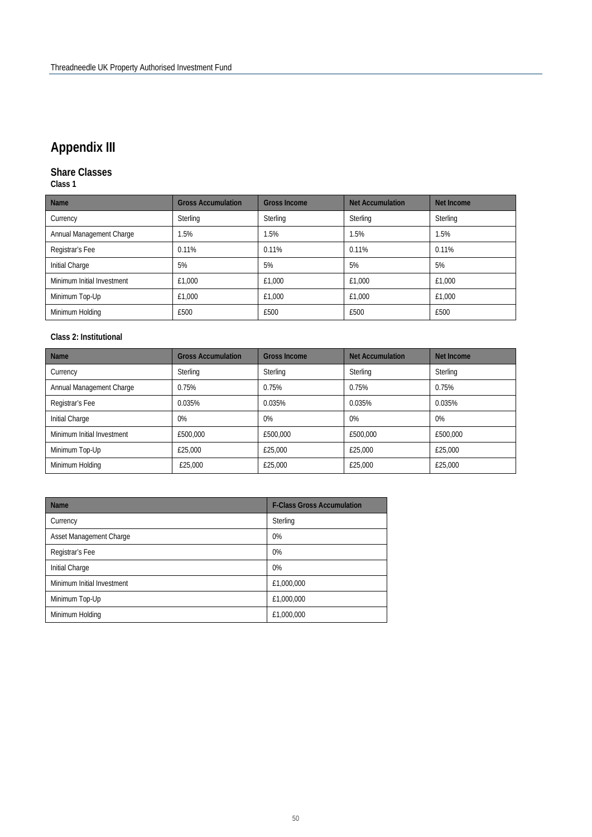## **Appendix III**

### **Share Classes**

**Class 1** 

| <b>Name</b>                | <b>Gross Accumulation</b> | <b>Gross Income</b> | <b>Net Accumulation</b> | Net Income |
|----------------------------|---------------------------|---------------------|-------------------------|------------|
| Currency                   | Sterling                  | Sterling            | Sterling                | Sterling   |
| Annual Management Charge   | .5%                       | 1.5%                | 1.5%                    | 1.5%       |
| Registrar's Fee            | 0.11%                     | 0.11%<br>0.11%      |                         | 0.11%      |
| Initial Charge             | 5%                        | 5%                  | 5%                      | 5%         |
| Minimum Initial Investment | £1,000                    | £1.000              | £1.000                  | £1.000     |
| Minimum Top-Up             | £1,000                    | £1.000              | £1.000                  | £1.000     |
| Minimum Holding            | £500                      | £500                | £500                    | £500       |

### **Class 2: Institutional**

| <b>Name</b>                | <b>Gross Accumulation</b> | <b>Gross Income</b> | <b>Net Accumulation</b> | Net Income |
|----------------------------|---------------------------|---------------------|-------------------------|------------|
| Currency                   | Sterling                  | Sterling            | Sterling                | Sterling   |
| Annual Management Charge   | 0.75%                     | 0.75%               | 0.75%                   | 0.75%      |
| Registrar's Fee            | 0.035%                    | 0.035%              | 0.035%                  | 0.035%     |
| Initial Charge             | $0\%$                     | $0\%$               | $0\%$                   | 0%         |
| Minimum Initial Investment | £500,000                  | £500,000            | £500.000                | £500,000   |
| Minimum Top-Up             | £25,000                   | £25,000             | £25.000                 | £25,000    |
| Minimum Holding            | £25,000                   | £25,000             | £25,000                 | £25,000    |

| <b>Name</b>                | <b>F-Class Gross Accumulation</b> |
|----------------------------|-----------------------------------|
| Currency                   | Sterling                          |
| Asset Management Charge    | 0%                                |
| Registrar's Fee            | 0%                                |
| Initial Charge             | 0%                                |
| Minimum Initial Investment | £1,000,000                        |
| Minimum Top-Up             | £1,000,000                        |
| Minimum Holding            | £1,000,000                        |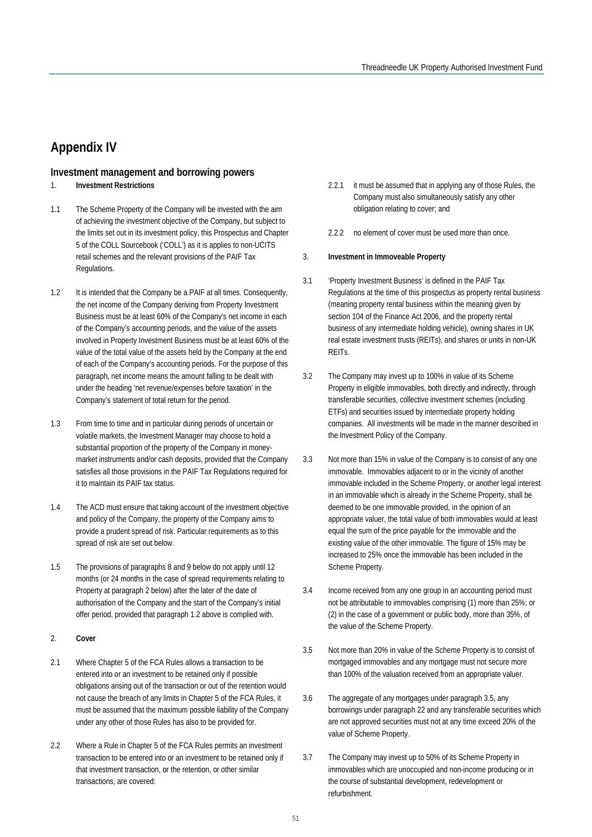## **Appendix IV**

### **Investment management and borrowing powers**

### 1. **Investment Restrictions**

- 1.1 The Scheme Property of the Company will be invested with the aim of achieving the investment objective of the Company, but subject to the limits set out in its investment policy, this Prospectus and Chapter 5 of the COLL Sourcebook ('COLL') as it is applies to non-UCITS retail schemes and the relevant provisions of the PAIF Tax Regulations.
- 1.2 It is intended that the Company be a PAIF at all times. Consequently, the net income of the Company deriving from Property Investment Business must be at least 60% of the Company's net income in each of the Company's accounting periods, and the value of the assets involved in Property Investment Business must be at least 60% of the value of the total value of the assets held by the Company at the end of each of the Company's accounting periods. For the purpose of this paragraph, net income means the amount falling to be dealt with under the heading 'net revenue/expenses before taxation' in the Company's statement of total return for the period.
- 1.3 From time to time and in particular during periods of uncertain or volatile markets, the Investment Manager may choose to hold a substantial proportion of the property of the Company in moneymarket instruments and/or cash deposits, provided that the Company satisfies all those provisions in the PAIF Tax Regulations required for it to maintain its PAIF tax status.
- 1.4 The ACD must ensure that taking account of the investment objective and policy of the Company, the property of the Company aims to provide a prudent spread of risk. Particular requirements as to this spread of risk are set out below.
- 1.5 The provisions of paragraphs 8 and 9 below do not apply until 12 months (or 24 months in the case of spread requirements relating to Property at paragraph 2 below) after the later of the date of authorisation of the Company and the start of the Company's initial offer period, provided that paragraph 1.2 above is complied with.

#### 2. **Cover**

- 2.1 Where Chapter 5 of the FCA Rules allows a transaction to be entered into or an investment to be retained only if possible obligations arising out of the transaction or out of the retention would not cause the breach of any limits in Chapter 5 of the FCA Rules, it must be assumed that the maximum possible liability of the Company under any other of those Rules has also to be provided for.
- 2.2 Where a Rule in Chapter 5 of the FCA Rules permits an investment transaction to be entered into or an investment to be retained only if that investment transaction, or the retention, or other similar transactions, are covered:
- 2.2.1 it must be assumed that in applying any of those Rules, the Company must also simultaneously satisfy any other obligation relating to cover; and
- 2.2.2 no element of cover must be used more than once.

#### 3. **Investment in Immoveable Property**

- 3.1 'Property Investment Business' is defined in the PAIF Tax Regulations at the time of this prospectus as property rental business (meaning property rental business within the meaning given by section 104 of the Finance Act 2006, and the property rental business of any intermediate holding vehicle), owning shares in UK real estate investment trusts (REITs), and shares or units in non-UK REITs.
- 3.2 The Company may invest up to 100% in value of its Scheme Property in eligible immovables, both directly and indirectly, through transferable securities, collective investment schemes (including ETFs) and securities issued by intermediate property holding companies. All investments will be made in the manner described in the Investment Policy of the Company.
- 3.3 Not more than 15% in value of the Company is to consist of any one immovable. Immovables adjacent to or in the vicinity of another immovable included in the Scheme Property, or another legal interest in an immovable which is already in the Scheme Property, shall be deemed to be one immovable provided, in the opinion of an appropriate valuer, the total value of both immovables would at least equal the sum of the price payable for the immovable and the existing value of the other immovable. The figure of 15% may be increased to 25% once the immovable has been included in the Scheme Property.
- 3.4 Income received from any one group in an accounting period must not be attributable to immovables comprising (1) more than 25%; or (2) in the case of a government or public body, more than 35%, of the value of the Scheme Property.
- 3.5 Not more than 20% in value of the Scheme Property is to consist of mortgaged immovables and any mortgage must not secure more than 100% of the valuation received from an appropriate valuer.
- 3.6 The aggregate of any mortgages under paragraph 3.5, any borrowings under paragraph 22 and any transferable securities which are not approved securities must not at any time exceed 20% of the value of Scheme Property.
- 3.7 The Company may invest up to 50% of its Scheme Property in immovables which are unoccupied and non-income producing or in the course of substantial development, redevelopment or refurbishment.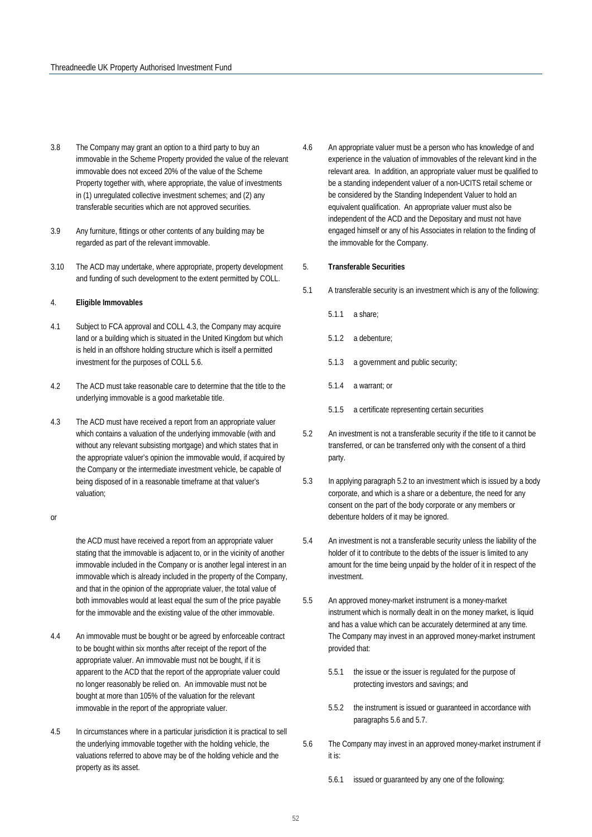- 3.8 The Company may grant an option to a third party to buy an immovable in the Scheme Property provided the value of the relevant immovable does not exceed 20% of the value of the Scheme Property together with, where appropriate, the value of investments in (1) unregulated collective investment schemes; and (2) any transferable securities which are not approved securities.
- 3.9 Any furniture, fittings or other contents of any building may be regarded as part of the relevant immovable.
- 3.10 The ACD may undertake, where appropriate, property development and funding of such development to the extent permitted by COLL.

#### 4. **Eligible Immovables**

- 4.1 Subject to FCA approval and COLL 4.3, the Company may acquire land or a building which is situated in the United Kingdom but which is held in an offshore holding structure which is itself a permitted investment for the purposes of COLL 5.6.
- 4.2 The ACD must take reasonable care to determine that the title to the underlying immovable is a good marketable title.
- 4.3 The ACD must have received a report from an appropriate valuer which contains a valuation of the underlying immovable (with and without any relevant subsisting mortgage) and which states that in the appropriate valuer's opinion the immovable would, if acquired by the Company or the intermediate investment vehicle, be capable of being disposed of in a reasonable timeframe at that valuer's valuation;

or

the ACD must have received a report from an appropriate valuer stating that the immovable is adjacent to, or in the vicinity of another immovable included in the Company or is another legal interest in an immovable which is already included in the property of the Company, and that in the opinion of the appropriate valuer, the total value of both immovables would at least equal the sum of the price payable for the immovable and the existing value of the other immovable.

- 4.4 An immovable must be bought or be agreed by enforceable contract to be bought within six months after receipt of the report of the appropriate valuer. An immovable must not be bought, if it is apparent to the ACD that the report of the appropriate valuer could no longer reasonably be relied on. An immovable must not be bought at more than 105% of the valuation for the relevant immovable in the report of the appropriate valuer.
- 4.5 In circumstances where in a particular jurisdiction it is practical to sell the underlying immovable together with the holding vehicle, the valuations referred to above may be of the holding vehicle and the property as its asset.
- 4.6 An appropriate valuer must be a person who has knowledge of and experience in the valuation of immovables of the relevant kind in the relevant area. In addition, an appropriate valuer must be qualified to be a standing independent valuer of a non-UCITS retail scheme or be considered by the Standing Independent Valuer to hold an equivalent qualification. An appropriate valuer must also be independent of the ACD and the Depositary and must not have engaged himself or any of his Associates in relation to the finding of the immovable for the Company.
- 5. **Transferable Securities**
- 5.1 A transferable security is an investment which is any of the following:
	- 5.1.1 a share;
	- 5.1.2 a debenture;
	- 5.1.3 a government and public security;
	- 5.1.4 a warrant; or
	- 5.1.5 a certificate representing certain securities
- 5.2 An investment is not a transferable security if the title to it cannot be transferred, or can be transferred only with the consent of a third party.
- 5.3 In applying paragraph 5.2 to an investment which is issued by a body corporate, and which is a share or a debenture, the need for any consent on the part of the body corporate or any members or debenture holders of it may be ignored.
- 5.4 An investment is not a transferable security unless the liability of the holder of it to contribute to the debts of the issuer is limited to any amount for the time being unpaid by the holder of it in respect of the investment.
- 5.5 An approved money-market instrument is a money-market instrument which is normally dealt in on the money market, is liquid and has a value which can be accurately determined at any time. The Company may invest in an approved money-market instrument provided that:
	- 5.5.1 the issue or the issuer is regulated for the purpose of protecting investors and savings; and
	- 5.5.2 the instrument is issued or guaranteed in accordance with paragraphs 5.6 and 5.7.
- 5.6 The Company may invest in an approved money-market instrument if it is:
	- 5.6.1 issued or guaranteed by any one of the following: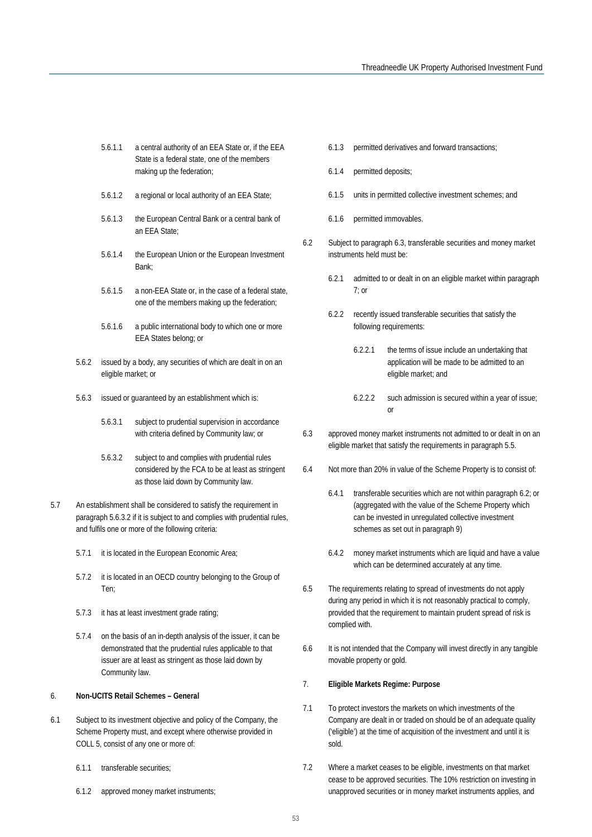- 5.6.1.1 a central authority of an EEA State or, if the EEA State is a federal state, one of the members making up the federation;
- 5.6.1.2 a regional or local authority of an EEA State;
- 5.6.1.3 the European Central Bank or a central bank of an EEA State;
- 5.6.1.4 the European Union or the European Investment Bank;
- 5.6.1.5 a non-EEA State or, in the case of a federal state, one of the members making up the federation;
- 5.6.1.6 a public international body to which one or more EEA States belong; or
- 5.6.2 issued by a body, any securities of which are dealt in on an eligible market; or
- 5.6.3 issued or guaranteed by an establishment which is:
	- 5.6.3.1 subject to prudential supervision in accordance with criteria defined by Community law; or
	- 5.6.3.2 subject to and complies with prudential rules considered by the FCA to be at least as stringent as those laid down by Community law.
- 5.7 An establishment shall be considered to satisfy the requirement in paragraph 5.6.3.2 if it is subject to and complies with prudential rules, and fulfils one or more of the following criteria:
	- 5.7.1 it is located in the European Economic Area;
	- 5.7.2 it is located in an OECD country belonging to the Group of Ten;
	- 5.7.3 it has at least investment grade rating;
	- 5.7.4 on the basis of an in-depth analysis of the issuer, it can be demonstrated that the prudential rules applicable to that issuer are at least as stringent as those laid down by Community law.

#### 6. **Non-UCITS Retail Schemes – General**

- 6.1 Subject to its investment objective and policy of the Company, the Scheme Property must, and except where otherwise provided in COLL 5, consist of any one or more of:
	- 6.1.1 transferable securities;
	- 6.1.2 approved money market instruments;
- 6.1.3 permitted derivatives and forward transactions;
- 6.1.4 permitted deposits;
- 6.1.5 units in permitted collective investment schemes; and
- 6.1.6 permitted immovables.
- 6.2 Subject to paragraph 6.3, transferable securities and money market instruments held must be:
	- 6.2.1 admitted to or dealt in on an eligible market within paragraph  $7:$  or
	- 6.2.2 recently issued transferable securities that satisfy the following requirements:
		- 6.2.2.1 the terms of issue include an undertaking that application will be made to be admitted to an eligible market; and
		- 6.2.2.2 such admission is secured within a year of issue; or
- 6.3 approved money market instruments not admitted to or dealt in on an eligible market that satisfy the requirements in paragraph 5.5.
- 6.4 Not more than 20% in value of the Scheme Property is to consist of:
	- 6.4.1 transferable securities which are not within paragraph 6.2; or (aggregated with the value of the Scheme Property which can be invested in unregulated collective investment schemes as set out in paragraph 9)
	- 6.4.2 money market instruments which are liquid and have a value which can be determined accurately at any time.
- 6.5 The requirements relating to spread of investments do not apply during any period in which it is not reasonably practical to comply, provided that the requirement to maintain prudent spread of risk is complied with.
- 6.6 It is not intended that the Company will invest directly in any tangible movable property or gold.

#### 7. **Eligible Markets Regime: Purpose**

- 7.1 To protect investors the markets on which investments of the Company are dealt in or traded on should be of an adequate quality ('eligible') at the time of acquisition of the investment and until it is sold.
- 7.2 Where a market ceases to be eligible, investments on that market cease to be approved securities. The 10% restriction on investing in unapproved securities or in money market instruments applies, and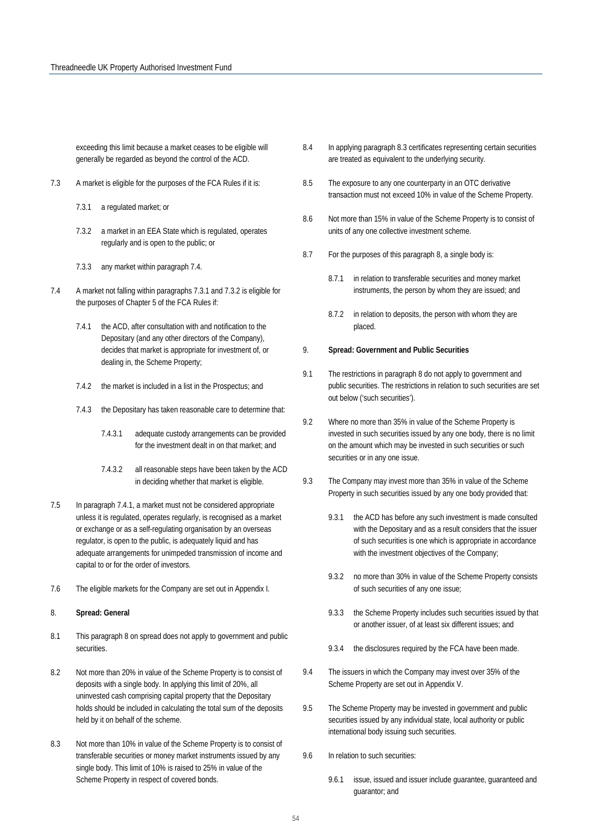exceeding this limit because a market ceases to be eligible will generally be regarded as beyond the control of the ACD.

- 7.3 A market is eligible for the purposes of the FCA Rules if it is:
	- 7.3.1 a regulated market; or
	- 7.3.2 a market in an EEA State which is regulated, operates regularly and is open to the public; or
	- 7.3.3 any market within paragraph 7.4.
- 7.4 A market not falling within paragraphs 7.3.1 and 7.3.2 is eligible for the purposes of Chapter 5 of the FCA Rules if:
	- 7.4.1 the ACD, after consultation with and notification to the Depositary (and any other directors of the Company), decides that market is appropriate for investment of, or dealing in, the Scheme Property;
	- 7.4.2 the market is included in a list in the Prospectus; and
	- 7.4.3 the Depositary has taken reasonable care to determine that:
		- 7.4.3.1 adequate custody arrangements can be provided for the investment dealt in on that market; and
		- 7.4.3.2 all reasonable steps have been taken by the ACD in deciding whether that market is eligible.
- 7.5 In paragraph 7.4.1, a market must not be considered appropriate unless it is regulated, operates regularly, is recognised as a market or exchange or as a self-regulating organisation by an overseas regulator, is open to the public, is adequately liquid and has adequate arrangements for unimpeded transmission of income and capital to or for the order of investors.
- 7.6 The eligible markets for the Company are set out in Appendix I.
- 8. **Spread: General**
- 8.1 This paragraph 8 on spread does not apply to government and public securities.
- 8.2 Not more than 20% in value of the Scheme Property is to consist of deposits with a single body. In applying this limit of 20%, all uninvested cash comprising capital property that the Depositary holds should be included in calculating the total sum of the deposits held by it on behalf of the scheme.
- 8.3 Not more than 10% in value of the Scheme Property is to consist of transferable securities or money market instruments issued by any single body. This limit of 10% is raised to 25% in value of the Scheme Property in respect of covered bonds.
- 8.4 In applying paragraph 8.3 certificates representing certain securities are treated as equivalent to the underlying security.
- 8.5 The exposure to any one counterparty in an OTC derivative transaction must not exceed 10% in value of the Scheme Property.
- 8.6 Not more than 15% in value of the Scheme Property is to consist of units of any one collective investment scheme.
- 8.7 For the purposes of this paragraph 8, a single body is:
	- 8.7.1 in relation to transferable securities and money market instruments, the person by whom they are issued; and
	- 8.7.2 in relation to deposits, the person with whom they are placed.

#### 9. **Spread: Government and Public Securities**

- 9.1 The restrictions in paragraph 8 do not apply to government and public securities. The restrictions in relation to such securities are set out below ('such securities').
- 9.2 Where no more than 35% in value of the Scheme Property is invested in such securities issued by any one body, there is no limit on the amount which may be invested in such securities or such securities or in any one issue.
- 9.3 The Company may invest more than 35% in value of the Scheme Property in such securities issued by any one body provided that:
	- 9.3.1 the ACD has before any such investment is made consulted with the Depositary and as a result considers that the issuer of such securities is one which is appropriate in accordance with the investment objectives of the Company;
	- 9.3.2 no more than 30% in value of the Scheme Property consists of such securities of any one issue;
	- 9.3.3 the Scheme Property includes such securities issued by that or another issuer, of at least six different issues; and
	- 9.3.4 the disclosures required by the FCA have been made.
- 9.4 The issuers in which the Company may invest over 35% of the Scheme Property are set out in Appendix V.
- 9.5 The Scheme Property may be invested in government and public securities issued by any individual state, local authority or public international body issuing such securities.
- 9.6 In relation to such securities:
	- 9.6.1 issue, issued and issuer include guarantee, guaranteed and guarantor; and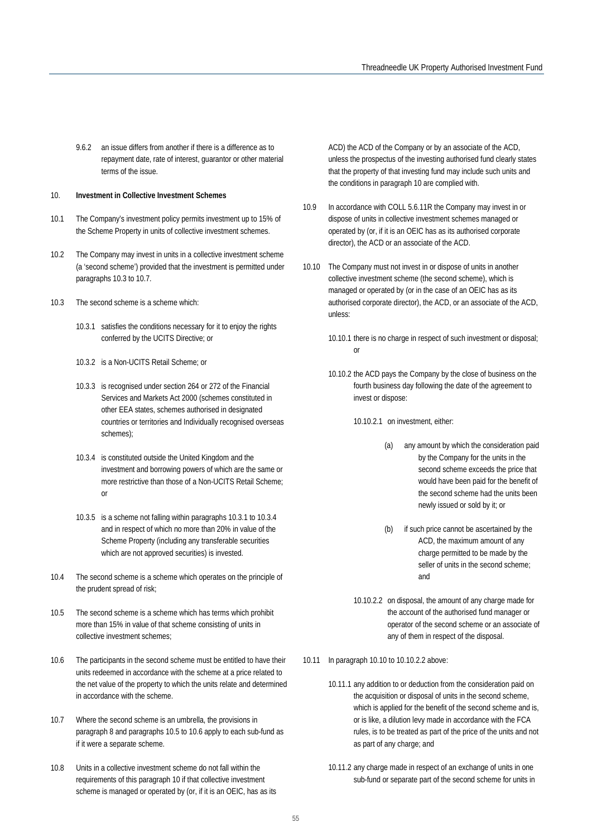9.6.2 an issue differs from another if there is a difference as to repayment date, rate of interest, guarantor or other material terms of the issue.

#### 10. **Investment in Collective Investment Schemes**

- 10.1 The Company's investment policy permits investment up to 15% of the Scheme Property in units of collective investment schemes.
- 10.2 The Company may invest in units in a collective investment scheme (a 'second scheme') provided that the investment is permitted under paragraphs 10.3 to 10.7.
- 10.3 The second scheme is a scheme which:
	- 10.3.1 satisfies the conditions necessary for it to enjoy the rights conferred by the UCITS Directive; or
	- 10.3.2 is a Non-UCITS Retail Scheme; or
	- 10.3.3 is recognised under section 264 or 272 of the Financial Services and Markets Act 2000 (schemes constituted in other EEA states, schemes authorised in designated countries or territories and Individually recognised overseas schemes);
	- 10.3.4 is constituted outside the United Kingdom and the investment and borrowing powers of which are the same or more restrictive than those of a Non-UCITS Retail Scheme; or
	- 10.3.5 is a scheme not falling within paragraphs 10.3.1 to 10.3.4 and in respect of which no more than 20% in value of the Scheme Property (including any transferable securities which are not approved securities) is invested.
- 10.4 The second scheme is a scheme which operates on the principle of the prudent spread of risk;
- 10.5 The second scheme is a scheme which has terms which prohibit more than 15% in value of that scheme consisting of units in collective investment schemes;
- 10.6 The participants in the second scheme must be entitled to have their units redeemed in accordance with the scheme at a price related to the net value of the property to which the units relate and determined in accordance with the scheme.
- 10.7 Where the second scheme is an umbrella, the provisions in paragraph 8 and paragraphs 10.5 to 10.6 apply to each sub-fund as if it were a separate scheme.
- 10.8 Units in a collective investment scheme do not fall within the requirements of this paragraph 10 if that collective investment scheme is managed or operated by (or, if it is an OEIC, has as its

ACD) the ACD of the Company or by an associate of the ACD, unless the prospectus of the investing authorised fund clearly states that the property of that investing fund may include such units and the conditions in paragraph 10 are complied with.

- 10.9 In accordance with COLL 5.6.11R the Company may invest in or dispose of units in collective investment schemes managed or operated by (or, if it is an OEIC has as its authorised corporate director), the ACD or an associate of the ACD.
- 10.10 The Company must not invest in or dispose of units in another collective investment scheme (the second scheme), which is managed or operated by (or in the case of an OEIC has as its authorised corporate director), the ACD, or an associate of the ACD, unless:
	- 10.10.1 there is no charge in respect of such investment or disposal; or
	- 10.10.2 the ACD pays the Company by the close of business on the fourth business day following the date of the agreement to invest or dispose:
		- 10.10.2.1 on investment, either:
			- (a) any amount by which the consideration paid by the Company for the units in the second scheme exceeds the price that would have been paid for the benefit of the second scheme had the units been newly issued or sold by it; or
			- (b) if such price cannot be ascertained by the ACD, the maximum amount of any charge permitted to be made by the seller of units in the second scheme; and
		- 10.10.2.2 on disposal, the amount of any charge made for the account of the authorised fund manager or operator of the second scheme or an associate of any of them in respect of the disposal.
- 10.11 In paragraph 10.10 to 10.10.2.2 above:
	- 10.11.1 any addition to or deduction from the consideration paid on the acquisition or disposal of units in the second scheme, which is applied for the benefit of the second scheme and is, or is like, a dilution levy made in accordance with the FCA rules, is to be treated as part of the price of the units and not as part of any charge; and
	- 10.11.2 any charge made in respect of an exchange of units in one sub-fund or separate part of the second scheme for units in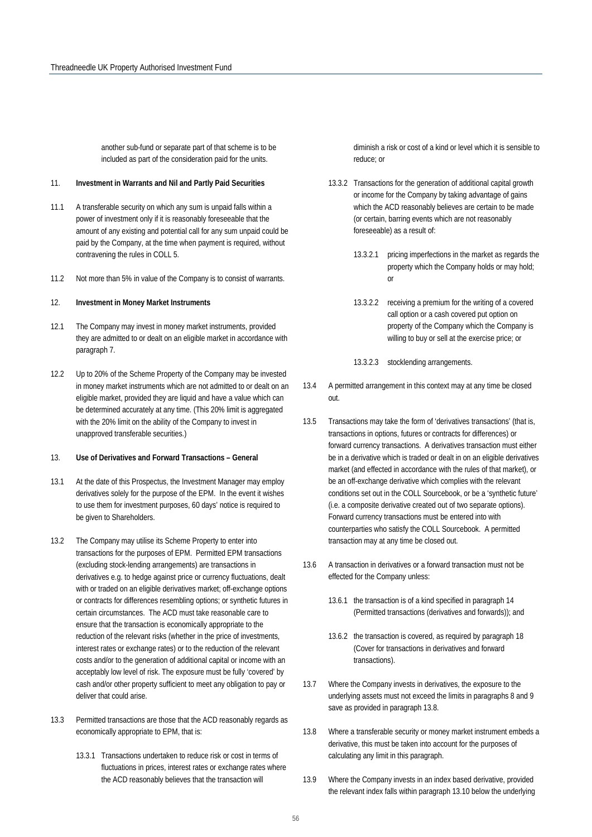another sub-fund or separate part of that scheme is to be included as part of the consideration paid for the units.

#### 11. **Investment in Warrants and Nil and Partly Paid Securities**

- 11.1 A transferable security on which any sum is unpaid falls within a power of investment only if it is reasonably foreseeable that the amount of any existing and potential call for any sum unpaid could be paid by the Company, at the time when payment is required, without contravening the rules in COLL 5.
- 11.2 Not more than 5% in value of the Company is to consist of warrants.

#### 12. **Investment in Money Market Instruments**

- 12.1 The Company may invest in money market instruments, provided they are admitted to or dealt on an eligible market in accordance with paragraph 7.
- 12.2 Up to 20% of the Scheme Property of the Company may be invested in money market instruments which are not admitted to or dealt on an eligible market, provided they are liquid and have a value which can be determined accurately at any time. (This 20% limit is aggregated with the 20% limit on the ability of the Company to invest in unapproved transferable securities.)

#### 13. **Use of Derivatives and Forward Transactions – General**

- 13.1 At the date of this Prospectus, the Investment Manager may employ derivatives solely for the purpose of the EPM. In the event it wishes to use them for investment purposes, 60 days' notice is required to be given to Shareholders.
- 13.2 The Company may utilise its Scheme Property to enter into transactions for the purposes of EPM. Permitted EPM transactions (excluding stock-lending arrangements) are transactions in derivatives e.g. to hedge against price or currency fluctuations, dealt with or traded on an eligible derivatives market; off-exchange options or contracts for differences resembling options; or synthetic futures in certain circumstances. The ACD must take reasonable care to ensure that the transaction is economically appropriate to the reduction of the relevant risks (whether in the price of investments, interest rates or exchange rates) or to the reduction of the relevant costs and/or to the generation of additional capital or income with an acceptably low level of risk. The exposure must be fully 'covered' by cash and/or other property sufficient to meet any obligation to pay or deliver that could arise.
- 13.3 Permitted transactions are those that the ACD reasonably regards as economically appropriate to EPM, that is:
	- 13.3.1 Transactions undertaken to reduce risk or cost in terms of fluctuations in prices, interest rates or exchange rates where the ACD reasonably believes that the transaction will

diminish a risk or cost of a kind or level which it is sensible to reduce; or

- 13.3.2 Transactions for the generation of additional capital growth or income for the Company by taking advantage of gains which the ACD reasonably believes are certain to be made (or certain, barring events which are not reasonably foreseeable) as a result of:
	- 13.3.2.1 pricing imperfections in the market as regards the property which the Company holds or may hold; or
	- 13.3.2.2 receiving a premium for the writing of a covered call option or a cash covered put option on property of the Company which the Company is willing to buy or sell at the exercise price; or
	- 13.3.2.3 stocklending arrangements.
- 13.4 A permitted arrangement in this context may at any time be closed out.
- 13.5 Transactions may take the form of 'derivatives transactions' (that is, transactions in options, futures or contracts for differences) or forward currency transactions. A derivatives transaction must either be in a derivative which is traded or dealt in on an eligible derivatives market (and effected in accordance with the rules of that market), or be an off-exchange derivative which complies with the relevant conditions set out in the COLL Sourcebook, or be a 'synthetic future' (i.e. a composite derivative created out of two separate options). Forward currency transactions must be entered into with counterparties who satisfy the COLL Sourcebook. A permitted transaction may at any time be closed out.
- 13.6 A transaction in derivatives or a forward transaction must not be effected for the Company unless:
	- 13.6.1 the transaction is of a kind specified in paragraph 14 (Permitted transactions (derivatives and forwards)); and
	- 13.6.2 the transaction is covered, as required by paragraph 18 (Cover for transactions in derivatives and forward transactions).
- 13.7 Where the Company invests in derivatives, the exposure to the underlying assets must not exceed the limits in paragraphs 8 and 9 save as provided in paragraph 13.8.
- 13.8 Where a transferable security or money market instrument embeds a derivative, this must be taken into account for the purposes of calculating any limit in this paragraph.
- 13.9 Where the Company invests in an index based derivative, provided the relevant index falls within paragraph 13.10 below the underlying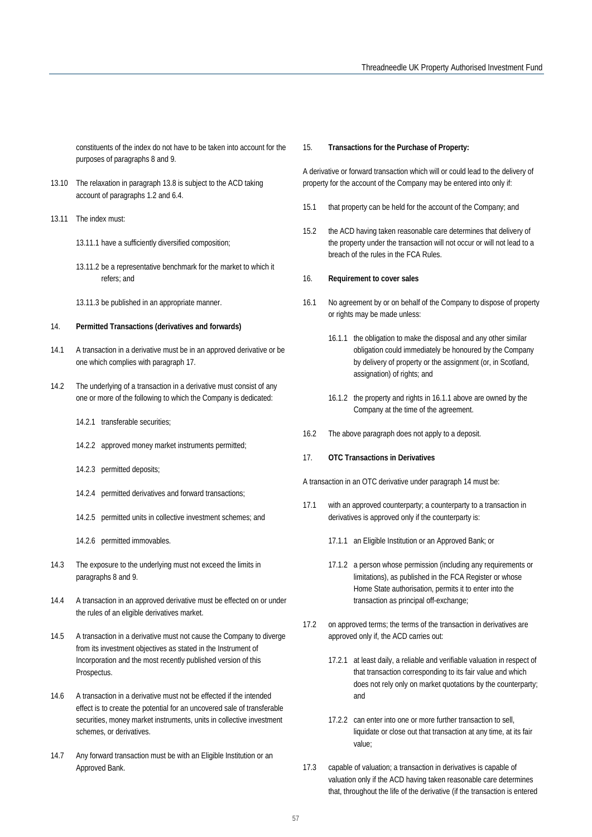constituents of the index do not have to be taken into account for the purposes of paragraphs 8 and 9.

- 13.10 The relaxation in paragraph 13.8 is subject to the ACD taking account of paragraphs 1.2 and 6.4.
- 13.11 The index must:
	- 13.11.1 have a sufficiently diversified composition;
	- 13.11.2 be a representative benchmark for the market to which it refers; and
	- 13.11.3 be published in an appropriate manner.

#### 14. **Permitted Transactions (derivatives and forwards)**

- 14.1 A transaction in a derivative must be in an approved derivative or be one which complies with paragraph 17.
- 14.2 The underlying of a transaction in a derivative must consist of any one or more of the following to which the Company is dedicated:
	- 14.2.1 transferable securities;
	- 14.2.2 approved money market instruments permitted;
	- 14.2.3 permitted deposits;
	- 14.2.4 permitted derivatives and forward transactions;
	- 14.2.5 permitted units in collective investment schemes; and
	- 14.2.6 permitted immovables.
- 14.3 The exposure to the underlying must not exceed the limits in paragraphs 8 and 9.
- 14.4 A transaction in an approved derivative must be effected on or under the rules of an eligible derivatives market.
- 14.5 A transaction in a derivative must not cause the Company to diverge from its investment objectives as stated in the Instrument of Incorporation and the most recently published version of this Prospectus.
- 14.6 A transaction in a derivative must not be effected if the intended effect is to create the potential for an uncovered sale of transferable securities, money market instruments, units in collective investment schemes, or derivatives.
- 14.7 Any forward transaction must be with an Eligible Institution or an Approved Bank.

#### 15. **Transactions for the Purchase of Property:**

A derivative or forward transaction which will or could lead to the delivery of property for the account of the Company may be entered into only if:

- 15.1 that property can be held for the account of the Company; and
- 15.2 the ACD having taken reasonable care determines that delivery of the property under the transaction will not occur or will not lead to a breach of the rules in the FCA Rules.

#### 16. **Requirement to cover sales**

- 16.1 No agreement by or on behalf of the Company to dispose of property or rights may be made unless:
	- 16.1.1 the obligation to make the disposal and any other similar obligation could immediately be honoured by the Company by delivery of property or the assignment (or, in Scotland, assignation) of rights; and
	- 16.1.2 the property and rights in 16.1.1 above are owned by the Company at the time of the agreement.
- 16.2 The above paragraph does not apply to a deposit.
- 17. **OTC Transactions in Derivatives**

A transaction in an OTC derivative under paragraph 14 must be:

- 17.1 with an approved counterparty; a counterparty to a transaction in derivatives is approved only if the counterparty is:
	- 17.1.1 an Eligible Institution or an Approved Bank; or
	- 17.1.2 a person whose permission (including any requirements or limitations), as published in the FCA Register or whose Home State authorisation, permits it to enter into the transaction as principal off-exchange;
- 17.2 on approved terms; the terms of the transaction in derivatives are approved only if, the ACD carries out:
	- 17.2.1 at least daily, a reliable and verifiable valuation in respect of that transaction corresponding to its fair value and which does not rely only on market quotations by the counterparty; and
	- 17.2.2 can enter into one or more further transaction to sell, liquidate or close out that transaction at any time, at its fair value;
- 17.3 capable of valuation; a transaction in derivatives is capable of valuation only if the ACD having taken reasonable care determines that, throughout the life of the derivative (if the transaction is entered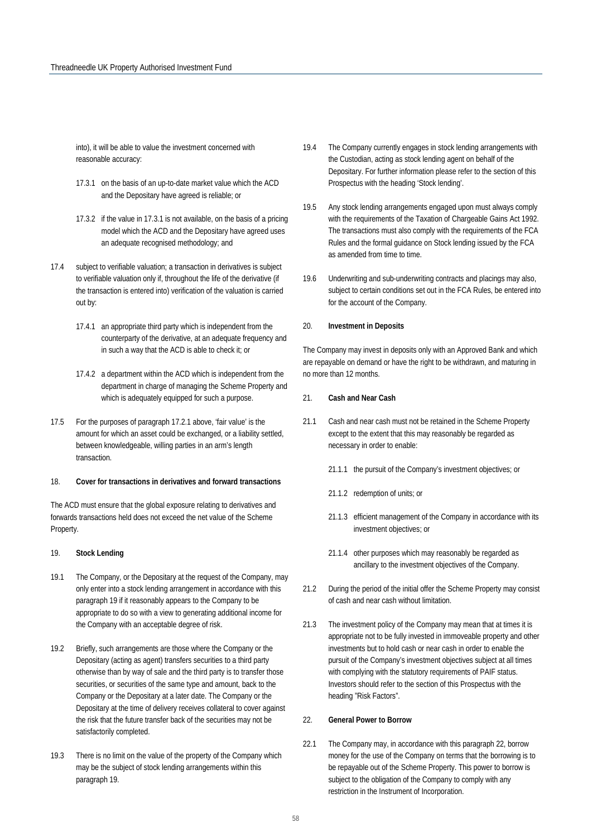into), it will be able to value the investment concerned with reasonable accuracy:

- 17.3.1 on the basis of an up-to-date market value which the ACD and the Depositary have agreed is reliable; or
- 17.3.2 if the value in 17.3.1 is not available, on the basis of a pricing model which the ACD and the Depositary have agreed uses an adequate recognised methodology; and
- 17.4 subject to verifiable valuation; a transaction in derivatives is subject to verifiable valuation only if, throughout the life of the derivative (if the transaction is entered into) verification of the valuation is carried out by:
	- 17.4.1 an appropriate third party which is independent from the counterparty of the derivative, at an adequate frequency and in such a way that the ACD is able to check it; or
	- 17.4.2 a department within the ACD which is independent from the department in charge of managing the Scheme Property and which is adequately equipped for such a purpose.
- 17.5 For the purposes of paragraph 17.2.1 above, 'fair value' is the amount for which an asset could be exchanged, or a liability settled, between knowledgeable, willing parties in an arm's length transaction.

#### 18. **Cover for transactions in derivatives and forward transactions**

The ACD must ensure that the global exposure relating to derivatives and forwards transactions held does not exceed the net value of the Scheme Property.

#### 19. **Stock Lending**

- 19.1 The Company, or the Depositary at the request of the Company, may only enter into a stock lending arrangement in accordance with this paragraph 19 if it reasonably appears to the Company to be appropriate to do so with a view to generating additional income for the Company with an acceptable degree of risk.
- 19.2 Briefly, such arrangements are those where the Company or the Depositary (acting as agent) transfers securities to a third party otherwise than by way of sale and the third party is to transfer those securities, or securities of the same type and amount, back to the Company or the Depositary at a later date. The Company or the Depositary at the time of delivery receives collateral to cover against the risk that the future transfer back of the securities may not be satisfactorily completed.
- 19.3 There is no limit on the value of the property of the Company which may be the subject of stock lending arrangements within this paragraph 19.
- 19.4 The Company currently engages in stock lending arrangements with the Custodian, acting as stock lending agent on behalf of the Depositary. For further information please refer to the section of this Prospectus with the heading 'Stock lending'.
- 19.5 Any stock lending arrangements engaged upon must always comply with the requirements of the Taxation of Chargeable Gains Act 1992. The transactions must also comply with the requirements of the FCA Rules and the formal guidance on Stock lending issued by the FCA as amended from time to time.
- 19.6 Underwriting and sub-underwriting contracts and placings may also, subject to certain conditions set out in the FCA Rules, be entered into for the account of the Company.

#### 20. **Investment in Deposits**

The Company may invest in deposits only with an Approved Bank and which are repayable on demand or have the right to be withdrawn, and maturing in no more than 12 months.

#### 21. **Cash and Near Cash**

- 21.1 Cash and near cash must not be retained in the Scheme Property except to the extent that this may reasonably be regarded as necessary in order to enable:
	- 21.1.1 the pursuit of the Company's investment objectives; or
	- 21.1.2 redemption of units; or
	- 21.1.3 efficient management of the Company in accordance with its investment objectives; or
	- 21.1.4 other purposes which may reasonably be regarded as ancillary to the investment objectives of the Company.
- 21.2 During the period of the initial offer the Scheme Property may consist of cash and near cash without limitation.
- 21.3 The investment policy of the Company may mean that at times it is appropriate not to be fully invested in immoveable property and other investments but to hold cash or near cash in order to enable the pursuit of the Company's investment objectives subject at all times with complying with the statutory requirements of PAIF status. Investors should refer to the section of this Prospectus with the heading "Risk Factors".

#### 22. **General Power to Borrow**

22.1 The Company may, in accordance with this paragraph 22, borrow money for the use of the Company on terms that the borrowing is to be repayable out of the Scheme Property. This power to borrow is subject to the obligation of the Company to comply with any restriction in the Instrument of Incorporation.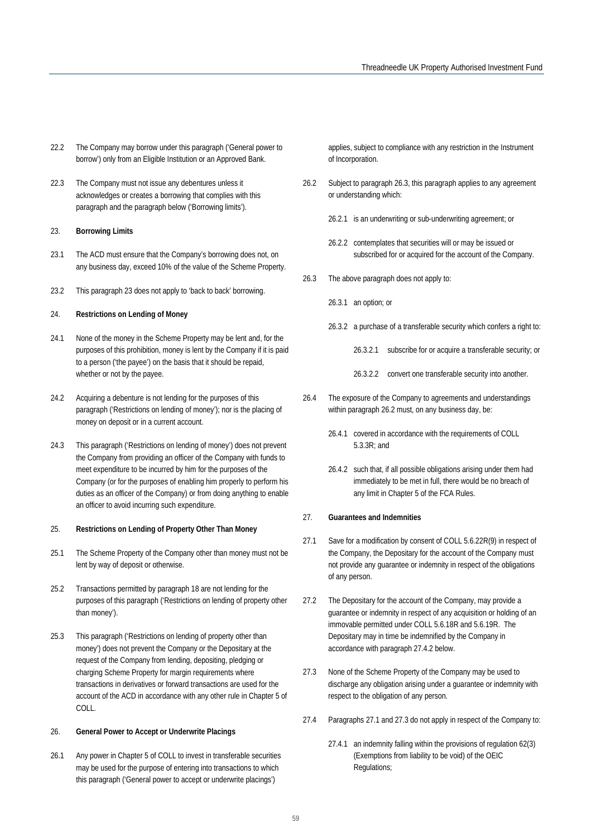- 22.2 The Company may borrow under this paragraph ('General power to borrow') only from an Eligible Institution or an Approved Bank.
- 22.3 The Company must not issue any debentures unless it acknowledges or creates a borrowing that complies with this paragraph and the paragraph below ('Borrowing limits').

#### 23. **Borrowing Limits**

- 23.1 The ACD must ensure that the Company's borrowing does not, on any business day, exceed 10% of the value of the Scheme Property.
- 23.2 This paragraph 23 does not apply to 'back to back' borrowing.

#### 24. **Restrictions on Lending of Money**

- 24.1 None of the money in the Scheme Property may be lent and, for the purposes of this prohibition, money is lent by the Company if it is paid to a person ('the payee') on the basis that it should be repaid, whether or not by the payee.
- 24.2 Acquiring a debenture is not lending for the purposes of this paragraph ('Restrictions on lending of money'); nor is the placing of money on deposit or in a current account.
- 24.3 This paragraph ('Restrictions on lending of money') does not prevent the Company from providing an officer of the Company with funds to meet expenditure to be incurred by him for the purposes of the Company (or for the purposes of enabling him properly to perform his duties as an officer of the Company) or from doing anything to enable an officer to avoid incurring such expenditure.

#### 25. **Restrictions on Lending of Property Other Than Money**

- 25.1 The Scheme Property of the Company other than money must not be lent by way of deposit or otherwise.
- 25.2 Transactions permitted by paragraph 18 are not lending for the purposes of this paragraph ('Restrictions on lending of property other than money').
- 25.3 This paragraph ('Restrictions on lending of property other than money') does not prevent the Company or the Depositary at the request of the Company from lending, depositing, pledging or charging Scheme Property for margin requirements where transactions in derivatives or forward transactions are used for the account of the ACD in accordance with any other rule in Chapter 5 of COLL.

### 26. **General Power to Accept or Underwrite Placings**

26.1 Any power in Chapter 5 of COLL to invest in transferable securities may be used for the purpose of entering into transactions to which this paragraph ('General power to accept or underwrite placings')

applies, subject to compliance with any restriction in the Instrument of Incorporation.

- 26.2 Subject to paragraph 26.3, this paragraph applies to any agreement or understanding which:
	- 26.2.1 is an underwriting or sub-underwriting agreement; or
	- 26.2.2 contemplates that securities will or may be issued or subscribed for or acquired for the account of the Company.
- 26.3 The above paragraph does not apply to:
	- 26.3.1 an option; or
	- 26.3.2 a purchase of a transferable security which confers a right to:
		- 26.3.2.1 subscribe for or acquire a transferable security; or

26.3.2.2 convert one transferable security into another.

- 26.4 The exposure of the Company to agreements and understandings within paragraph 26.2 must, on any business day, be:
	- 26.4.1 covered in accordance with the requirements of COLL 5.3.3R; and
	- 26.4.2 such that, if all possible obligations arising under them had immediately to be met in full, there would be no breach of any limit in Chapter 5 of the FCA Rules.

#### 27. **Guarantees and Indemnities**

- 27.1 Save for a modification by consent of COLL 5.6.22R(9) in respect of the Company, the Depositary for the account of the Company must not provide any guarantee or indemnity in respect of the obligations of any person.
- 27.2 The Depositary for the account of the Company, may provide a guarantee or indemnity in respect of any acquisition or holding of an immovable permitted under COLL 5.6.18R and 5.6.19R. The Depositary may in time be indemnified by the Company in accordance with paragraph 27.4.2 below.
- 27.3 None of the Scheme Property of the Company may be used to discharge any obligation arising under a guarantee or indemnity with respect to the obligation of any person.
- 27.4 Paragraphs 27.1 and 27.3 do not apply in respect of the Company to:
	- 27.4.1 an indemnity falling within the provisions of regulation 62(3) (Exemptions from liability to be void) of the OEIC Regulations;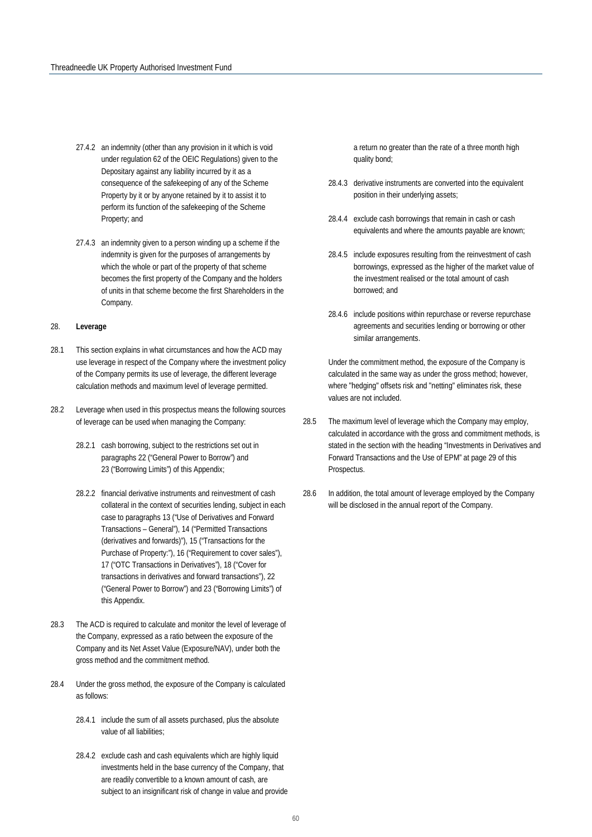- 27.4.2 an indemnity (other than any provision in it which is void under regulation 62 of the OEIC Regulations) given to the Depositary against any liability incurred by it as a consequence of the safekeeping of any of the Scheme Property by it or by anyone retained by it to assist it to perform its function of the safekeeping of the Scheme Property; and
- 27.4.3 an indemnity given to a person winding up a scheme if the indemnity is given for the purposes of arrangements by which the whole or part of the property of that scheme becomes the first property of the Company and the holders of units in that scheme become the first Shareholders in the Company.

#### 28. **Leverage**

- 28.1 This section explains in what circumstances and how the ACD may use leverage in respect of the Company where the investment policy of the Company permits its use of leverage, the different leverage calculation methods and maximum level of leverage permitted.
- 28.2 Leverage when used in this prospectus means the following sources of leverage can be used when managing the Company:
	- 28.2.1 cash borrowing, subject to the restrictions set out in paragraphs 22 ("General Power to Borrow") and 23 ("Borrowing Limits") of this Appendix;
	- 28.2.2 financial derivative instruments and reinvestment of cash collateral in the context of securities lending, subject in each case to paragraphs 13 ("Use of Derivatives and Forward Transactions – General"), 14 ("Permitted Transactions (derivatives and forwards)"), 15 ("Transactions for the Purchase of Property:"), 16 ("Requirement to cover sales"), 17 ("OTC Transactions in Derivatives"), 18 ("Cover for transactions in derivatives and forward transactions"), 22 ("General Power to Borrow") and 23 ("Borrowing Limits") of this Appendix.
- 28.3 The ACD is required to calculate and monitor the level of leverage of the Company, expressed as a ratio between the exposure of the Company and its Net Asset Value (Exposure/NAV), under both the gross method and the commitment method.
- 28.4 Under the gross method, the exposure of the Company is calculated as follows:
	- 28.4.1 include the sum of all assets purchased, plus the absolute value of all liabilities;
	- 28.4.2 exclude cash and cash equivalents which are highly liquid investments held in the base currency of the Company, that are readily convertible to a known amount of cash, are subject to an insignificant risk of change in value and provide

a return no greater than the rate of a three month high quality bond;

- 28.4.3 derivative instruments are converted into the equivalent position in their underlying assets;
- 28.4.4 exclude cash borrowings that remain in cash or cash equivalents and where the amounts payable are known;
- 28.4.5 include exposures resulting from the reinvestment of cash borrowings, expressed as the higher of the market value of the investment realised or the total amount of cash borrowed; and
- 28.4.6 include positions within repurchase or reverse repurchase agreements and securities lending or borrowing or other similar arrangements.

Under the commitment method, the exposure of the Company is calculated in the same way as under the gross method; however, where "hedging" offsets risk and "netting" eliminates risk, these values are not included.

- 28.5 The maximum level of leverage which the Company may employ, calculated in accordance with the gross and commitment methods, is stated in the section with the heading "Investments in Derivatives and Forward Transactions and the Use of EPM" at page 29 of this Prospectus.
- 28.6 In addition, the total amount of leverage employed by the Company will be disclosed in the annual report of the Company.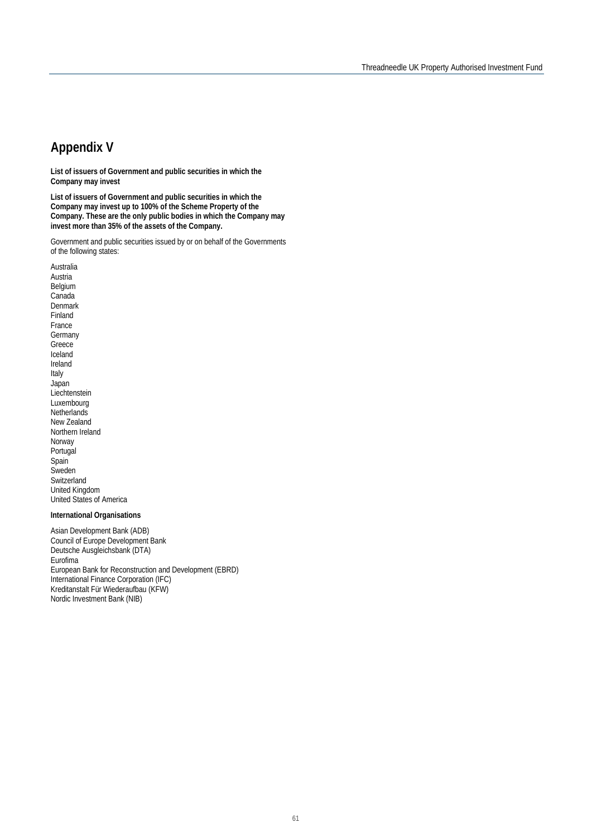## **Appendix V**

**List of issuers of Government and public securities in which the Company may invest**

**List of issuers of Government and public securities in which the Company may invest up to 100% of the Scheme Property of the Company. These are the only public bodies in which the Company may invest more than 35% of the assets of the Company.**

Government and public securities issued by or on behalf of the Governments of the following states:

Australia Austria Belgium Canada Denmark Finland France **Germany** Greece Iceland Ireland Italy Japan Liechtenstein **Luxembourg Netherlands** New Zealand Northern Ireland Norway Portugal **Spain Sweden Switzerland** United Kingdom United States of America

#### **International Organisations**

Asian Development Bank (ADB) Council of Europe Development Bank Deutsche Ausgleichsbank (DTA) Eurofima European Bank for Reconstruction and Development (EBRD) International Finance Corporation (IFC) Kreditanstalt Für Wiederaufbau (KFW) Nordic Investment Bank (NIB)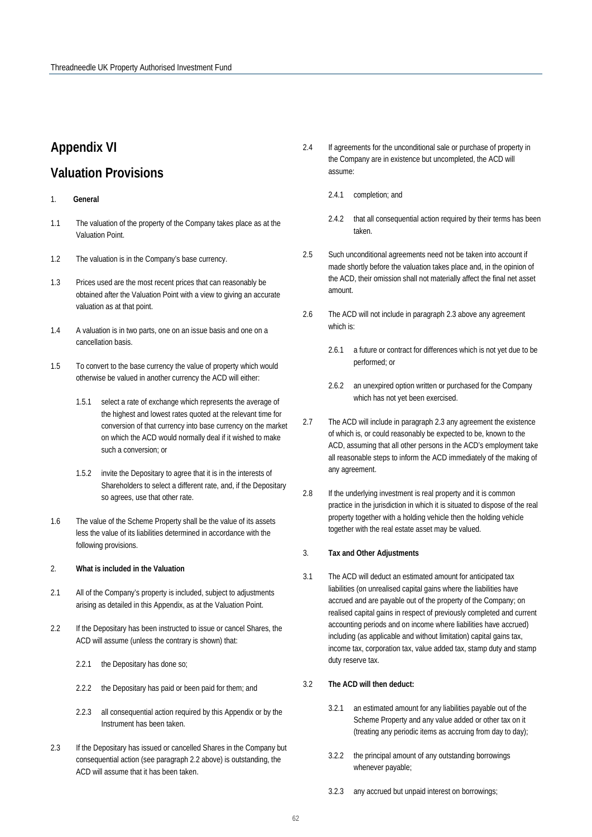## **Appendix VI**

## **Valuation Provisions**

- 1. **General**
- 1.1 The valuation of the property of the Company takes place as at the Valuation Point.
- 1.2 The valuation is in the Company's base currency.
- 1.3 Prices used are the most recent prices that can reasonably be obtained after the Valuation Point with a view to giving an accurate valuation as at that point.
- 1.4 A valuation is in two parts, one on an issue basis and one on a cancellation basis.
- 1.5 To convert to the base currency the value of property which would otherwise be valued in another currency the ACD will either:
	- 1.5.1 select a rate of exchange which represents the average of the highest and lowest rates quoted at the relevant time for conversion of that currency into base currency on the market on which the ACD would normally deal if it wished to make such a conversion; or
	- 1.5.2 invite the Depositary to agree that it is in the interests of Shareholders to select a different rate, and, if the Depositary so agrees, use that other rate.
- 1.6 The value of the Scheme Property shall be the value of its assets less the value of its liabilities determined in accordance with the following provisions.

#### 2. **What is included in the Valuation**

- 2.1 All of the Company's property is included, subject to adjustments arising as detailed in this Appendix, as at the Valuation Point.
- 2.2 If the Depositary has been instructed to issue or cancel Shares, the ACD will assume (unless the contrary is shown) that:
	- 2.2.1 the Depositary has done so;
	- 2.2.2 the Depositary has paid or been paid for them; and
	- 2.2.3 all consequential action required by this Appendix or by the Instrument has been taken.
- 2.3 If the Depositary has issued or cancelled Shares in the Company but consequential action (see paragraph 2.2 above) is outstanding, the ACD will assume that it has been taken.
- 2.4 If agreements for the unconditional sale or purchase of property in the Company are in existence but uncompleted, the ACD will assume:
	- 2.4.1 completion; and
	- 2.4.2 that all consequential action required by their terms has been taken.
- 2.5 Such unconditional agreements need not be taken into account if made shortly before the valuation takes place and, in the opinion of the ACD, their omission shall not materially affect the final net asset amount.
- 2.6 The ACD will not include in paragraph 2.3 above any agreement which is:
	- 2.6.1 a future or contract for differences which is not yet due to be performed; or
	- 2.6.2 an unexpired option written or purchased for the Company which has not yet been exercised.
- 2.7 The ACD will include in paragraph 2.3 any agreement the existence of which is, or could reasonably be expected to be, known to the ACD, assuming that all other persons in the ACD's employment take all reasonable steps to inform the ACD immediately of the making of any agreement.
- 2.8 If the underlying investment is real property and it is common practice in the jurisdiction in which it is situated to dispose of the real property together with a holding vehicle then the holding vehicle together with the real estate asset may be valued.

#### 3. **Tax and Other Adjustments**

3.1 The ACD will deduct an estimated amount for anticipated tax liabilities (on unrealised capital gains where the liabilities have accrued and are payable out of the property of the Company; on realised capital gains in respect of previously completed and current accounting periods and on income where liabilities have accrued) including (as applicable and without limitation) capital gains tax, income tax, corporation tax, value added tax, stamp duty and stamp duty reserve tax.

#### 3.2 **The ACD will then deduct:**

- 3.2.1 an estimated amount for any liabilities payable out of the Scheme Property and any value added or other tax on it (treating any periodic items as accruing from day to day);
- 3.2.2 the principal amount of any outstanding borrowings whenever payable;
- 3.2.3 any accrued but unpaid interest on borrowings;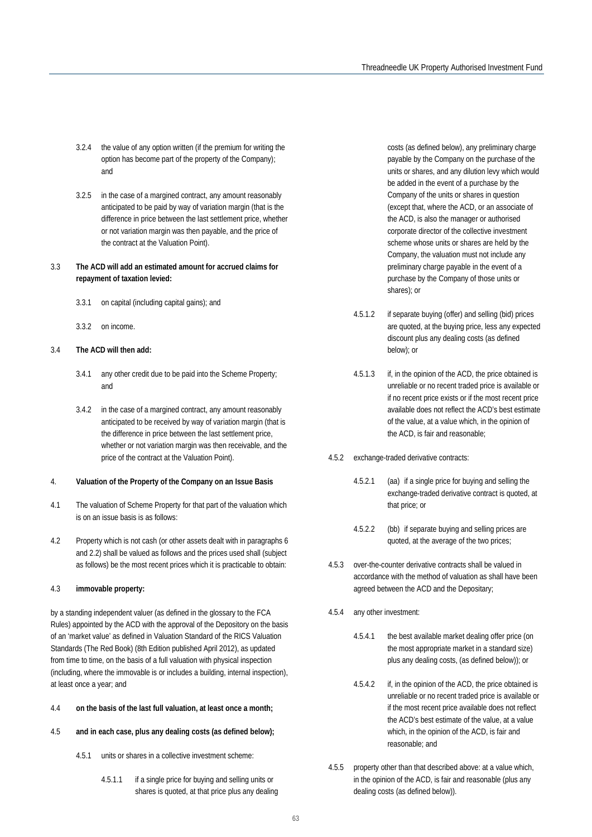- 3.2.4 the value of any option written (if the premium for writing the option has become part of the property of the Company); and
- 3.2.5 in the case of a margined contract, any amount reasonably anticipated to be paid by way of variation margin (that is the difference in price between the last settlement price, whether or not variation margin was then payable, and the price of the contract at the Valuation Point).

#### 3.3 **The ACD will add an estimated amount for accrued claims for repayment of taxation levied:**

- 3.3.1 on capital (including capital gains); and
- 3.3.2 on income.

#### 3.4 **The ACD will then add:**

- 3.4.1 any other credit due to be paid into the Scheme Property; and
- 3.4.2 in the case of a margined contract, any amount reasonably anticipated to be received by way of variation margin (that is the difference in price between the last settlement price, whether or not variation margin was then receivable, and the price of the contract at the Valuation Point).
- 4. **Valuation of the Property of the Company on an Issue Basis**
- 4.1 The valuation of Scheme Property for that part of the valuation which is on an issue basis is as follows:
- 4.2 Property which is not cash (or other assets dealt with in paragraphs 6 and 2.2) shall be valued as follows and the prices used shall (subject as follows) be the most recent prices which it is practicable to obtain:

#### 4.3 **immovable property:**

by a standing independent valuer (as defined in the glossary to the FCA Rules) appointed by the ACD with the approval of the Depository on the basis of an 'market value' as defined in Valuation Standard of the RICS Valuation Standards (The Red Book) (8th Edition published April 2012), as updated from time to time, on the basis of a full valuation with physical inspection (including, where the immovable is or includes a building, internal inspection), at least once a year; and

- 4.4 **on the basis of the last full valuation, at least once a month;**
- 4.5 **and in each case, plus any dealing costs (as defined below);**
	- 4.5.1 units or shares in a collective investment scheme:
		- 4.5.1.1 if a single price for buying and selling units or shares is quoted, at that price plus any dealing

costs (as defined below), any preliminary charge payable by the Company on the purchase of the units or shares, and any dilution levy which would be added in the event of a purchase by the Company of the units or shares in question (except that, where the ACD, or an associate of the ACD, is also the manager or authorised corporate director of the collective investment scheme whose units or shares are held by the Company, the valuation must not include any preliminary charge payable in the event of a purchase by the Company of those units or shares); or

- 4.5.1.2 if separate buying (offer) and selling (bid) prices are quoted, at the buying price, less any expected discount plus any dealing costs (as defined below); or
- 4.5.1.3 if, in the opinion of the ACD, the price obtained is unreliable or no recent traded price is available or if no recent price exists or if the most recent price available does not reflect the ACD's best estimate of the value, at a value which, in the opinion of the ACD, is fair and reasonable;
- 4.5.2 exchange-traded derivative contracts:
	- 4.5.2.1 (aa) if a single price for buying and selling the exchange-traded derivative contract is quoted, at that price; or
	- 4.5.2.2 (bb) if separate buying and selling prices are quoted, at the average of the two prices;
- 4.5.3 over-the-counter derivative contracts shall be valued in accordance with the method of valuation as shall have been agreed between the ACD and the Depositary;
- 4.5.4 any other investment:
	- 4.5.4.1 the best available market dealing offer price (on the most appropriate market in a standard size) plus any dealing costs, (as defined below)); or
	- 4.5.4.2 if, in the opinion of the ACD, the price obtained is unreliable or no recent traded price is available or if the most recent price available does not reflect the ACD's best estimate of the value, at a value which, in the opinion of the ACD, is fair and reasonable; and
- 4.5.5 property other than that described above: at a value which, in the opinion of the ACD, is fair and reasonable (plus any dealing costs (as defined below)).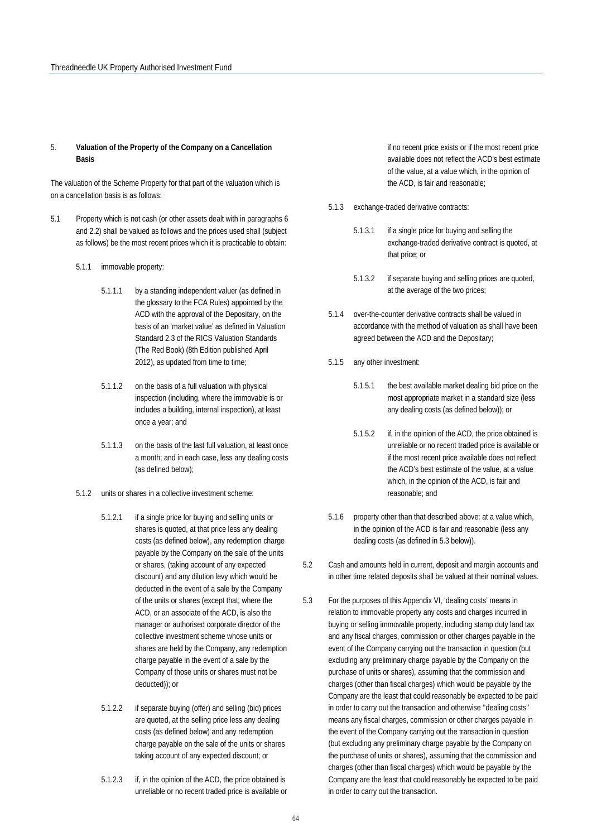#### 5. **Valuation of the Property of the Company on a Cancellation Basis**

The valuation of the Scheme Property for that part of the valuation which is on a cancellation basis is as follows:

- 5.1 Property which is not cash (or other assets dealt with in paragraphs 6 and 2.2) shall be valued as follows and the prices used shall (subject as follows) be the most recent prices which it is practicable to obtain:
	- 5.1.1 immovable property:
		- 5.1.1.1 by a standing independent valuer (as defined in the glossary to the FCA Rules) appointed by the ACD with the approval of the Depositary, on the basis of an 'market value' as defined in Valuation Standard 2.3 of the RICS Valuation Standards (The Red Book) (8th Edition published April 2012), as updated from time to time;
		- 5.1.1.2 on the basis of a full valuation with physical inspection (including, where the immovable is or includes a building, internal inspection), at least once a year; and
		- 5.1.1.3 on the basis of the last full valuation, at least once a month; and in each case, less any dealing costs (as defined below);
	- 5.1.2 units or shares in a collective investment scheme:
		- 5.1.2.1 if a single price for buying and selling units or shares is quoted, at that price less any dealing costs (as defined below), any redemption charge payable by the Company on the sale of the units or shares, (taking account of any expected discount) and any dilution levy which would be deducted in the event of a sale by the Company of the units or shares (except that, where the ACD, or an associate of the ACD, is also the manager or authorised corporate director of the collective investment scheme whose units or shares are held by the Company, any redemption charge payable in the event of a sale by the Company of those units or shares must not be deducted)); or
		- 5.1.2.2 if separate buying (offer) and selling (bid) prices are quoted, at the selling price less any dealing costs (as defined below) and any redemption charge payable on the sale of the units or shares taking account of any expected discount; or
		- 5.1.2.3 if, in the opinion of the ACD, the price obtained is unreliable or no recent traded price is available or

if no recent price exists or if the most recent price available does not reflect the ACD's best estimate of the value, at a value which, in the opinion of the ACD, is fair and reasonable;

- 5.1.3 exchange-traded derivative contracts:
	- 5.1.3.1 if a single price for buying and selling the exchange-traded derivative contract is quoted, at that price; or
	- 5.1.3.2 if separate buying and selling prices are quoted, at the average of the two prices;
- 5.1.4 over-the-counter derivative contracts shall be valued in accordance with the method of valuation as shall have been agreed between the ACD and the Depositary;
- 5.1.5 any other investment:
	- 5.1.5.1 the best available market dealing bid price on the most appropriate market in a standard size (less any dealing costs (as defined below)); or
	- 5.1.5.2 if, in the opinion of the ACD, the price obtained is unreliable or no recent traded price is available or if the most recent price available does not reflect the ACD's best estimate of the value, at a value which, in the opinion of the ACD, is fair and reasonable; and
- 5.1.6 property other than that described above: at a value which, in the opinion of the ACD is fair and reasonable (less any dealing costs (as defined in 5.3 below)).
- 5.2 Cash and amounts held in current, deposit and margin accounts and in other time related deposits shall be valued at their nominal values.
- 5.3 For the purposes of this Appendix VI, 'dealing costs' means in relation to immovable property any costs and charges incurred in buying or selling immovable property, including stamp duty land tax and any fiscal charges, commission or other charges payable in the event of the Company carrying out the transaction in question (but excluding any preliminary charge payable by the Company on the purchase of units or shares), assuming that the commission and charges (other than fiscal charges) which would be payable by the Company are the least that could reasonably be expected to be paid in order to carry out the transaction and otherwise ''dealing costs'' means any fiscal charges, commission or other charges payable in the event of the Company carrying out the transaction in question (but excluding any preliminary charge payable by the Company on the purchase of units or shares), assuming that the commission and charges (other than fiscal charges) which would be payable by the Company are the least that could reasonably be expected to be paid in order to carry out the transaction.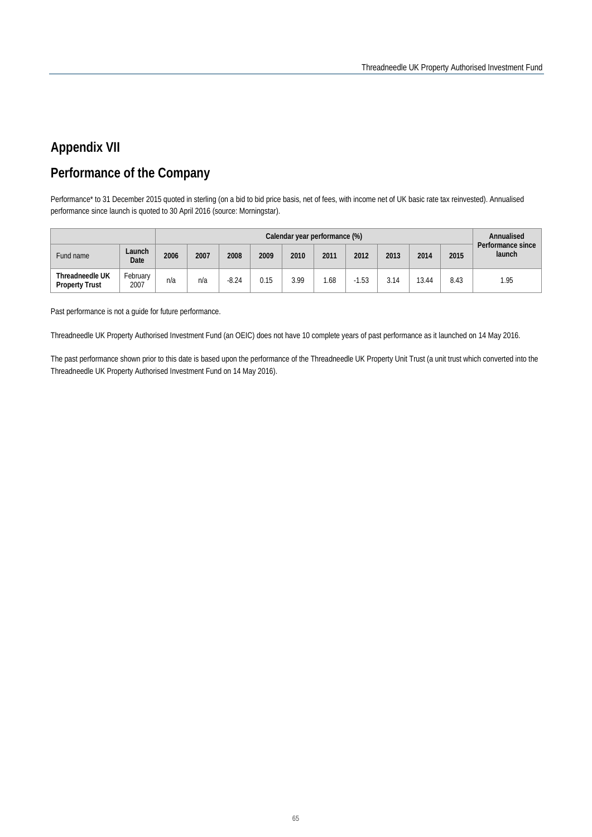## **Appendix VII**

## **Performance of the Company**

Performance\* to 31 December 2015 quoted in sterling (on a bid to bid price basis, net of fees, with income net of UK basic rate tax reinvested). Annualised performance since launch is quoted to 30 April 2016 (source: Morningstar).

|                                          |                  |      |      |         |      |      | Calendar year performance (%) |         |      |       |      | Annualised                  |
|------------------------------------------|------------------|------|------|---------|------|------|-------------------------------|---------|------|-------|------|-----------------------------|
| Fund name                                | Launch<br>Date   | 2006 | 2007 | 2008    | 2009 | 2010 | 2011                          | 2012    | 2013 | 2014  | 2015 | Performance since<br>launch |
| Threadneedle UK<br><b>Property Trust</b> | February<br>2007 | n/a  | n/a  | $-8.24$ | 0.15 | 3.99 | .68                           | $-1.53$ | 3.14 | 13.44 | 8.43 | 1.95                        |

Past performance is not a guide for future performance.

Threadneedle UK Property Authorised Investment Fund (an OEIC) does not have 10 complete years of past performance as it launched on 14 May 2016.

The past performance shown prior to this date is based upon the performance of the Threadneedle UK Property Unit Trust (a unit trust which converted into the Threadneedle UK Property Authorised Investment Fund on 14 May 2016).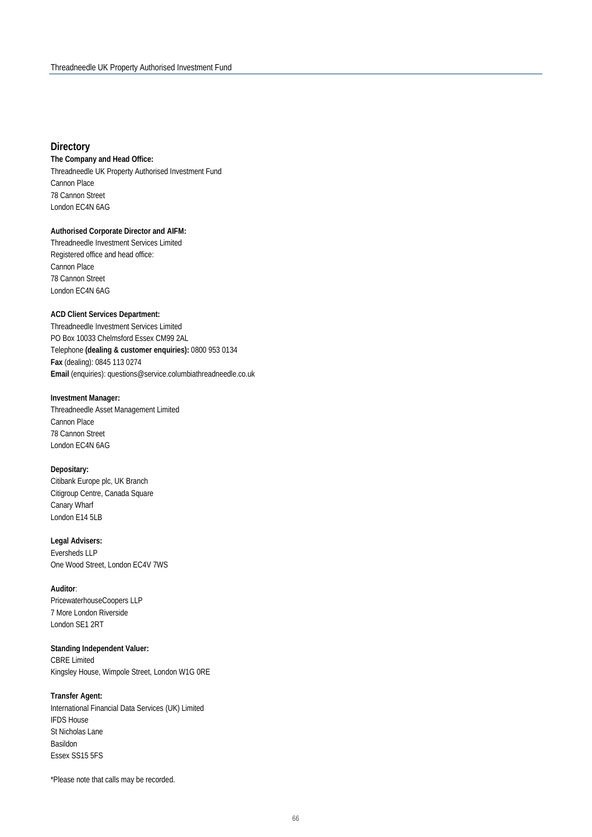#### **Directory**

**The Company and Head Office:** Threadneedle UK Property Authorised Investment Fund Cannon Place 78 Cannon Street London EC4N 6AG

#### **Authorised Corporate Director and AIFM:**

Threadneedle Investment Services Limited Registered office and head office: Cannon Place 78 Cannon Street London EC4N 6AG

#### **ACD Client Services Department:**

Threadneedle Investment Services Limited PO Box 10033 Chelmsford Essex CM99 2AL Telephone **(dealing & customer enquiries):** 0800 953 0134 **Fax** (dealing): 0845 113 0274 **Email** (enquiries): questions@service.columbiathreadneedle.co.uk

#### **Investment Manager:**

Threadneedle Asset Management Limited Cannon Place 78 Cannon Street London EC4N 6AG

#### **Depositary:**

Citibank Europe plc, UK Branch Citigroup Centre, Canada Square Canary Wharf London E14 5LB

### **Legal Advisers:**

Eversheds LLP One Wood Street, London EC4V 7WS

#### **Auditor**:

PricewaterhouseCoopers LLP 7 More London Riverside London SE1 2RT

#### **Standing Independent Valuer:**

CBRE Limited Kingsley House, Wimpole Street, London W1G 0RE

#### **Transfer Agent:**

International Financial Data Services (UK) Limited IFDS House St Nicholas Lane Basildon Essex SS15 5FS

\*Please note that calls may be recorded.